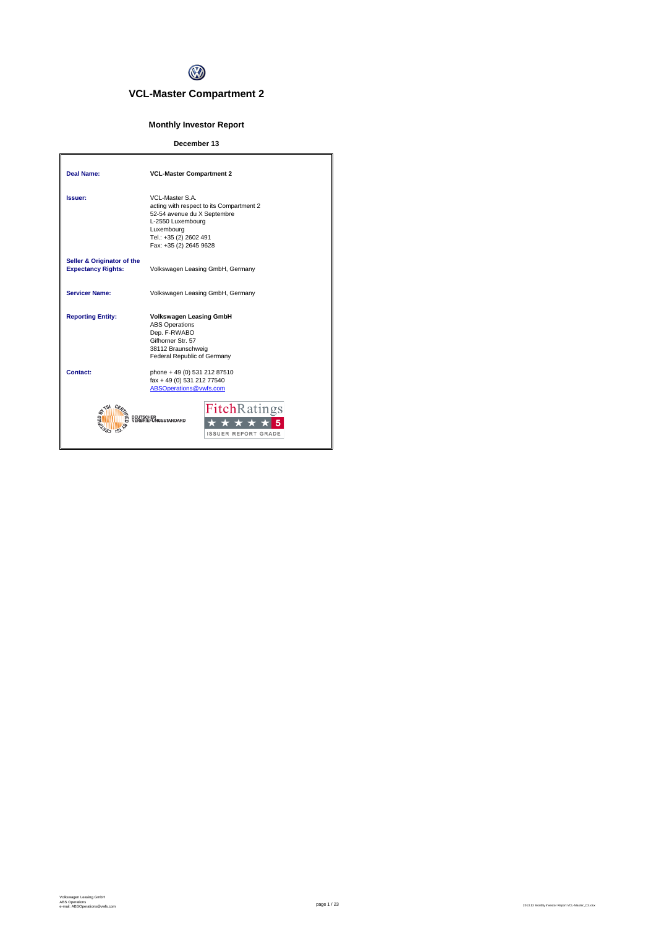

# **VCL-Master Compartment 2**

## **Monthly Investor Report**

## **December 13**

| <b>Deal Name:</b>                                       | <b>VCL-Master Compartment 2</b>                                                                                                                                                   |
|---------------------------------------------------------|-----------------------------------------------------------------------------------------------------------------------------------------------------------------------------------|
| Issuer:                                                 | VCL-Master S.A.<br>acting with respect to its Compartment 2<br>52-54 avenue du X Septembre<br>L-2550 Luxembourg<br>Luxembourg<br>Tel.: +35 (2) 2602 491<br>Fax: +35 (2) 2645 9628 |
| Seller & Originator of the<br><b>Expectancy Rights:</b> | Volkswagen Leasing GmbH, Germany                                                                                                                                                  |
| <b>Servicer Name:</b>                                   | Volkswagen Leasing GmbH, Germany                                                                                                                                                  |
| <b>Reporting Entity:</b>                                | <b>Volkswagen Leasing GmbH</b><br><b>ABS Operations</b><br>Dep. F-RWABO<br>Gifhorner Str. 57<br>38112 Braunschweig<br>Federal Republic of Germany                                 |
| Contact:                                                | phone + 49 (0) 531 212 87510<br>fax + 49 (0) 531 212 77540<br>ABSOperations@vwfs.com                                                                                              |
|                                                         | <b>Fitch</b> Ratings<br><b>NGSSTANDARD</b><br><b>ISSUER REPORT GRADE</b>                                                                                                          |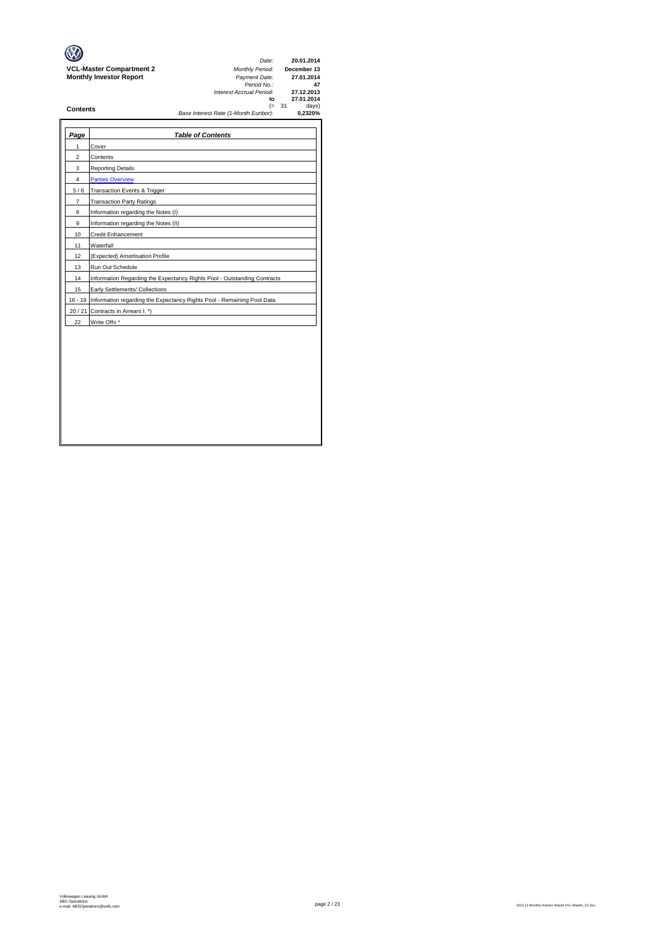| Page           | <b>Table of Contents</b>                                                       |
|----------------|--------------------------------------------------------------------------------|
| 1              | Cover                                                                          |
| $\overline{c}$ | Contents                                                                       |
| 3              | <b>Reporting Details</b>                                                       |
| 4              | <b>Parties Overview</b>                                                        |
| 5/6            | Transaction Events & Trigger                                                   |
| $\overline{7}$ | <b>Transaction Party Ratings</b>                                               |
| 8              | Information regarding the Notes (I)                                            |
| 9              | Information regarding the Notes (II)                                           |
| 10             | <b>Credit Enhancement</b>                                                      |
| 11             | Waterfall                                                                      |
| 12             | (Expected) Amortisation Profile                                                |
| 13             | Run Out Schedule                                                               |
| 14             | Information Regarding the Expectancy Rights Pool - Outstanding Contracts       |
| 15             | Early Settlements/ Collections                                                 |
|                | 16 - 19 Information regarding the Expectancy Rights Pool - Remaining Pool Data |
| 20/21          | Contracts in Arrears I. *)                                                     |
| 22             | Write Offs *                                                                   |
|                |                                                                                |
|                |                                                                                |
|                |                                                                                |
|                |                                                                                |
|                |                                                                                |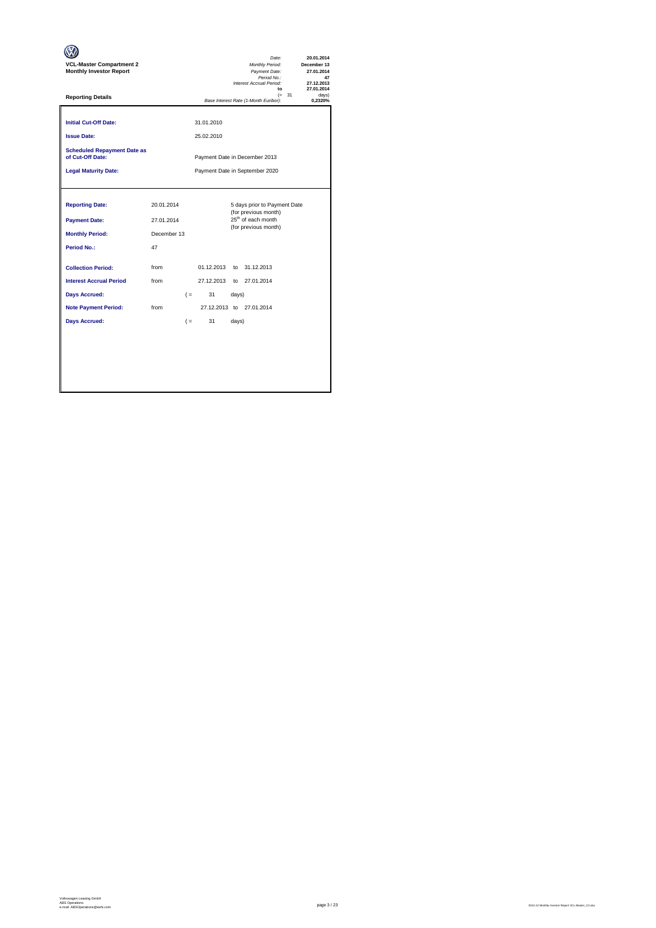| <b>VCL-Master Compartment 2</b><br><b>Monthly Investor Report</b> |             |                                |                          |       | Date:<br>Monthly Period:<br>Payment Date:<br>Period No.:<br>Interest Accrual Period:<br>to |          | 20.01.2014<br>December 13<br>27.01.2014<br>47<br>27.12.2013<br>27.01.2014 |
|-------------------------------------------------------------------|-------------|--------------------------------|--------------------------|-------|--------------------------------------------------------------------------------------------|----------|---------------------------------------------------------------------------|
| <b>Reporting Details</b>                                          |             |                                |                          |       | Base Interest Rate (1-Month Euribor):                                                      | $(= 31)$ | davs)<br>0,2320%                                                          |
| <b>Initial Cut-Off Date:</b><br><b>Issue Date:</b>                |             |                                | 31.01.2010<br>25.02.2010 |       |                                                                                            |          |                                                                           |
| <b>Scheduled Repayment Date as</b><br>of Cut-Off Date:            |             |                                |                          |       | Payment Date in December 2013                                                              |          |                                                                           |
| <b>Legal Maturity Date:</b>                                       |             | Payment Date in September 2020 |                          |       |                                                                                            |          |                                                                           |
|                                                                   |             |                                |                          |       |                                                                                            |          |                                                                           |
| <b>Reporting Date:</b>                                            | 20.01.2014  |                                |                          |       | 5 days prior to Payment Date<br>(for previous month)                                       |          |                                                                           |
| <b>Payment Date:</b>                                              | 27.01.2014  |                                |                          |       | 25 <sup>th</sup> of each month<br>(for previous month)                                     |          |                                                                           |
| <b>Monthly Period:</b>                                            | December 13 |                                |                          |       |                                                                                            |          |                                                                           |
| Period No.:                                                       | 47          |                                |                          |       |                                                                                            |          |                                                                           |
| <b>Collection Period:</b>                                         | from        |                                | 01.12.2013               |       | to 31.12.2013                                                                              |          |                                                                           |
| <b>Interest Accrual Period</b>                                    | from        |                                | 27.12.2013               |       | to 27.01.2014                                                                              |          |                                                                           |
| <b>Days Accrued:</b>                                              |             | $($ =                          | 31                       | days) |                                                                                            |          |                                                                           |
| <b>Note Payment Period:</b>                                       | from        |                                |                          |       | 27.12.2013 to 27.01.2014                                                                   |          |                                                                           |
| <b>Days Accrued:</b>                                              |             | $($ =                          | 31                       | days) |                                                                                            |          |                                                                           |
|                                                                   |             |                                |                          |       |                                                                                            |          |                                                                           |
|                                                                   |             |                                |                          |       |                                                                                            |          |                                                                           |
|                                                                   |             |                                |                          |       |                                                                                            |          |                                                                           |
|                                                                   |             |                                |                          |       |                                                                                            |          |                                                                           |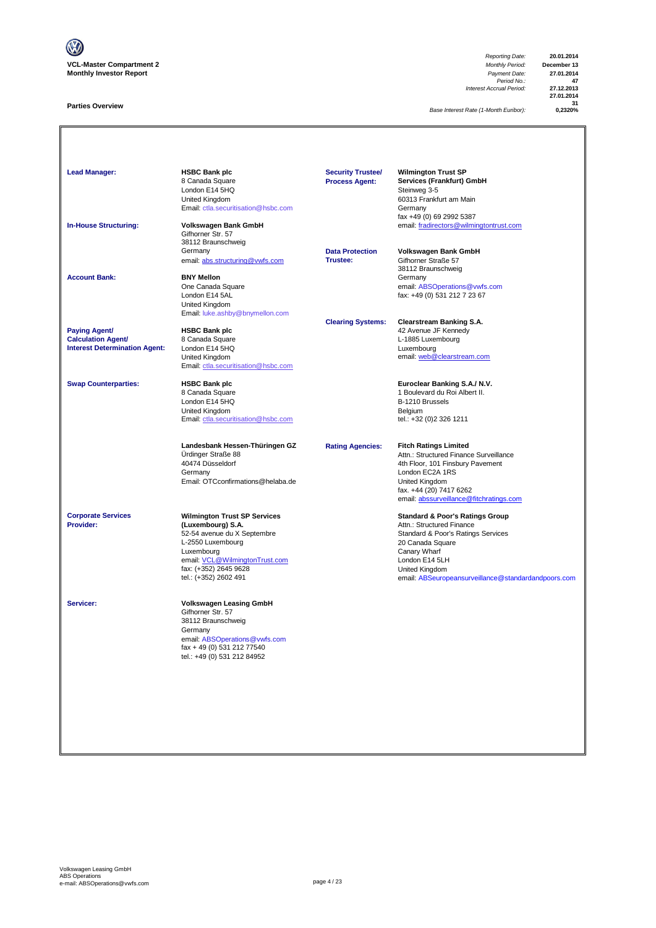

### **Parties Overview**

*Reporting Date:* **20.01.2014** *Period No.:* **47** *Interest Accrual Period:* **27.12.2013**

**27.01.2014 31**

*Base Interest Rate (1-Month Euribor):* **0,2320%**

| <b>Lead Manager:</b><br><b>In-House Structuring:</b>                                      | <b>HSBC Bank plc</b><br>8 Canada Square<br>London E14 5HQ<br>United Kingdom<br>Email: ctla.securitisation@hsbc.com<br>Volkswagen Bank GmbH<br>Gifhorner Str. 57<br>38112 Braunschweig<br>Germany               | <b>Security Trustee/</b><br><b>Process Agent:</b><br><b>Data Protection</b> | <b>Wilmington Trust SP</b><br>Services (Frankfurt) GmbH<br>Steinweg 3-5<br>60313 Frankfurt am Main<br>Germany<br>fax +49 (0) 69 2992 5387<br>email: fradirectors@wilmingtontrust.com<br>Volkswagen Bank GmbH                                 |
|-------------------------------------------------------------------------------------------|----------------------------------------------------------------------------------------------------------------------------------------------------------------------------------------------------------------|-----------------------------------------------------------------------------|----------------------------------------------------------------------------------------------------------------------------------------------------------------------------------------------------------------------------------------------|
| <b>Account Bank:</b>                                                                      | email: abs.structuring@vwfs.com<br><b>BNY Mellon</b><br>One Canada Square<br>London E14 5AL<br>United Kingdom<br>Email: luke.ashby@bnymellon.com                                                               | Trustee:                                                                    | Gifhorner Straße 57<br>38112 Braunschweig<br>Germany<br>email: ABSOperations@vwfs.com<br>fax: +49 (0) 531 212 7 23 67                                                                                                                        |
| <b>Paying Agent/</b><br><b>Calculation Agent/</b><br><b>Interest Determination Agent:</b> | <b>HSBC Bank plc</b><br>8 Canada Square<br>London E14 5HQ<br>United Kingdom<br>Email: ctla.securitisation@hsbc.com                                                                                             | <b>Clearing Systems:</b>                                                    | <b>Clearstream Banking S.A.</b><br>42 Avenue JF Kennedy<br>L-1885 Luxembourg<br>Luxembourg<br>email: web@clearstream.com                                                                                                                     |
| <b>Swap Counterparties:</b>                                                               | <b>HSBC Bank plc</b><br>8 Canada Square<br>London E14 5HQ<br>United Kingdom<br>Email: ctla.securitisation@hsbc.com                                                                                             |                                                                             | Euroclear Banking S.A./ N.V.<br>1 Boulevard du Roi Albert II.<br>B-1210 Brussels<br>Belgium<br>tel.: +32 (0)2 326 1211                                                                                                                       |
|                                                                                           | Landesbank Hessen-Thüringen GZ<br>Ürdinger Straße 88<br>40474 Düsseldorf<br>Germany<br>Email: OTCconfirmations@helaba.de                                                                                       | <b>Rating Agencies:</b>                                                     | <b>Fitch Ratings Limited</b><br>Attn.: Structured Finance Surveillance<br>4th Floor, 101 Finsbury Pavement<br>London EC2A 1RS<br>United Kingdom<br>fax. +44 (20) 7417 6262<br>email: abssurveillance@fitchratings.com                        |
| <b>Corporate Services</b><br>Provider:                                                    | <b>Wilmington Trust SP Services</b><br>(Luxembourg) S.A.<br>52-54 avenue du X Septembre<br>L-2550 Luxembourg<br>Luxembourg<br>email: VCL@WilmingtonTrust.com<br>fax: (+352) 2645 9628<br>tel.: (+352) 2602 491 |                                                                             | <b>Standard &amp; Poor's Ratings Group</b><br>Attn.: Structured Finance<br>Standard & Poor's Ratings Services<br>20 Canada Square<br>Canary Wharf<br>London E14 5LH<br>United Kingdom<br>email: ABSeuropeansurveillance@standardandpoors.com |
| Servicer:                                                                                 | <b>Volkswagen Leasing GmbH</b><br>Gifhorner Str. 57<br>38112 Braunschweig<br>Germany<br>email: ABSOperations@vwfs.com<br>fax + 49 (0) 531 212 77540<br>tel.: +49 (0) 531 212 84952                             |                                                                             |                                                                                                                                                                                                                                              |
|                                                                                           |                                                                                                                                                                                                                |                                                                             |                                                                                                                                                                                                                                              |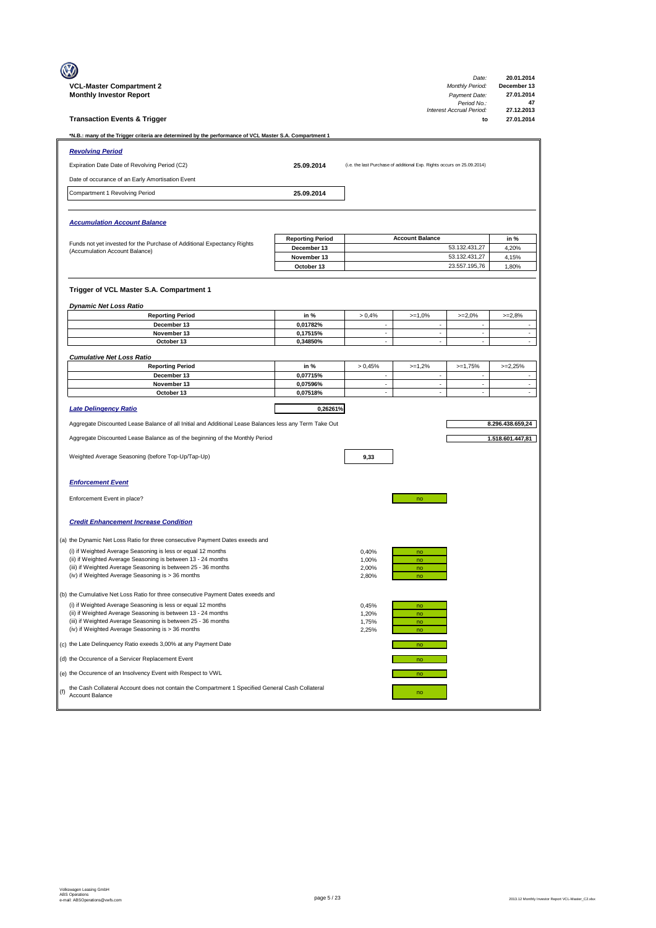|     |                                                                                                                              |                            |                                |                                                                         | Date:                          | 20.01.2014                                           |
|-----|------------------------------------------------------------------------------------------------------------------------------|----------------------------|--------------------------------|-------------------------------------------------------------------------|--------------------------------|------------------------------------------------------|
|     | <b>VCL-Master Compartment 2</b>                                                                                              |                            |                                |                                                                         | <b>Monthly Period:</b>         | December 13                                          |
|     | <b>Monthly Investor Report</b>                                                                                               |                            |                                |                                                                         | Payment Date:<br>Period No.:   | 27.01.2014<br>47                                     |
|     | <b>Transaction Events &amp; Trigger</b>                                                                                      |                            |                                |                                                                         | Interest Accrual Period:<br>to | 27.12.2013<br>27.01.2014                             |
|     | *N.B.: many of the Trigger criteria are determined by the performance of VCL Master S.A. Compartment 1                       |                            |                                |                                                                         |                                |                                                      |
|     | <b>Revolving Period</b>                                                                                                      |                            |                                |                                                                         |                                |                                                      |
|     | Expiration Date Date of Revolving Period (C2)                                                                                | 25.09.2014                 |                                | (i.e. the last Purchase of additional Exp. Rights occurs on 25.09.2014) |                                |                                                      |
|     | Date of occurance of an Early Amortisation Event                                                                             |                            |                                |                                                                         |                                |                                                      |
|     | Compartment 1 Revolving Period                                                                                               | 25.09.2014                 |                                |                                                                         |                                |                                                      |
|     |                                                                                                                              |                            |                                |                                                                         |                                |                                                      |
|     |                                                                                                                              |                            |                                |                                                                         |                                |                                                      |
|     | <b>Accumulation Account Balance</b>                                                                                          |                            |                                |                                                                         |                                |                                                      |
|     | Funds not yet invested for the Purchase of Additional Expectancy Rights                                                      | <b>Reporting Period</b>    |                                | <b>Account Balance</b>                                                  |                                | in %                                                 |
|     | (Accumulation Account Balance)                                                                                               | December 13<br>November 13 |                                |                                                                         | 53.132.431,27<br>53.132.431,27 | 4,20%<br>4,15%                                       |
|     |                                                                                                                              | October 13                 |                                |                                                                         | 23.557.195,76                  | 1,80%                                                |
|     |                                                                                                                              |                            |                                |                                                                         |                                |                                                      |
|     | Trigger of VCL Master S.A. Compartment 1                                                                                     |                            |                                |                                                                         |                                |                                                      |
|     | <b>Dynamic Net Loss Ratio</b>                                                                                                |                            |                                |                                                                         |                                |                                                      |
|     | <b>Reporting Period</b>                                                                                                      | in %                       | > 0,4%                         | $>=1,0%$                                                                | $>=2,0%$                       | $>=2,8%$                                             |
|     | December 13                                                                                                                  | 0,01782%                   | $\overline{\phantom{a}}$       | $\overline{\phantom{a}}$                                                | $\overline{\phantom{a}}$       | $\overline{\phantom{a}}$                             |
|     | November 13<br>October 13                                                                                                    | 0,17515%<br>0,34850%       | ÷.<br>÷,                       | ÷,<br>$\overline{\phantom{a}}$                                          | ÷.<br>×                        | ÷,<br>$\overline{\phantom{a}}$                       |
|     |                                                                                                                              |                            |                                |                                                                         |                                |                                                      |
|     | <b>Cumulative Net Loss Ratio</b><br><b>Reporting Period</b>                                                                  | in %                       | > 0,45%                        | $>=1,2%$                                                                | $>=1,75%$                      | $>=2,25%$                                            |
|     | December 13                                                                                                                  | 0,07715%                   | ÷,                             | $\mathcal{L}_{\mathcal{A}}$                                             | ÷,                             | ÷,                                                   |
|     | November 13                                                                                                                  | 0,07596%                   | $\overline{\phantom{a}}$<br>÷. | $\overline{\phantom{a}}$<br>÷,                                          | $\overline{\phantom{a}}$<br>÷, | $\overline{\phantom{a}}$<br>$\overline{\phantom{a}}$ |
|     | October 13                                                                                                                   | 0,07518%                   |                                |                                                                         |                                |                                                      |
|     | Late Delingency Ratio                                                                                                        | 0,26261%                   |                                |                                                                         |                                |                                                      |
|     | Aggregate Discounted Lease Balance of all Initial and Additional Lease Balances less any Term Take Out                       |                            |                                |                                                                         |                                | 8.296.438.659,24                                     |
|     | Aggregate Discounted Lease Balance as of the beginning of the Monthly Period                                                 |                            |                                |                                                                         |                                | 1.518.601.447,81                                     |
|     | Weighted Average Seasoning (before Top-Up/Tap-Up)                                                                            |                            | 9,33                           |                                                                         |                                |                                                      |
|     |                                                                                                                              |                            |                                |                                                                         |                                |                                                      |
|     |                                                                                                                              |                            |                                |                                                                         |                                |                                                      |
|     | <b>Enforcement Event</b>                                                                                                     |                            |                                |                                                                         |                                |                                                      |
|     | Enforcement Event in place?                                                                                                  |                            |                                | no                                                                      |                                |                                                      |
|     |                                                                                                                              |                            |                                |                                                                         |                                |                                                      |
|     | <b>Credit Enhancement Increase Condition</b>                                                                                 |                            |                                |                                                                         |                                |                                                      |
|     |                                                                                                                              |                            |                                |                                                                         |                                |                                                      |
|     | (a) the Dynamic Net Loss Ratio for three consecutive Payment Dates exeeds and                                                |                            |                                |                                                                         |                                |                                                      |
|     | (i) if Weighted Average Seasoning is less or equal 12 months                                                                 |                            | 0,40%                          | no                                                                      |                                |                                                      |
|     | (ii) if Weighted Average Seasoning is between 13 - 24 months                                                                 |                            | 1,00%                          | no                                                                      |                                |                                                      |
|     | (iii) if Weighted Average Seasoning is between 25 - 36 months<br>(iv) if Weighted Average Seasoning is > 36 months           |                            | 2,00%<br>2,80%                 | no<br>no                                                                |                                |                                                      |
|     |                                                                                                                              |                            |                                |                                                                         |                                |                                                      |
|     | (b) the Cumulative Net Loss Ratio for three consecutive Payment Dates exeeds and                                             |                            |                                |                                                                         |                                |                                                      |
|     | (i) if Weighted Average Seasoning is less or equal 12 months<br>(ii) if Weighted Average Seasoning is between 13 - 24 months |                            | 0,45%<br>1,20%                 | no<br>no                                                                |                                |                                                      |
|     | (iii) if Weighted Average Seasoning is between 25 - 36 months<br>(iv) if Weighted Average Seasoning is > 36 months           |                            | 1,75%<br>2,25%                 | no<br>no                                                                |                                |                                                      |
|     | (c) the Late Delinquency Ratio exeeds 3,00% at any Payment Date                                                              |                            |                                | no                                                                      |                                |                                                      |
|     | (d) the Occurence of a Servicer Replacement Event                                                                            |                            |                                | no                                                                      |                                |                                                      |
|     | (e) the Occurence of an Insolvency Event with Respect to VWL                                                                 |                            |                                | no                                                                      |                                |                                                      |
| (f) | the Cash Collateral Account does not contain the Compartment 1 Specified General Cash Collateral<br>Account Balance          |                            |                                | no                                                                      |                                |                                                      |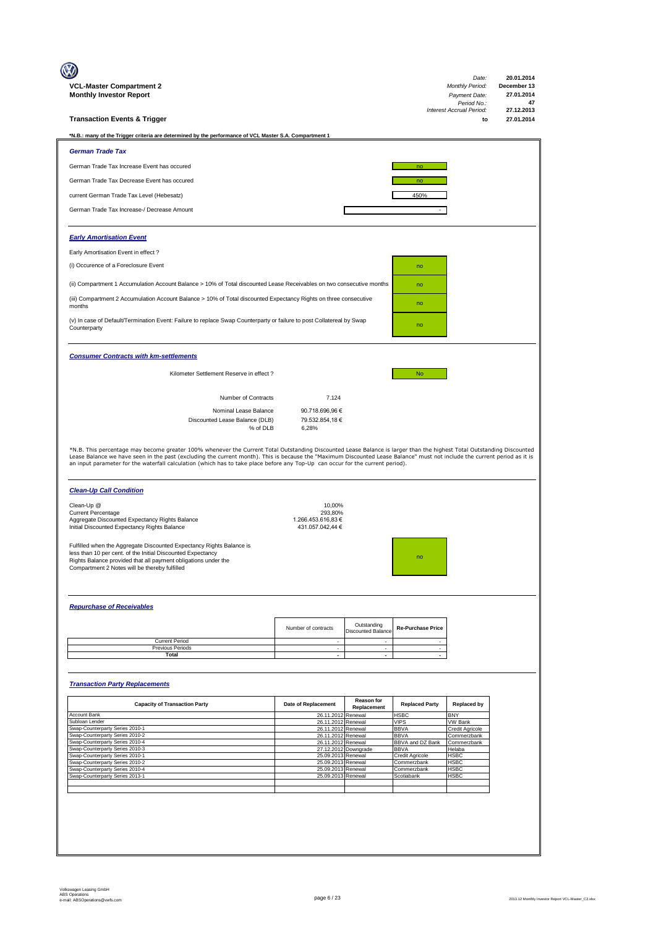| VCL-Master Compartment 2<br><b>Monthly Investor Report</b>                                                                                                                                                                                                                                                                                    |                                             |                                          |                                 | Date:<br><b>Monthly Period:</b><br>Payment Date:<br>Period No.: | 20.01.2014<br>December 13<br>27.01.2014<br>47 |
|-----------------------------------------------------------------------------------------------------------------------------------------------------------------------------------------------------------------------------------------------------------------------------------------------------------------------------------------------|---------------------------------------------|------------------------------------------|---------------------------------|-----------------------------------------------------------------|-----------------------------------------------|
| <b>Transaction Events &amp; Trigger</b>                                                                                                                                                                                                                                                                                                       |                                             |                                          |                                 | Interest Accrual Period:<br>to                                  | 27.12.2013<br>27.01.2014                      |
| *N.B.: many of the Trigger criteria are determined by the performance of VCL Master S.A. Compartment 1                                                                                                                                                                                                                                        |                                             |                                          |                                 |                                                                 |                                               |
| <b>German Trade Tax</b>                                                                                                                                                                                                                                                                                                                       |                                             |                                          |                                 |                                                                 |                                               |
| German Trade Tax Increase Event has occured                                                                                                                                                                                                                                                                                                   |                                             |                                          | no                              |                                                                 |                                               |
| German Trade Tax Decrease Event has occured                                                                                                                                                                                                                                                                                                   |                                             |                                          | no                              |                                                                 |                                               |
| current German Trade Tax Level (Hebesatz)                                                                                                                                                                                                                                                                                                     |                                             |                                          | 450%                            |                                                                 |                                               |
| German Trade Tax Increase-/ Decrease Amount                                                                                                                                                                                                                                                                                                   |                                             |                                          |                                 |                                                                 |                                               |
|                                                                                                                                                                                                                                                                                                                                               |                                             |                                          |                                 |                                                                 |                                               |
| <b>Early Amortisation Event</b>                                                                                                                                                                                                                                                                                                               |                                             |                                          |                                 |                                                                 |                                               |
| Early Amortisation Event in effect?                                                                                                                                                                                                                                                                                                           |                                             |                                          |                                 |                                                                 |                                               |
| (i) Occurence of a Foreclosure Event                                                                                                                                                                                                                                                                                                          |                                             |                                          | no                              |                                                                 |                                               |
| (ii) Compartment 1 Accumulation Account Balance > 10% of Total discounted Lease Receivables on two consecutive months                                                                                                                                                                                                                         |                                             |                                          | no                              |                                                                 |                                               |
| (iii) Compartment 2 Accumulation Account Balance > 10% of Total discounted Expectancy Rights on three consecutive                                                                                                                                                                                                                             |                                             |                                          | no                              |                                                                 |                                               |
| months                                                                                                                                                                                                                                                                                                                                        |                                             |                                          |                                 |                                                                 |                                               |
| (v) In case of Default/Termination Event: Failure to replace Swap Counterparty or failure to post Collatereal by Swap<br>Counterparty                                                                                                                                                                                                         |                                             |                                          | no                              |                                                                 |                                               |
| <b>Consumer Contracts with km-settlements</b>                                                                                                                                                                                                                                                                                                 |                                             |                                          |                                 |                                                                 |                                               |
| Kilometer Settlement Reserve in effect ?                                                                                                                                                                                                                                                                                                      |                                             |                                          | <b>No</b>                       |                                                                 |                                               |
|                                                                                                                                                                                                                                                                                                                                               |                                             |                                          |                                 |                                                                 |                                               |
| Number of Contracts                                                                                                                                                                                                                                                                                                                           | 7.124                                       |                                          |                                 |                                                                 |                                               |
| Nominal Lease Balance<br>Discounted Lease Balance (DLB)<br>% of DLB                                                                                                                                                                                                                                                                           | 90.718.696,96 €<br>79.532.854,18 €<br>6,28% |                                          |                                 |                                                                 |                                               |
| Lease Balance we have seen in the past (excluding the current month). This is because the "Maximum Discounted Lease Balance" must not include the current period as it is<br>an input parameter for the waterfall calculation (which has to take place before any Top-Up can occur for the current period).<br><b>Clean-Up Call Condition</b> |                                             |                                          |                                 |                                                                 |                                               |
| Clean-Up @                                                                                                                                                                                                                                                                                                                                    | 10,00%                                      |                                          |                                 |                                                                 |                                               |
| <b>Current Percentage</b><br>Aggregate Discounted Expectancy Rights Balance                                                                                                                                                                                                                                                                   | 293,80%<br>1.266.453.616,83 €               |                                          |                                 |                                                                 |                                               |
| Initial Discounted Expectancy Rights Balance                                                                                                                                                                                                                                                                                                  | 431.057.042,44 €                            |                                          |                                 |                                                                 |                                               |
| Fulfilled when the Aggregate Discounted Expectancy Rights Balance is<br>less than 10 per cent. of the Initial Discounted Expectancy<br>Rights Balance provided that all payment obligations under the<br>Compartment 2 Notes will be thereby fulfilled                                                                                        |                                             |                                          |                                 |                                                                 |                                               |
| <b>Repurchase of Receivables</b>                                                                                                                                                                                                                                                                                                              |                                             |                                          |                                 |                                                                 |                                               |
|                                                                                                                                                                                                                                                                                                                                               |                                             |                                          |                                 |                                                                 |                                               |
|                                                                                                                                                                                                                                                                                                                                               | Number of contracts                         | Outstanding<br><b>Discounted Balance</b> | <b>Re-Purchase Price</b>        |                                                                 |                                               |
| <b>Current Period</b><br>Previous Periods                                                                                                                                                                                                                                                                                                     | $\overline{\phantom{a}}$<br>$\sim$          | $\overline{\phantom{a}}$<br>$\sim$       | $\sim$<br>$\sim$                |                                                                 |                                               |
| <b>Total</b>                                                                                                                                                                                                                                                                                                                                  | $\overline{\phantom{a}}$                    | $\sim$                                   | $\overline{\phantom{a}}$        |                                                                 |                                               |
| <b>Transaction Party Replacements</b>                                                                                                                                                                                                                                                                                                         |                                             |                                          |                                 |                                                                 |                                               |
| <b>Capacity of Transaction Party</b>                                                                                                                                                                                                                                                                                                          | Date of Replacement                         | Reason for                               | <b>Replaced Party</b>           | <b>Replaced by</b>                                              |                                               |
| Account Bank                                                                                                                                                                                                                                                                                                                                  | 26.11.2012                                  | Replacement<br>Renewal                   | <b>HSBC</b>                     | <b>BNY</b>                                                      |                                               |
| Subloan Lender<br>Swap-Counterparty Series 2010-1                                                                                                                                                                                                                                                                                             | 26.11.2012<br>26.11.2012                    | Renewal<br>Renewal                       | <b>VIPS</b><br><b>BBVA</b>      | <b>VW Bank</b><br>Credit Agricole                               |                                               |
| Swap-Counterparty Series 2010-2<br>Swap-Counterparty Series 2010-4                                                                                                                                                                                                                                                                            | 26.11.2012<br>26.11.2012                    | Renewal<br>Renewal                       | <b>BBVA</b><br>BBVA and DZ Bank | Commerzbank<br>Commerzbank                                      |                                               |
| Swap-Counterparty Series 2010-3<br>Swap-Counterparty Series 2010-1                                                                                                                                                                                                                                                                            | 25.09.2013 Renewal                          | 27.12.2012 Downgrade                     | <b>BBVA</b><br>Credit Agricole  | Helaba<br><b>HSBC</b>                                           |                                               |
| Swap-Counterparty Series 2010-2                                                                                                                                                                                                                                                                                                               | 25.09.2013                                  | Renewal                                  | Commerzbank                     | <b>HSBC</b>                                                     |                                               |
| Swap-Counterparty Series 2010-4<br>Swap-Counterparty Series 2013-1                                                                                                                                                                                                                                                                            | 25.09.2013 Renewal<br>25.09.2013            | Renewal                                  | Commerzbank<br>Scotiabank       | <b>HSBC</b><br><b>HSBC</b>                                      |                                               |
|                                                                                                                                                                                                                                                                                                                                               |                                             |                                          |                                 |                                                                 |                                               |
|                                                                                                                                                                                                                                                                                                                                               |                                             |                                          |                                 |                                                                 |                                               |
|                                                                                                                                                                                                                                                                                                                                               |                                             |                                          |                                 |                                                                 |                                               |
|                                                                                                                                                                                                                                                                                                                                               |                                             |                                          |                                 |                                                                 |                                               |
|                                                                                                                                                                                                                                                                                                                                               |                                             |                                          |                                 |                                                                 |                                               |
|                                                                                                                                                                                                                                                                                                                                               |                                             |                                          |                                 |                                                                 |                                               |
|                                                                                                                                                                                                                                                                                                                                               |                                             |                                          |                                 |                                                                 |                                               |
|                                                                                                                                                                                                                                                                                                                                               |                                             |                                          |                                 |                                                                 |                                               |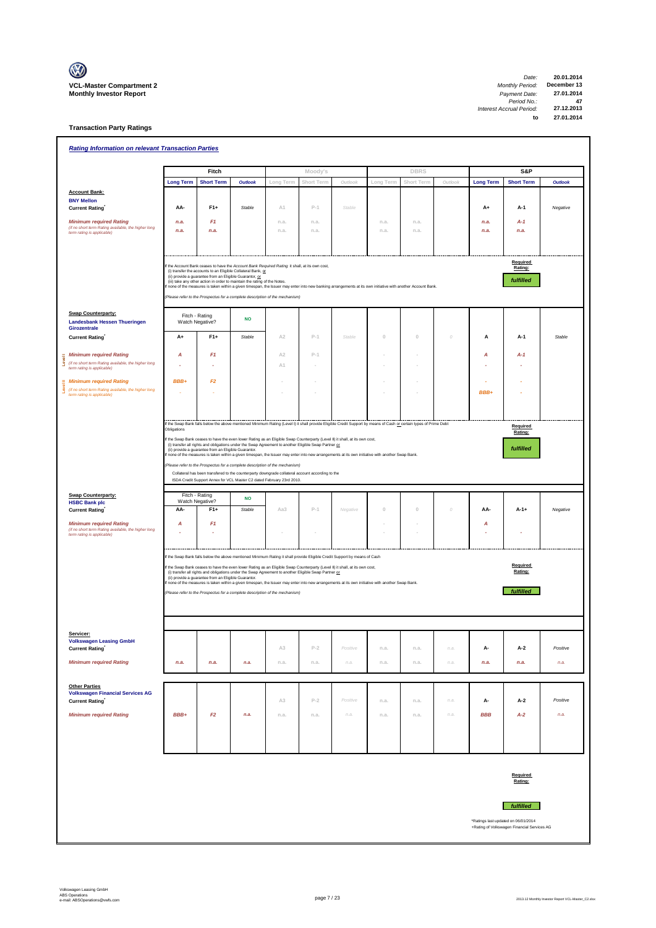

| <b>Rating Information on relevant Transaction Parties</b>                                                           |                                   |                                                      |                                                                                                                                                                                                                                                                                                                                                                                                                                                                                                                                                                                                                                                                                                                                                                                                                             |                |              |          |              |              |          |                                     |                                             |                |
|---------------------------------------------------------------------------------------------------------------------|-----------------------------------|------------------------------------------------------|-----------------------------------------------------------------------------------------------------------------------------------------------------------------------------------------------------------------------------------------------------------------------------------------------------------------------------------------------------------------------------------------------------------------------------------------------------------------------------------------------------------------------------------------------------------------------------------------------------------------------------------------------------------------------------------------------------------------------------------------------------------------------------------------------------------------------------|----------------|--------------|----------|--------------|--------------|----------|-------------------------------------|---------------------------------------------|----------------|
|                                                                                                                     |                                   | Fitch                                                |                                                                                                                                                                                                                                                                                                                                                                                                                                                                                                                                                                                                                                                                                                                                                                                                                             |                | Moody's      |          |              | <b>DBRS</b>  |          |                                     | S&P                                         |                |
|                                                                                                                     | <b>Long Term</b>                  | <b>Short Term</b>                                    | <b>Outlook</b>                                                                                                                                                                                                                                                                                                                                                                                                                                                                                                                                                                                                                                                                                                                                                                                                              | Long Term      | Short Term   | Outlook  | Long Term    | Short Term   | Outlook  | <b>Long Term</b>                    | <b>Short Term</b>                           | <b>Outlook</b> |
| <b>Account Bank:</b><br><b>BNY Mellon</b>                                                                           |                                   |                                                      |                                                                                                                                                                                                                                                                                                                                                                                                                                                                                                                                                                                                                                                                                                                                                                                                                             |                |              |          |              |              |          |                                     |                                             |                |
| <b>Current Rating</b>                                                                                               | AA-                               | $F1+$                                                | Stable                                                                                                                                                                                                                                                                                                                                                                                                                                                                                                                                                                                                                                                                                                                                                                                                                      | A1             | $P-1$        | Stable   |              |              |          | $A+$                                | A-1                                         | Negative       |
| <b>Minimum required Rating</b><br>(if no short term Rating available, the higher long<br>term rating is applicable) | n.a.<br>n.a.                      | F <sub>1</sub><br>n.a.                               |                                                                                                                                                                                                                                                                                                                                                                                                                                                                                                                                                                                                                                                                                                                                                                                                                             | n.a.<br>n.a.   | n.a.<br>n.a. |          | n.a.<br>n.a. | n.a.<br>n.a. |          | n.a.<br>n.a.                        | $A-1$<br>n.a.                               |                |
|                                                                                                                     |                                   |                                                      |                                                                                                                                                                                                                                                                                                                                                                                                                                                                                                                                                                                                                                                                                                                                                                                                                             |                |              |          |              |              |          |                                     |                                             |                |
|                                                                                                                     |                                   |                                                      | f the Account Bank ceases to have the Account Bank Required Rating it shall, at its own cost,<br>(i) transfer the accounts to an Eligible Collateral Bank, or<br>(ii) provide a guarantee from an Eligible Guarantor, or<br>(iii) take any other action in order to maintain the rating of the Notes.<br>f none of the measures is taken within a given timespan, the Issuer may enter into new banking arrangements at its own initiative with another Account Bank.<br>(Please refer to the Prospectus for a complete description of the mechanism)                                                                                                                                                                                                                                                                       |                |              |          |              |              |          |                                     | Required<br>Rating:<br>fulfilled            |                |
| <b>Swap Counterparty:</b><br><b>Landesbank Hessen Thueringen</b><br>Girozentrale                                    | Fitch - Rating<br>Watch Negative? |                                                      | <b>NO</b>                                                                                                                                                                                                                                                                                                                                                                                                                                                                                                                                                                                                                                                                                                                                                                                                                   |                |              |          |              |              |          |                                     |                                             |                |
| <b>Current Rating</b>                                                                                               | A+                                | $F1+$                                                | Stable                                                                                                                                                                                                                                                                                                                                                                                                                                                                                                                                                                                                                                                                                                                                                                                                                      | A <sub>2</sub> | $P-1$        | Stable   | $\theta$     | $\Omega$     | $\cal O$ | Α                                   | A-1                                         | Stable         |
| <b>Minimum required Rating</b>                                                                                      | Α                                 | F <sub>1</sub>                                       |                                                                                                                                                                                                                                                                                                                                                                                                                                                                                                                                                                                                                                                                                                                                                                                                                             | A <sub>2</sub> | $P-1$        |          |              |              |          | Α                                   | $A-1$                                       |                |
| (if no short term Rating available, the higher long<br>ق<br>term rating is applicable)                              |                                   |                                                      |                                                                                                                                                                                                                                                                                                                                                                                                                                                                                                                                                                                                                                                                                                                                                                                                                             | A1             |              |          |              |              |          |                                     |                                             |                |
| <b>Minimum required Rating</b>                                                                                      | BBB+                              | F2                                                   |                                                                                                                                                                                                                                                                                                                                                                                                                                                                                                                                                                                                                                                                                                                                                                                                                             |                |              |          |              |              |          |                                     |                                             |                |
| Š<br>(if no short term Rating available, the higher long<br>term rating is applicable)                              |                                   |                                                      |                                                                                                                                                                                                                                                                                                                                                                                                                                                                                                                                                                                                                                                                                                                                                                                                                             |                |              |          |              |              |          | BBB+                                |                                             |                |
|                                                                                                                     |                                   |                                                      |                                                                                                                                                                                                                                                                                                                                                                                                                                                                                                                                                                                                                                                                                                                                                                                                                             |                |              |          |              |              |          |                                     |                                             |                |
|                                                                                                                     | Obligations                       | (ii) provide a guarantee from an Eligible Guarantor. | If the Swap Bank falls below the above mentioned Minimum Rating (Level I) it shall provide Eligible Credit Support by means of Cash or certain types of Prime Debt<br>If the Swap Bank ceases to have the even lower Rating as an Eligible Swap Counterparty (Level II) it shall, at its own cost,<br>(i) transfer all rights and obligations under the Swap Agreement to another Eligible Swap Partner or<br>f none of the measures is taken within a given timespan, the Issuer may enter into new arrangements at its own initiative with another Swap Bank.<br>Please refer to the Prospectus for a complete description of the mechanism)<br>Collateral has been transfered to the counterparty downgrade collateral account according to the<br>ISDA Credit Support Annex for VCL Master C2 dated February 23rd 2010. |                |              |          |              |              |          |                                     | Required<br>Rating:<br>fulfilled            |                |
| <b>Swap Counterparty:</b>                                                                                           | Fitch - Rating                    |                                                      |                                                                                                                                                                                                                                                                                                                                                                                                                                                                                                                                                                                                                                                                                                                                                                                                                             |                |              |          |              |              |          |                                     |                                             |                |
| <b>HSBC Bank plc</b><br><b>Current Rating</b>                                                                       | Watch Negative?<br>AA-            | $F1+$                                                | <b>NO</b><br>Stable                                                                                                                                                                                                                                                                                                                                                                                                                                                                                                                                                                                                                                                                                                                                                                                                         | Aa3            | $P-1$        | Negative | $\theta$     | $\mathbb O$  | $\cal O$ | AA-                                 | $A-1+$                                      | Negative       |
| <b>Minimum required Rating</b>                                                                                      | A                                 | F <sub>1</sub>                                       |                                                                                                                                                                                                                                                                                                                                                                                                                                                                                                                                                                                                                                                                                                                                                                                                                             |                |              |          |              |              |          | А                                   |                                             |                |
| (if no short term Rating available, the higher long<br>term rating is applicable)                                   |                                   |                                                      |                                                                                                                                                                                                                                                                                                                                                                                                                                                                                                                                                                                                                                                                                                                                                                                                                             |                |              |          |              |              |          |                                     |                                             |                |
|                                                                                                                     |                                   | (ii) provide a guarantee from an Eligible Guarantor. | If the Swap Bank falls below the above mentioned Minimum Rating it shall provide Eligible Credit Support by means of Cash<br>If the Swap Bank ceases to have the even lower Rating as an Eligible Swap Counterparty (Level II) it shall, at its own cost,<br>(i) transfer all rights and obligations under the Swap Agreement to another Eligible Swap Partner or<br>none of the measures is taken within a given timespan, the Issuer may enter into new arrangements at its own initiative with another Swap Bank.<br>(Please refer to the Prospectus for a complete description of the mechanism)                                                                                                                                                                                                                        |                |              |          |              |              |          |                                     | Required<br>Rating:<br><b>fulfilled</b>     |                |
| Servicer:<br><b>Volkswagen Leasing GmbH</b>                                                                         |                                   |                                                      |                                                                                                                                                                                                                                                                                                                                                                                                                                                                                                                                                                                                                                                                                                                                                                                                                             |                |              |          |              |              |          |                                     |                                             |                |
| Current Rating                                                                                                      |                                   |                                                      |                                                                                                                                                                                                                                                                                                                                                                                                                                                                                                                                                                                                                                                                                                                                                                                                                             | A3             | $P-2$        | Positive | n.a.         | n.a.         | n.a.     | А-                                  | A-2                                         | Positive       |
| <b>Minimum required Rating</b>                                                                                      | n.a.                              | n.a.                                                 | n.a.                                                                                                                                                                                                                                                                                                                                                                                                                                                                                                                                                                                                                                                                                                                                                                                                                        | n.a.           | n.a.         | n.a.     | n.a.         | n.a.         | n.a.     | n.a.                                | n.a.                                        | n.a.           |
| <b>Other Parties</b><br><b>Volkswagen Financial Services AG</b><br><b>Current Rating</b>                            |                                   |                                                      |                                                                                                                                                                                                                                                                                                                                                                                                                                                                                                                                                                                                                                                                                                                                                                                                                             | A3             | $P-2$        | Positive | n.a.         | n.a.         | n.a.     | А-                                  | A-2                                         | Positive       |
| <b>Minimum required Rating</b>                                                                                      | BBB+                              | F <sub>2</sub>                                       | n.a.                                                                                                                                                                                                                                                                                                                                                                                                                                                                                                                                                                                                                                                                                                                                                                                                                        | n.a.           | n.a.         | n.a.     | n.a.         | n.a.         | n.a.     | <b>BBB</b>                          | $A-2$                                       | n.a.           |
|                                                                                                                     |                                   |                                                      |                                                                                                                                                                                                                                                                                                                                                                                                                                                                                                                                                                                                                                                                                                                                                                                                                             |                |              |          |              |              |          |                                     |                                             |                |
|                                                                                                                     |                                   |                                                      |                                                                                                                                                                                                                                                                                                                                                                                                                                                                                                                                                                                                                                                                                                                                                                                                                             |                |              |          |              |              |          | *Ratings last updated on 06/01/2014 | Required<br>Rating:<br><b>fulfilled</b>     |                |
|                                                                                                                     |                                   |                                                      |                                                                                                                                                                                                                                                                                                                                                                                                                                                                                                                                                                                                                                                                                                                                                                                                                             |                |              |          |              |              |          |                                     | +Rating of Volkswagen Financial Services AG |                |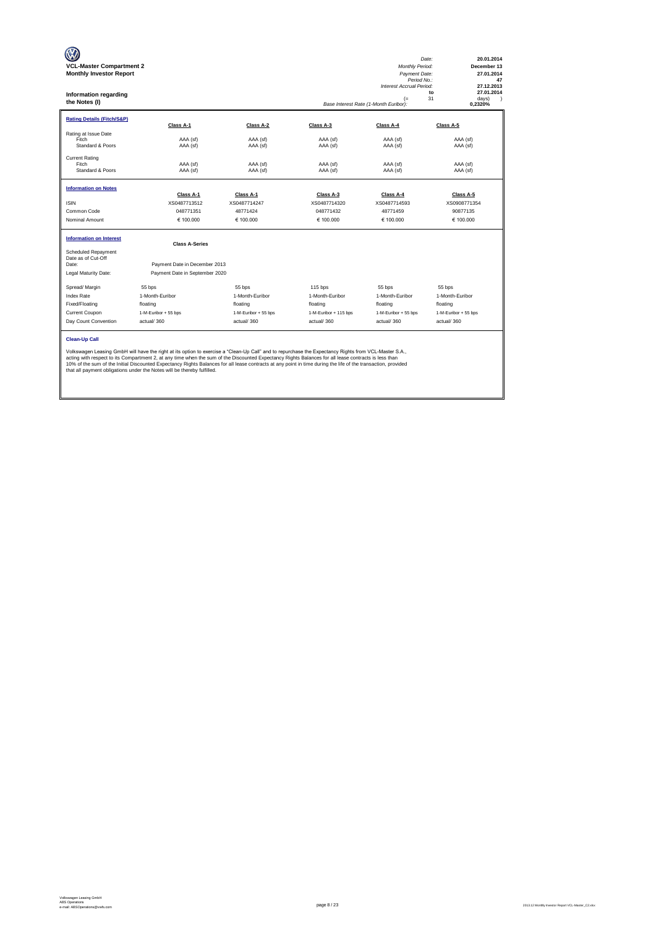| <b>VCL-Master Compartment 2</b><br><b>Monthly Investor Report</b><br><b>Information regarding</b><br>the Notes (I) |                                                                                                                                                                                                                                                                                                                                                                                                                                                                                                                                                           |                      |                       | Monthly Period:<br>Payment Date:<br>Period No.:<br>Interest Accrual Period:<br>$(=$<br>Base Interest Rate (1-Month Euribor): | Date:<br>20.01.2014<br>December 13<br>27.01.2014<br>47<br>27.12.2013<br>27.01.2014<br>to<br>31<br>days)<br>-1<br>0,2320% |
|--------------------------------------------------------------------------------------------------------------------|-----------------------------------------------------------------------------------------------------------------------------------------------------------------------------------------------------------------------------------------------------------------------------------------------------------------------------------------------------------------------------------------------------------------------------------------------------------------------------------------------------------------------------------------------------------|----------------------|-----------------------|------------------------------------------------------------------------------------------------------------------------------|--------------------------------------------------------------------------------------------------------------------------|
| <b>Rating Details (Fitch/S&amp;P)</b>                                                                              | Class A-1                                                                                                                                                                                                                                                                                                                                                                                                                                                                                                                                                 | Class A-2            | Class A-3             | Class A-4                                                                                                                    | Class A-5                                                                                                                |
| Rating at Issue Date<br>Fitch<br>Standard & Poors                                                                  | AAA (sf)<br>AAA (sf)                                                                                                                                                                                                                                                                                                                                                                                                                                                                                                                                      | AAA (sf)<br>AAA (sf) | AAA (sf)<br>AAA (sf)  | AAA (sf)<br>AAA (sf)                                                                                                         | AAA (sf)<br>AAA (sf)                                                                                                     |
| <b>Current Rating</b><br>Fitch<br>Standard & Poors                                                                 | AAA (sf)<br>AAA (sf)                                                                                                                                                                                                                                                                                                                                                                                                                                                                                                                                      | AAA (sf)<br>AAA (sf) | AAA (sf)<br>AAA (sf)  | AAA (sf)<br>AAA (sf)                                                                                                         | AAA (sf)<br>AAA (sf)                                                                                                     |
| <b>Information on Notes</b>                                                                                        | Class A-1                                                                                                                                                                                                                                                                                                                                                                                                                                                                                                                                                 | Class A-1            | Class A-3             | Class A-4                                                                                                                    | Class A-5                                                                                                                |
| <b>ISIN</b>                                                                                                        | XS0487713512                                                                                                                                                                                                                                                                                                                                                                                                                                                                                                                                              | XS0487714247         | XS0487714320          | XS0487714593                                                                                                                 | XS0908771354                                                                                                             |
| Common Code                                                                                                        | 048771351                                                                                                                                                                                                                                                                                                                                                                                                                                                                                                                                                 | 48771424             | 048771432             | 48771459                                                                                                                     | 90877135                                                                                                                 |
| Nominal Amount                                                                                                     | € 100,000                                                                                                                                                                                                                                                                                                                                                                                                                                                                                                                                                 | € 100,000            | € 100.000             | € 100.000                                                                                                                    | € 100.000                                                                                                                |
| <b>Information on Interest</b>                                                                                     | <b>Class A-Series</b>                                                                                                                                                                                                                                                                                                                                                                                                                                                                                                                                     |                      |                       |                                                                                                                              |                                                                                                                          |
| Scheduled Repayment<br>Date as of Cut-Off<br>Date:                                                                 | Payment Date in December 2013                                                                                                                                                                                                                                                                                                                                                                                                                                                                                                                             |                      |                       |                                                                                                                              |                                                                                                                          |
| Legal Maturity Date:                                                                                               | Payment Date in September 2020                                                                                                                                                                                                                                                                                                                                                                                                                                                                                                                            |                      |                       |                                                                                                                              |                                                                                                                          |
| Spread/ Margin                                                                                                     | 55 bps                                                                                                                                                                                                                                                                                                                                                                                                                                                                                                                                                    | 55 bps               | $115$ bps             | 55 bps                                                                                                                       | 55 bps                                                                                                                   |
| <b>Index Rate</b>                                                                                                  | 1-Month-Euribor                                                                                                                                                                                                                                                                                                                                                                                                                                                                                                                                           | 1-Month-Euribor      | 1-Month-Euribor       | 1-Month-Euribor                                                                                                              | 1-Month-Euribor                                                                                                          |
| Fixed/Floating                                                                                                     | floating                                                                                                                                                                                                                                                                                                                                                                                                                                                                                                                                                  | floating             | floating              | floating                                                                                                                     | floating                                                                                                                 |
| Current Coupon                                                                                                     | 1-M-Euribor + 55 bps                                                                                                                                                                                                                                                                                                                                                                                                                                                                                                                                      | 1-M-Euribor + 55 bps | 1-M-Euribor + 115 bps | 1-M-Euribor + 55 bps                                                                                                         | 1-M-Euribor + 55 bps                                                                                                     |
| Day Count Convention                                                                                               | actual/360                                                                                                                                                                                                                                                                                                                                                                                                                                                                                                                                                | actual/360           | actual/360            | actual/360                                                                                                                   | actual/360                                                                                                               |
| <b>Clean-Up Call</b>                                                                                               | Volkswagen Leasing GmbH will have the right at its option to exercise a "Clean-Up Call" and to repurchase the Expectancy Rights from VCL-Master S.A.,<br>acting with respect to its Compartment 2, at any time when the sum of the Discounted Expectancy Rights Balances for all lease contracts is less than<br>10% of the sum of the Initial Discounted Expectancy Rights Balances for all lease contracts at any point in time during the life of the transaction, provided<br>that all payment obligations under the Notes will be thereby fulfilled. |                      |                       |                                                                                                                              |                                                                                                                          |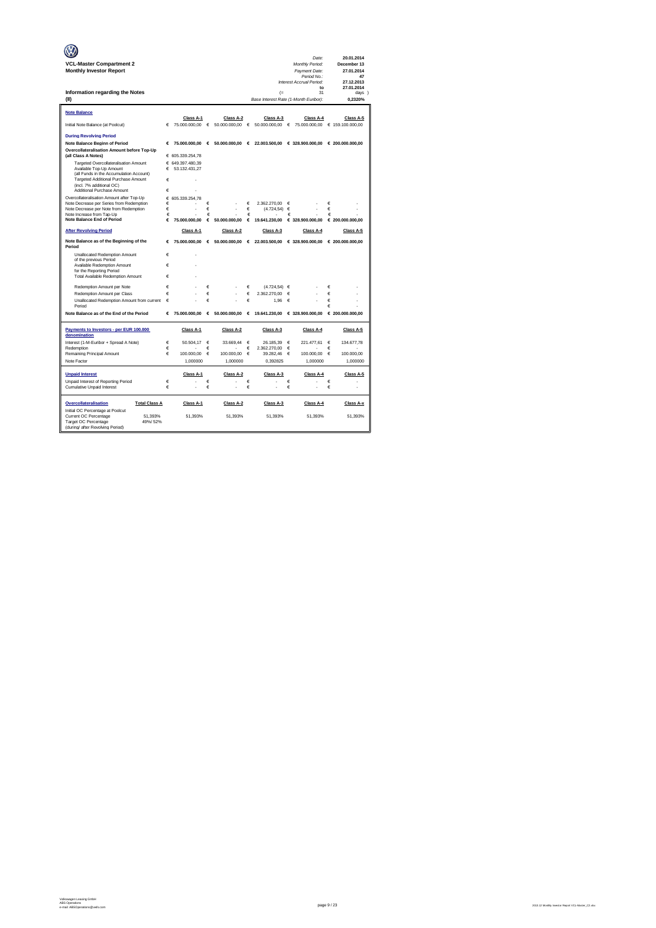|                                                                      |        |                                   |            |                   |        |                                            |        | Date:                                           |        | 20.01.2014        |
|----------------------------------------------------------------------|--------|-----------------------------------|------------|-------------------|--------|--------------------------------------------|--------|-------------------------------------------------|--------|-------------------|
| <b>VCL-Master Compartment 2</b>                                      |        |                                   |            |                   |        |                                            |        | Monthly Period:                                 |        | December 13       |
| <b>Monthly Investor Report</b>                                       |        |                                   |            |                   |        |                                            |        | Payment Date:<br>Period No.:                    |        | 27.01.2014<br>47  |
|                                                                      |        |                                   |            |                   |        |                                            |        | Interest Accrual Period:                        |        | 27.12.2013        |
|                                                                      |        |                                   |            |                   |        |                                            |        | to                                              |        | 27.01.2014        |
| Information regarding the Notes<br>(II)                              |        |                                   |            |                   |        | (<br>Base Interest Rate (1-Month Euribor): |        | 31                                              |        | days )<br>0,2320% |
|                                                                      |        |                                   |            |                   |        |                                            |        |                                                 |        |                   |
| <b>Note Balance</b>                                                  |        |                                   |            |                   |        |                                            |        |                                                 |        |                   |
|                                                                      |        | Class A-1                         |            | Class A-2         |        | Class A-3                                  |        | Class A-4                                       |        | Class A-5         |
| Initial Note Balance (at Poolcut)                                    | €      | 75.000.000,00                     | $\epsilon$ | 50.000.000,00     | €      | 50.000.000,00                              | €      | 75.000.000,00                                   |        | € 159.100.000,00  |
| <b>During Revolving Period</b>                                       |        |                                   |            |                   |        |                                            |        |                                                 |        |                   |
| <b>Note Balance Beginn of Period</b>                                 | €      | 75,000,000,00                     |            | € 50.000.000.00 € |        |                                            |        | 22.003.500.00 € 328.900.000.00 € 200.000.000.00 |        |                   |
| Overcollateralisation Amount before Top-Up                           |        |                                   |            |                   |        |                                            |        |                                                 |        |                   |
| (all Class A Notes)                                                  |        | € 605.339.254,78                  |            |                   |        |                                            |        |                                                 |        |                   |
| Targeted Overcollateralisation Amount<br>Available Top-Up Amount     | €      | € 649.397.480,39<br>53.132.431.27 |            |                   |        |                                            |        |                                                 |        |                   |
| (all Funds in the Accumulation Account)                              |        |                                   |            |                   |        |                                            |        |                                                 |        |                   |
| Targeted Additional Purchase Amount<br>(incl. 7% additional OC)      | €      |                                   |            |                   |        |                                            |        |                                                 |        |                   |
| Additional Purchase Amount                                           | €      |                                   |            |                   |        |                                            |        |                                                 |        |                   |
| Overcollateralisation Amount after Top-Up                            | €      | 605.339.254.78                    |            |                   |        |                                            |        |                                                 |        |                   |
| Note Decrease per Series from Redemption                             | €      |                                   | €          |                   | €      | 2.362.270.00                               | €      |                                                 | €      |                   |
| Note Decrease per Note from Redemption<br>Note Increase from Tap-Up  | €<br>€ |                                   | €<br>€     |                   | €<br>€ | (4.724.54)                                 | €<br>€ |                                                 | €<br>€ |                   |
| <b>Note Balance End of Period</b>                                    | €      | 75.000.000.00                     | €          | 50,000,000.00     | €      | 19.641.230.00                              |        | € 328,900,000.00                                |        | € 200.000.000.00  |
| <b>After Revolving Period</b>                                        |        | Class A-1                         |            | Class A-2         |        | Class A-3                                  |        | Class A-4                                       |        | Class A-5         |
|                                                                      |        |                                   |            |                   |        |                                            |        |                                                 |        |                   |
| Note Balance as of the Beginning of the<br>Period                    | €      | 75.000.000,00                     |            | 6.50.000.000,00   |        | $\epsilon$ 22.003.500,00                   |        | € 328.900.000,00                                |        | € 200.000.000,00  |
| Unallocated Redemption Amount<br>of the previous Period              | €      | ł.                                |            |                   |        |                                            |        |                                                 |        |                   |
| Available Redemption Amount                                          | €      |                                   |            |                   |        |                                            |        |                                                 |        |                   |
| for the Reporting Period                                             |        |                                   |            |                   |        |                                            |        |                                                 |        |                   |
| <b>Total Available Redemption Amount</b>                             | €      |                                   |            |                   |        |                                            |        |                                                 |        |                   |
| Redemotion Amount per Note                                           | €      |                                   | €          |                   | €      | (4.724.54)                                 | €      |                                                 | €      |                   |
| Redemption Amount per Class                                          | €      |                                   | €          |                   | €      | 2.362.270.00                               | €      |                                                 | €      |                   |
| Unallocated Redemption Amount from current<br>Period                 | €      |                                   | €          |                   | €      | 1.96                                       | €      |                                                 | €<br>€ |                   |
| Note Balance as of the End of the Period                             | €      | 75,000,000,00                     | $\epsilon$ | 50,000,000,00 €   |        |                                            |        | 19.641.230,00 € 328.900.000,00                  |        | € 200.000.000.00  |
|                                                                      |        |                                   |            |                   |        |                                            |        |                                                 |        |                   |
| Payments to Investors - per EUR 100.000<br>denomination              |        | Class A-1                         |            | Class A-2         |        | Class A-3                                  |        | Class A-4                                       |        | Class A-5         |
| Interest (1-M-Euribor + Spread A Note)                               | €      | 50.504,17                         | €          | 33.669,44         | €      | 26.185,39                                  | €      | 221.477,61                                      | €      | 134.677,78        |
| Redemption                                                           | €      |                                   | €          |                   | €      | 2.362.270,00                               | €      |                                                 | €      |                   |
| Remaining Principal Amount                                           | €      | 100.000,00                        | €          | 100.000,00        | €      | 39.282,46                                  | €      | 100.000,00                                      | €      | 100.000,00        |
| Note Factor                                                          |        | 1,000000                          |            | 1,000000          |        | 0,392825                                   |        | 1,000000                                        |        | 1,000000          |
| <b>Unpaid Interest</b>                                               |        | Class A-1                         |            | Class A-2         |        | Class A-3                                  |        | Class A-4                                       |        | Class A-5         |
| Unpaid Interest of Reporting Period<br>Cumulative Unpaid Interest    | €<br>€ |                                   | €<br>€     |                   | €<br>€ |                                            | €<br>€ |                                                 | €<br>€ |                   |
|                                                                      |        |                                   |            |                   |        |                                            |        |                                                 |        |                   |
| Overcollateralisation<br><b>Total Class A</b>                        |        | Class A-1                         |            | Class A-2         |        | Class A-3                                  |        | Class A-4                                       |        | Class A-x         |
| Initial OC Percentage at Poolcut<br>Current OC Percentage<br>51.393% |        | 51.393%                           |            | 51.393%           |        | 51.393%                                    |        | 51.393%                                         |        | 51.393%           |
| Target OC Percentage<br>49%/52%                                      |        |                                   |            |                   |        |                                            |        |                                                 |        |                   |
| (during/ after Revolving Period)                                     |        |                                   |            |                   |        |                                            |        |                                                 |        |                   |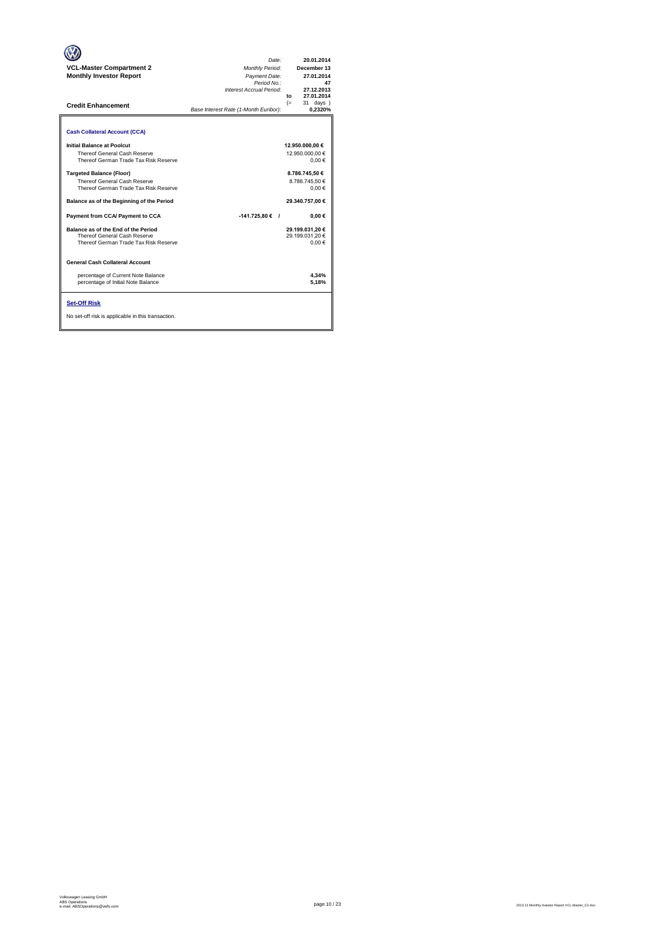| <b>VCL-Master Compartment 2</b><br><b>Monthly Investor Report</b><br><b>Credit Enhancement</b>                                                                                                                                                                                                                                                                                                                                                                                                                                                                                 | Date:<br>Monthly Period:<br>Payment Date:<br>Period No.:<br>Interest Accrual Period:<br>Base Interest Rate (1-Month Euribor): | 20.01.2014<br>December 13<br>27.01.2014<br>47<br>27.12.2013<br>27.01.2014<br>$f_{\Omega}$<br>$(=$<br>31 days )<br>0.2320%                                                             |
|--------------------------------------------------------------------------------------------------------------------------------------------------------------------------------------------------------------------------------------------------------------------------------------------------------------------------------------------------------------------------------------------------------------------------------------------------------------------------------------------------------------------------------------------------------------------------------|-------------------------------------------------------------------------------------------------------------------------------|---------------------------------------------------------------------------------------------------------------------------------------------------------------------------------------|
| <b>Cash Collateral Account (CCA)</b><br>Initial Balance at Poolcut<br>Thereof General Cash Reserve<br>Thereof German Trade Tax Risk Reserve<br><b>Targeted Balance (Floor)</b><br>Thereof General Cash Reserve<br>Thereof German Trade Tax Risk Reserve<br>Balance as of the Beginning of the Period<br>Payment from CCA/ Payment to CCA<br>Balance as of the End of the Period<br>Thereof General Cash Reserve<br>Thereof German Trade Tax Risk Reserve<br><b>General Cash Collateral Account</b><br>percentage of Current Note Balance<br>percentage of Initial Note Balance | $-141.725.80 ∈$ /                                                                                                             | 12.950.000,00 €<br>12.950.000.00 €<br>0.00€<br>8.786.745.50 €<br>8.786.745.50 €<br>0.00€<br>29.340.757.00 €<br>0.00€<br>29.199.031.20 €<br>29.199.031.20 €<br>0.00€<br>4.34%<br>5.18% |
| <b>Set-Off Risk</b><br>No set-off risk is applicable in this transaction.                                                                                                                                                                                                                                                                                                                                                                                                                                                                                                      |                                                                                                                               |                                                                                                                                                                                       |

**. . . .** Trigger Level 1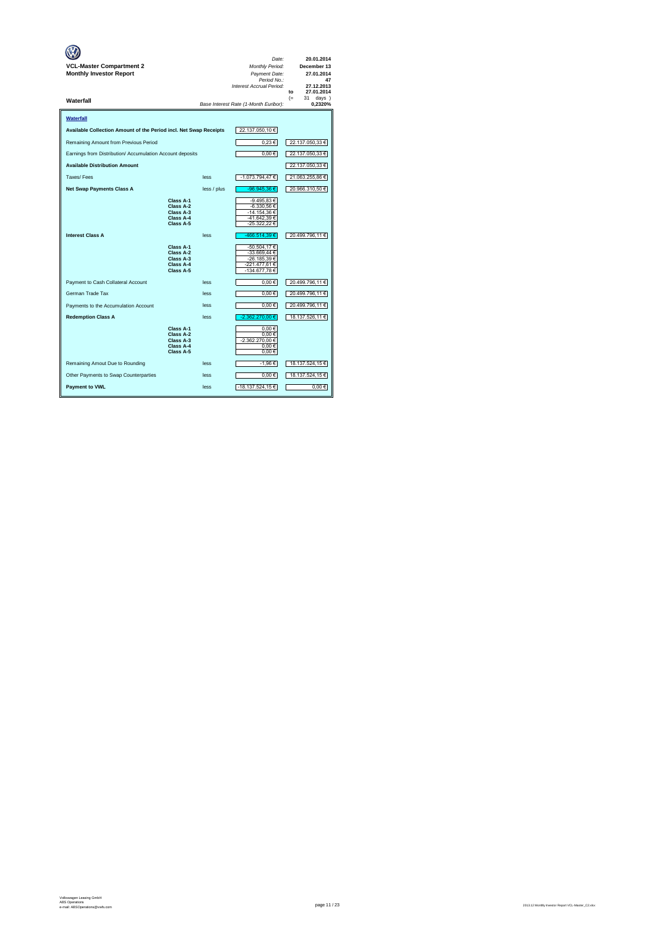| <b>VCL-Master Compartment 2</b><br><b>Monthly Investor Report</b> |                                                               |             | Date:<br><b>Monthly Period:</b><br>Payment Date:<br>Period No.:<br>Interest Accrual Period: | 20.01.2014<br>December 13<br>27.01.2014<br>47<br>27.12.2013<br>27.01.2014<br>to |
|-------------------------------------------------------------------|---------------------------------------------------------------|-------------|---------------------------------------------------------------------------------------------|---------------------------------------------------------------------------------|
| Waterfall                                                         |                                                               |             | Base Interest Rate (1-Month Euribor):                                                       | $(=$<br>31<br>$days$ )<br>0.2320%                                               |
| Waterfall                                                         |                                                               |             |                                                                                             |                                                                                 |
| Available Collection Amount of the Period incl. Net Swap Receipts |                                                               |             | 22.137.050,10 €                                                                             |                                                                                 |
| Remaining Amount from Previous Period                             |                                                               |             | 0,23€                                                                                       | 22.137.050,33 €                                                                 |
| Earnings from Distribution/ Accumulation Account deposits         |                                                               |             | $0,00 \in$                                                                                  | 22.137.050,33 €                                                                 |
| <b>Available Distribution Amount</b>                              |                                                               |             |                                                                                             | 22.137.050,33 €                                                                 |
| Taxes/Fees                                                        |                                                               | less        | -1.073.794,47 €                                                                             | 21.063.255,86 €                                                                 |
| <b>Net Swap Payments Class A</b>                                  |                                                               | less / plus | -96.945,36 €                                                                                | 20.966.310,50 €                                                                 |
|                                                                   | Class A-1<br>Class A-2<br>Class A-3<br>Class A-4<br>Class A-5 |             | -9.495,83 €<br>-6.330,56 €<br>-14.154.36 €<br>-41.642,39 €<br>-25.322,22 €                  |                                                                                 |
| <b>Interest Class A</b>                                           |                                                               | less        | -466.514,39€                                                                                | 20.499.796,11 €                                                                 |
|                                                                   | Class A-1<br>Class A-2<br>Class A-3<br>Class A-4<br>Class A-5 |             | -50.504,17€<br>-33.669,44 €<br>-26.185,39 €<br>-221.477.61 €<br>-134.677,78€                |                                                                                 |
| Payment to Cash Collateral Account                                |                                                               | less        | $0.00 \in$                                                                                  | 20.499.796,11 €                                                                 |
| German Trade Tax                                                  |                                                               | less        | $0,00 \in$                                                                                  | 20.499.796,11 €                                                                 |
| Payments to the Accumulation Account                              |                                                               | less        | $0,00 \in$                                                                                  | 20.499.796,11 €                                                                 |
| <b>Redemption Class A</b>                                         |                                                               | less        | -2.362.270.00 €                                                                             | 18.137.526,11 €                                                                 |
|                                                                   | Class A-1<br>Class A-2<br>Class A-3<br>Class A-4<br>Class A-5 |             | 0,00€<br>0.00€<br>-2.362.270,00 €<br>0,00€<br>0,00€                                         |                                                                                 |
| Remaining Amout Due to Rounding                                   |                                                               | less        | -1,96 €                                                                                     | 18.137.524,15 €                                                                 |
| Other Payments to Swap Counterparties                             |                                                               | less        | $0,00 \in$                                                                                  | 18.137.524,15€                                                                  |
| <b>Payment to VWL</b>                                             |                                                               | less        | -18.137.524,15 €                                                                            | 0.00€                                                                           |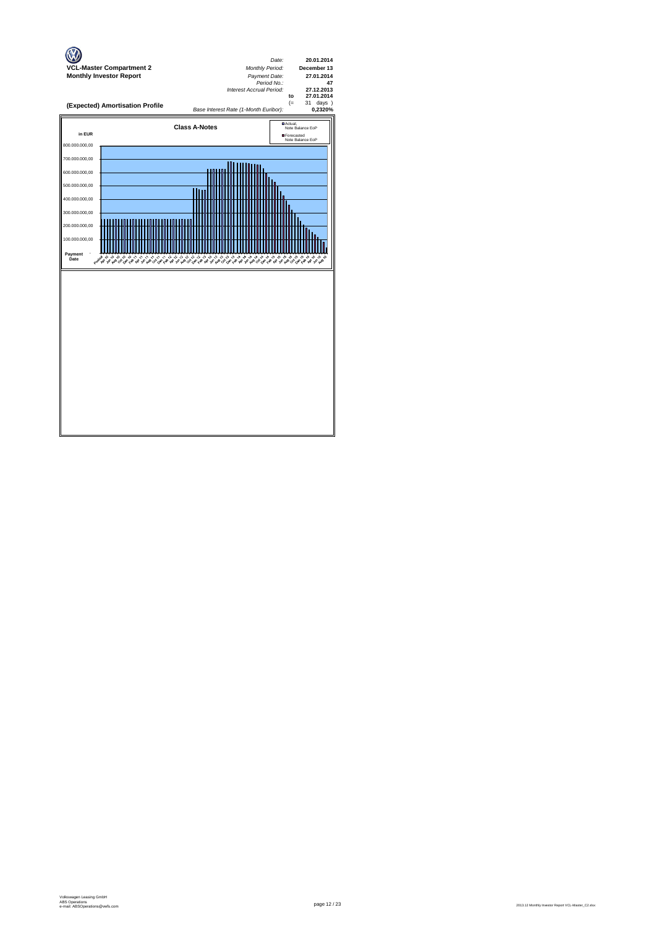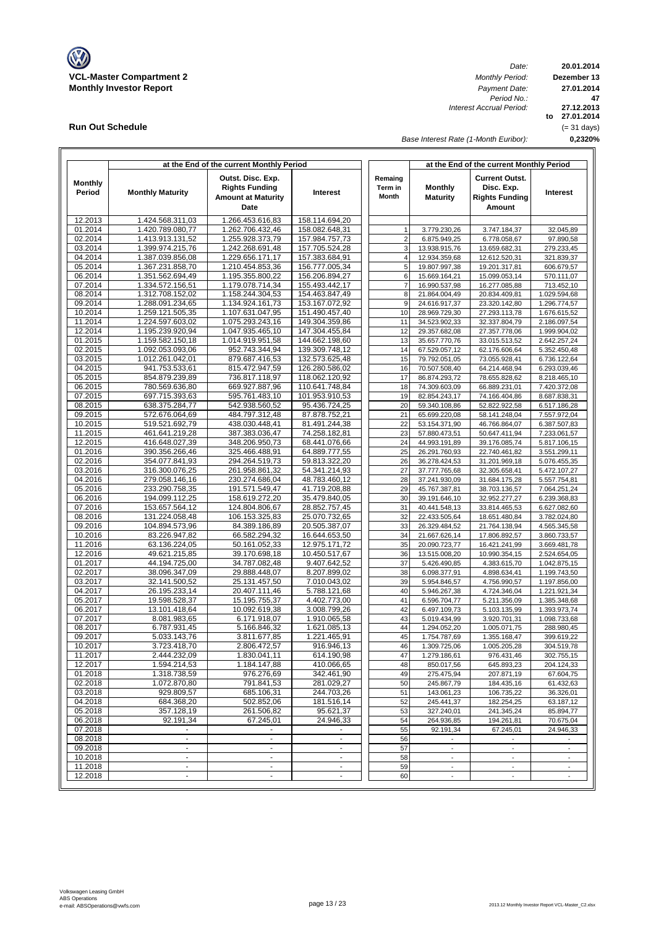

**Run Out Schedule**

*Date: Period No.: Interest Accrual Period:*

**20.01.2014 Dezember 13 to 27.01.2014 27.12.2013 0,2320% 47 27.01.2014** (= 31 days)

*Base Interest Rate (1-Month Euribor):*

|                          |                                      | at the End of the current Monthly Period                                        |                                  |                                    |                                                      | at the End of the current Monthly Period                               |                                            |
|--------------------------|--------------------------------------|---------------------------------------------------------------------------------|----------------------------------|------------------------------------|------------------------------------------------------|------------------------------------------------------------------------|--------------------------------------------|
| <b>Monthly</b><br>Period | <b>Monthly Maturity</b>              | Outst. Disc. Exp.<br><b>Rights Funding</b><br><b>Amount at Maturity</b><br>Date | Interest                         | Remaing<br>Term in<br><b>Month</b> | <b>Monthly</b><br><b>Maturity</b>                    | <b>Current Outst.</b><br>Disc. Exp.<br><b>Rights Funding</b><br>Amount | Interest                                   |
| 12.2013                  | 1.424.568.311,03                     | 1.266.453.616,83                                                                | 158.114.694.20                   |                                    |                                                      |                                                                        |                                            |
| 01.2014                  | 1.420.789.080.77                     | 1.262.706.432,46                                                                | 158.082.648,31                   | $\mathbf{1}$                       | 3.779.230,26                                         | 3.747.184,37                                                           | 32.045,89                                  |
| 02.2014                  | 1.413.913.131,52                     | 1.255.928.373,79                                                                | 157.984.757,73                   | $\overline{2}$                     | 6.875.949,25                                         | 6.778.058,67                                                           | 97.890,58                                  |
| 03.2014                  | 1.399.974.215,76                     | 1.242.268.691,48                                                                | 157.705.524,28                   | 3                                  | 13.938.915,76                                        | 13.659.682,31                                                          | 279.233,45                                 |
| 04.2014                  | 1.387.039.856,08<br>1.367.231.858,70 | 1.229.656.171,17                                                                | 157.383.684,91                   | $\overline{4}$<br>5                | 12.934.359,68                                        | 12.612.520,31<br>19.201.317,81                                         | 321.839,37                                 |
| 05.2014<br>06.2014       | 1.351.562.694.49                     | 1.210.454.853,36<br>1.195.355.800,22                                            | 156.777.005,34<br>156.206.894,27 | 6                                  | 19.807.997,38<br>15.669.164,21                       | 15.099.053,14                                                          | 606.679,57<br>570.111,07                   |
| 07.2014                  | 1.334.572.156,51                     | 1.179.078.714,34                                                                | 155.493.442,17                   | $\overline{7}$                     | 16.990.537,98                                        | 16.277.085,88                                                          | 713.452,10                                 |
| 08.2014                  | 1.312.708.152,02                     | 1.158.244.304,53                                                                | 154.463.847,49                   | 8                                  | 21.864.004,49                                        | 20.834.409,81                                                          | 1.029.594,68                               |
| 09.2014                  | 1.288.091.234,65                     | 1.134.924.161.73                                                                | 153.167.072,92                   | 9                                  | 24.616.917,37                                        | 23.320.142,80                                                          | 1.296.774,57                               |
| 10.2014                  | 1.259.121.505,35                     | 1.107.631.047,95                                                                | 151.490.457,40                   | 10                                 | 28.969.729,30                                        | 27.293.113,78                                                          | 1.676.615,52                               |
| 11.2014                  | 1.224.597.603,02                     | 1.075.293.243,16                                                                | 149.304.359,86                   | 11                                 | 34.523.902,33                                        | 32.337.804,79                                                          | 2.186.097,54                               |
| 12.2014                  | 1.195.239.920,94                     | 1.047.935.465,10                                                                | 147.304.455,84                   | 12                                 | 29.357.682,08                                        | 27.357.778,06                                                          | 1.999.904,02                               |
| 01.2015                  | 1.159.582.150,18                     | 1.014.919.951,58                                                                | 144.662.198,60                   | 13                                 | 35.657.770,76                                        | 33.015.513,52                                                          | 2.642.257,24                               |
| 02.2015<br>03.2015       | 1.092.053.093,06<br>1.012.261.042,01 | 952.743.344,94<br>879.687.416,53                                                | 139.309.748,12<br>132.573.625,48 | 14<br>15                           | 67.529.057,12<br>79.792.051,05                       | 62.176.606,64<br>73.055.928,41                                         | 5.352.450,48<br>6.736.122,64               |
| 04.2015                  | 941.753.533,61                       | 815.472.947,59                                                                  | 126.280.586,02                   | 16                                 | 70.507.508,40                                        | 64.214.468,94                                                          | 6.293.039,46                               |
| 05.2015                  | 854.879.239,89                       | 736.817.118,97                                                                  | 118.062.120,92                   | 17                                 | 86.874.293,72                                        | 78.655.828,62                                                          | 8.218.465,10                               |
| 06.2015                  | 780.569.636,80                       | 669.927.887,96                                                                  | 110.641.748,84                   | 18                                 | 74.309.603,09                                        | 66.889.231,01                                                          | 7.420.372,08                               |
| 07.2015                  | 697.715.393,63                       | 595.761.483,10                                                                  | 101.953.910,53                   | 19                                 | 82.854.243,17                                        | 74.166.404,86                                                          | 8.687.838,31                               |
| 08.2015                  | 638.375.284,77                       | 542.938.560,52                                                                  | 95.436.724,25                    | 20                                 | 59.340.108,86                                        | 52.822.922,58                                                          | 6.517.186,28                               |
| 09.2015                  | 572.676.064,69                       | 484.797.312,48                                                                  | 87.878.752,21                    | 21                                 | 65.699.220,08                                        | 58.141.248,04                                                          | 7.557.972,04                               |
| 10.2015                  | 519.521.692,79                       | 438.030.448,41                                                                  | 81.491.244,38                    | 22                                 | 53.154.371,90                                        | 46.766.864,07                                                          | 6.387.507,83                               |
| 11.2015<br>12.2015       | 461.641.219,28<br>416.648.027,39     | 387.383.036,47<br>348.206.950,73                                                | 74.258.182,81<br>68.441.076,66   | 23<br>24                           | 57.880.473,51                                        | 50.647.411,94                                                          | 7.233.061,57                               |
| 01.2016                  | 390.356.266,46                       | 325.466.488,91                                                                  | 64.889.777,55                    | 25                                 | 44.993.191,89<br>26.291.760,93                       | 39.176.085,74<br>22.740.461,82                                         | 5.817.106,15<br>3.551.299,11               |
| 02.2016                  | 354.077.841.93                       | 294.264.519,73                                                                  | 59.813.322.20                    | 26                                 | 36.278.424,53                                        | 31.201.969,18                                                          | 5.076.455,35                               |
| 03.2016                  | 316.300.076,25                       | 261.958.861,32                                                                  | 54.341.214,93                    | 27                                 | 37.777.765,68                                        | 32.305.658,41                                                          | 5.472.107,27                               |
| 04.2016                  | 279.058.146,16                       | 230.274.686,04                                                                  | 48.783.460,12                    | 28                                 | 37.241.930,09                                        | 31.684.175,28                                                          | 5.557.754,81                               |
| 05.2016                  | 233.290.758,35                       | 191.571.549,47                                                                  | 41.719.208,88                    | 29                                 | 45.767.387,81                                        | 38.703.136,57                                                          | 7.064.251,24                               |
| 06.2016                  | 194.099.112,25                       | 158.619.272,20                                                                  | 35.479.840,05                    | 30                                 | 39.191.646,10                                        | 32.952.277,27                                                          | 6.239.368,83                               |
| 07.2016<br>08.2016       | 153.657.564,12<br>131.224.058,48     | 124.804.806,67<br>106.153.325,83                                                | 28.852.757,45<br>25.070.732,65   | 31<br>32                           | 40.441.548,13<br>22.433.505,64                       | 33.814.465,53<br>18.651.480,84                                         | 6.627.082,60<br>3.782.024,80               |
| 09.2016                  | 104.894.573,96                       | 84.389.186,89                                                                   | 20.505.387,07                    | 33                                 | 26.329.484,52                                        | 21.764.138,94                                                          | 4.565.345,58                               |
| 10.2016                  | 83.226.947,82                        | 66.582.294,32                                                                   | 16.644.653,50                    | 34                                 | 21.667.626,14                                        | 17.806.892,57                                                          | 3.860.733,57                               |
| 11.2016                  | 63.136.224,05                        | 50.161.052,33                                                                   | 12.975.171,72                    | 35                                 | 20.090.723,77                                        | 16.421.241,99                                                          | 3.669.481,78                               |
| 12.2016                  | 49.621.215,85                        | 39.170.698,18                                                                   | 10.450.517,67                    | 36                                 | 13.515.008,20                                        | 10.990.354,15                                                          | 2.524.654,05                               |
| 01.2017                  | 44.194.725,00                        | 34.787.082,48                                                                   | 9.407.642,52                     | 37                                 | 5.426.490,85                                         | 4.383.615,70                                                           | 1.042.875,15                               |
| 02.2017                  | 38.096.347,09                        | 29.888.448,07                                                                   | 8.207.899,02                     | 38                                 | 6.098.377,91                                         | 4.898.634,41                                                           | 1.199.743,50                               |
| 03.2017                  | 32.141.500,52                        | 25.131.457,50                                                                   | 7.010.043,02                     | 39                                 | 5.954.846,57                                         | 4.756.990,57                                                           | 1.197.856,00                               |
| 04.2017<br>05.2017       | 26.195.233,14<br>19.598.528,37       | 20.407.111,46<br>15.195.755,37                                                  | 5.788.121,68<br>4.402.773,00     | 40<br>41                           | 5.946.267,38<br>6.596.704,77                         | 4.724.346,04<br>5.211.356,09                                           | 1.221.921,34<br>1.385.348,68               |
| 06.2017                  | 13.101.418,64                        | 10.092.619,38                                                                   | 3.008.799,26                     | 42                                 | 6.497.109,73                                         | 5.103.135,99                                                           | 1.393.973,74                               |
| 07.2017                  | 8.081.983,65                         | 6.171.918,07                                                                    | 1.910.065,58                     | 43                                 | 5.019.434,99                                         | 3.920.701,31                                                           | 1.098.733,68                               |
| 08.2017                  | 6.787.931,45                         | 5.166.846,32                                                                    | 1.621.085,13                     | 44                                 | 1.294.052,20                                         | 1.005.071,75                                                           | 288.980,45                                 |
| 09.2017                  | 5.033.143,76                         | 3.811.677,85                                                                    | 1.221.465,91                     | 45                                 | 1.754.787,69                                         | 1.355.168,47                                                           | 399.619,22                                 |
| 10.2017                  | 3.723.418,70                         | 2.806.472,57                                                                    | 916.946,13                       | 46                                 | 1.309.725,06                                         | 1.005.205,28                                                           | 304.519,78                                 |
| 11.2017                  | 2.444.232,09                         | 1.830.041,11                                                                    | 614.190,98                       | 47                                 | 1.279.186,61                                         | 976.431,46                                                             | 302.755,15                                 |
| 12.2017<br>01.2018       | 1.594.214,53<br>1.318.738,59         | 1.184.147,88<br>976.276,69                                                      | 410.066,65<br>342.461,90         | 48                                 | 850.017,56                                           | 645.893,23                                                             | 204.124,33<br>67.604,75                    |
| 02.2018                  | 1.072.870,80                         | 791.841,53                                                                      | 281.029,27                       | 49<br>50                           | 275.475,94<br>245.867,79                             | 207.871,19<br>184.435,16                                               | 61.432,63                                  |
| 03.2018                  | 929.809,57                           | 685.106,31                                                                      | 244.703,26                       | 51                                 | 143.061,23                                           | 106.735,22                                                             | 36.326,01                                  |
| 04.2018                  | 684.368,20                           | 502.852,06                                                                      | 181.516,14                       | 52                                 | 245.441,37                                           | 182.254,25                                                             | 63.187,12                                  |
| 05.2018                  | 357.128,19                           | 261.506,82                                                                      | 95.621,37                        | 53                                 | 327.240,01                                           | 241.345,24                                                             | 85.894,77                                  |
| 06.2018                  | 92.191,34                            | 67.245,01                                                                       | 24.946,33                        | 54                                 | 264.936,85                                           | 194.261,81                                                             | 70.675,04                                  |
| 07.2018                  |                                      |                                                                                 |                                  | 55                                 | 92.191,34                                            | 67.245,01                                                              | 24.946,33                                  |
| 08.2018                  | $\blacksquare$<br>$\blacksquare$     | $\blacksquare$<br>$\blacksquare$                                                | $\mathbf{r}$<br>$\blacksquare$   | 56                                 |                                                      |                                                                        |                                            |
| 09.2018<br>10.2018       | $\blacksquare$                       | $\blacksquare$                                                                  | $\sim$                           | 57<br>58                           | $\overline{\phantom{a}}$<br>$\overline{\phantom{a}}$ | $\overline{\phantom{a}}$<br>$\blacksquare$                             | $\overline{\phantom{a}}$<br>$\blacksquare$ |
| 11.2018                  | $\blacksquare$                       | $\blacksquare$                                                                  | $\blacksquare$                   | 59                                 | $\sim$                                               | $\blacksquare$                                                         | $\overline{\phantom{a}}$                   |
| 12.2018                  | $\overline{a}$                       | ÷                                                                               | $\blacksquare$                   | 60                                 | $\overline{\phantom{a}}$                             | $\overline{\phantom{a}}$                                               | $\overline{\phantom{a}}$                   |
|                          |                                      |                                                                                 |                                  |                                    |                                                      |                                                                        |                                            |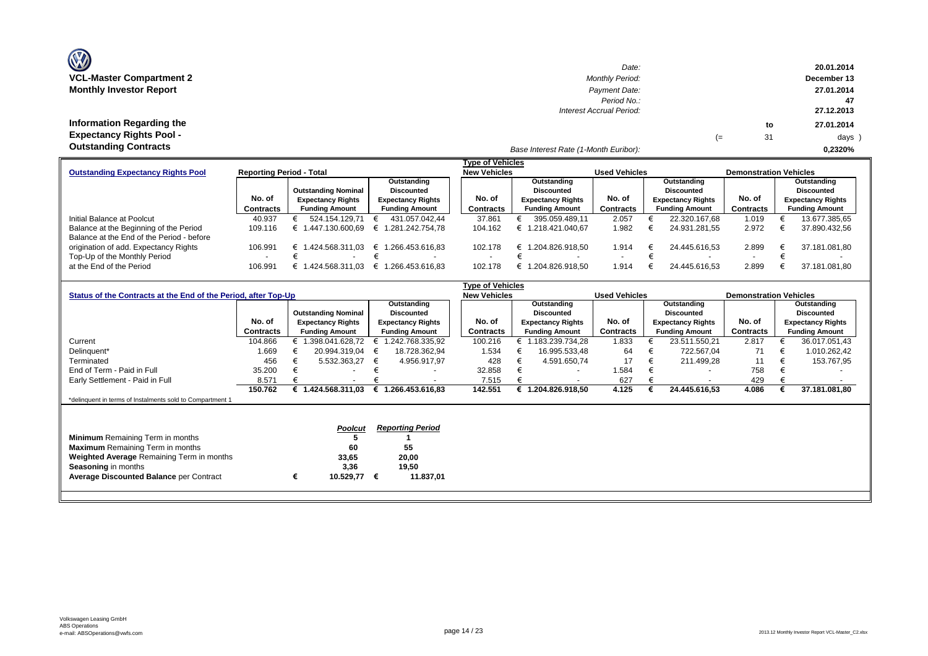| <b>OZ</b>                       |
|---------------------------------|
| <b>VCL-Master Compartment 2</b> |
| <b>Monthly Investor Report</b>  |

| $\mathbf{w}$                    | Date:                                 |    |    | 20.01.2014  |
|---------------------------------|---------------------------------------|----|----|-------------|
| VCL-Master Compartment 2        | <b>Monthly Period:</b>                |    |    | December 13 |
| <b>Monthly Investor Report</b>  | Payment Date:                         |    |    | 27.01.2014  |
|                                 | Period No.:                           |    |    | 47          |
|                                 | Interest Accrual Period:              |    |    | 27.12.2013  |
| Information Regarding the       |                                       |    | to | 27.01.2014  |
| <b>Expectancy Rights Pool -</b> |                                       | (≕ | 31 | days )      |
| <b>Outstanding Contracts</b>    | Base Interest Rate (1-Month Euribor): |    |    | 0.2320%     |

|                                           |                                 |                            |                          | <b>Type of Vehicles</b> |                          |                      |                          |                               |                          |
|-------------------------------------------|---------------------------------|----------------------------|--------------------------|-------------------------|--------------------------|----------------------|--------------------------|-------------------------------|--------------------------|
| <b>Outstanding Expectancy Rights Pool</b> | <b>Reporting Period - Total</b> |                            |                          | <b>New Vehicles</b>     |                          | <b>Used Vehicles</b> |                          | <b>Demonstration Vehicles</b> |                          |
|                                           |                                 |                            | Outstanding              |                         | Outstanding              |                      | Outstanding              |                               | Outstanding              |
|                                           |                                 | <b>Outstanding Nominal</b> | Discounted               |                         | <b>Discounted</b>        |                      | Discounted               |                               | <b>Discounted</b>        |
|                                           | No. of                          | <b>Expectancy Rights</b>   | <b>Expectancy Rights</b> | No. of                  | <b>Expectancy Rights</b> | No. of               | <b>Expectancy Rights</b> | No. of                        | <b>Expectancy Rights</b> |
|                                           | Contracts                       | <b>Funding Amount</b>      | <b>Funding Amount</b>    | Contracts               | <b>Funding Amount</b>    | Contracts            | <b>Funding Amount</b>    | Contracts                     | <b>Funding Amount</b>    |
| Initial Balance at Poolcut                | 40.937                          | 524.154.129.71             | 431.057.042.44           | 37.861                  | 395.059.489.11           | 2.057                | 22.320.167.68            | 1.019                         | 13.677.385,65            |
| Balance at the Beginning of the Period    | 109.116                         | 1.447.130.600.69           | € 1.281.242.754.78       | 104.162                 | 1.218.421.040.67         | 1.982                | 24.931.281.55            | 2.972                         | 37.890.432,56            |
| Balance at the End of the Period - before |                                 |                            |                          |                         |                          |                      |                          |                               |                          |
| origination of add. Expectancy Rights     | 106.991                         | € 1.424.568.311.03         | € 1.266.453.616.83       | 102.178                 | 1.204.826.918.50<br>€    | 1.914                | 24.445.616.53            | 2.899                         | 37.181.081.80            |
| Top-Up of the Monthly Period              |                                 |                            |                          |                         |                          |                      |                          |                               |                          |
| at the End of the Period                  | 106.991                         | 1.424.568.311.03           | 1.266.453.616.83<br>—€ 1 | 102.178                 | 1.204.826.918.50         | 1.914                | 24.445.616.53            | 2.899                         | 37.181.081.80            |

| <b>Type of Vehicles</b>                                        |           |   |                            |   |                          |  |                     |  |                          |                      |   |                          |                               |                          |
|----------------------------------------------------------------|-----------|---|----------------------------|---|--------------------------|--|---------------------|--|--------------------------|----------------------|---|--------------------------|-------------------------------|--------------------------|
| Status of the Contracts at the End of the Period, after Top-Up |           |   |                            |   |                          |  | <b>New Vehicles</b> |  |                          | <b>Used Vehicles</b> |   |                          | <b>Demonstration Vehicles</b> |                          |
|                                                                |           |   |                            |   | Outstanding              |  |                     |  | Outstanding              |                      |   | Outstanding              |                               | Outstanding              |
|                                                                |           |   | <b>Outstanding Nominal</b> |   | <b>Discounted</b>        |  |                     |  | <b>Discounted</b>        |                      |   | <b>Discounted</b>        |                               | <b>Discounted</b>        |
|                                                                | No. of    |   | <b>Expectancy Rights</b>   |   | <b>Expectancy Rights</b> |  | No. of              |  | <b>Expectancy Rights</b> | No. of               |   | <b>Expectancy Rights</b> | No. of                        | <b>Expectancy Rights</b> |
|                                                                | Contracts |   | <b>Funding Amount</b>      |   | <b>Funding Amount</b>    |  | Contracts           |  | <b>Funding Amount</b>    | Contracts            |   | <b>Funding Amount</b>    | Contracts                     | <b>Funding Amount</b>    |
| Current                                                        | 104.866   |   | 1.398.041.628,72           |   | .242.768.335,92          |  | 100.216             |  | 1.183.239.734,28         | 1.833                |   | 23.511.550,21            | 2.817                         | 36.017.051,43            |
| Delinguent*                                                    | 1.669     |   | 20.994.319,04              |   | 18.728.362,94            |  | 1.534               |  | 16.995.533,48            | 64                   |   | 722.567,04               | 71                            | 1.010.262,42             |
| Terminated                                                     | 456       |   | 5.532.363,27               | € | 4.956.917,97             |  | 428                 |  | 4.591.650,74             | 17                   | € | 211.499,28               | 11                            | 153.767,95               |
| End of Term - Paid in Full                                     | 35.200    |   |                            |   |                          |  | 32.858              |  | $\overline{\phantom{0}}$ | 1.584                |   | $\overline{\phantom{a}}$ | 758                           |                          |
| Early Settlement - Paid in Full                                | 8.57'     |   |                            |   |                          |  | 7.515               |  | $\overline{\phantom{a}}$ | 627                  |   | $\overline{\phantom{a}}$ | 429                           |                          |
|                                                                | 150.762   |   | € $1.424.568.311.03$       |   | € 1.266.453.616,83       |  | 142.551             |  | 1.204.826.918,50         | 4.125                |   | 24.445.616,53            | 4.086                         | 37.181.081,80            |
| *delinquent in terms of Instalments sold to Compartment 1      |           |   |                            |   |                          |  |                     |  |                          |                      |   |                          |                               |                          |
|                                                                |           |   |                            |   |                          |  |                     |  |                          |                      |   |                          |                               |                          |
|                                                                |           |   |                            |   |                          |  |                     |  |                          |                      |   |                          |                               |                          |
|                                                                |           |   | <b>Poolcut</b>             |   | <b>Reporting Period</b>  |  |                     |  |                          |                      |   |                          |                               |                          |
| <b>Minimum</b> Remaining Term in months                        |           |   |                            |   |                          |  |                     |  |                          |                      |   |                          |                               |                          |
| <b>Maximum</b> Remaining Term in months                        |           |   | 60                         |   | 55                       |  |                     |  |                          |                      |   |                          |                               |                          |
| Weighted Average Remaining Term in months                      |           |   | 33,65                      |   | 20,00                    |  |                     |  |                          |                      |   |                          |                               |                          |
| Seasoning in months                                            |           |   | 3,36                       |   | 19,50                    |  |                     |  |                          |                      |   |                          |                               |                          |
| <b>Average Discounted Balance per Contract</b>                 |           | € | 10.529,77                  | € | 11.837,01                |  |                     |  |                          |                      |   |                          |                               |                          |
|                                                                |           |   |                            |   |                          |  |                     |  |                          |                      |   |                          |                               |                          |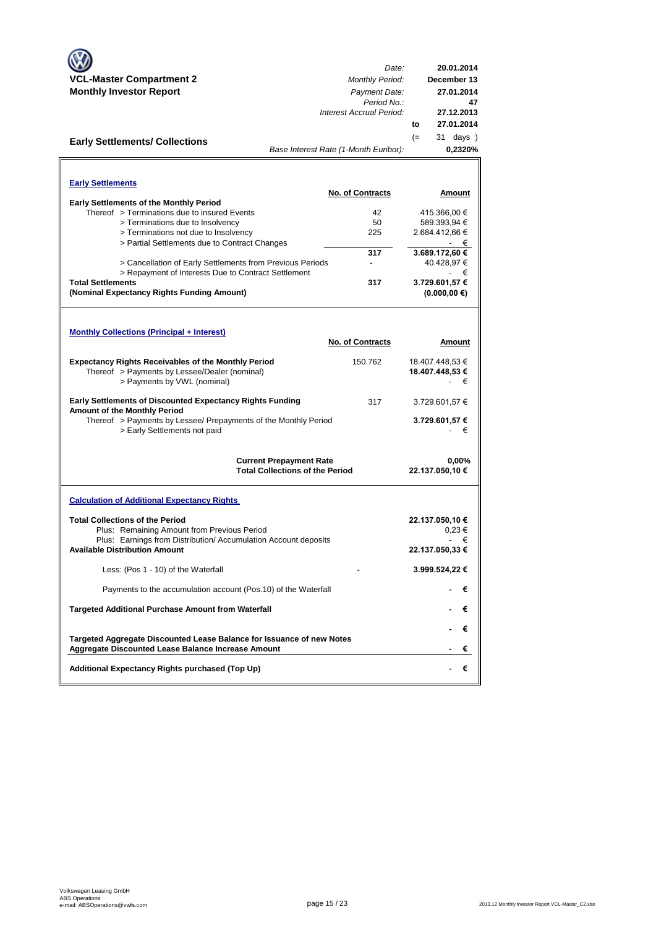| Date:<br><b>VCL-Master Compartment 2</b><br><b>Monthly Period:</b><br><b>Monthly Investor Report</b><br>Payment Date:<br>Period No.:<br>Interest Accrual Period:<br>to<br>$(=$<br><b>Early Settlements/ Collections</b><br>Base Interest Rate (1-Month Euribor):<br><b>Early Settlements</b><br><b>No. of Contracts</b><br><b>Early Settlements of the Monthly Period</b><br>Thereof > Terminations due to insured Events<br>42 | 20.01.2014<br>December 13<br>27.01.2014<br>47<br>27.12.2013<br>27.01.2014<br>31 days )<br>0,2320%<br>Amount<br>415.366,00 €<br>589.393,94 € |
|---------------------------------------------------------------------------------------------------------------------------------------------------------------------------------------------------------------------------------------------------------------------------------------------------------------------------------------------------------------------------------------------------------------------------------|---------------------------------------------------------------------------------------------------------------------------------------------|
|                                                                                                                                                                                                                                                                                                                                                                                                                                 |                                                                                                                                             |
|                                                                                                                                                                                                                                                                                                                                                                                                                                 |                                                                                                                                             |
|                                                                                                                                                                                                                                                                                                                                                                                                                                 |                                                                                                                                             |
|                                                                                                                                                                                                                                                                                                                                                                                                                                 |                                                                                                                                             |
|                                                                                                                                                                                                                                                                                                                                                                                                                                 |                                                                                                                                             |
|                                                                                                                                                                                                                                                                                                                                                                                                                                 |                                                                                                                                             |
|                                                                                                                                                                                                                                                                                                                                                                                                                                 |                                                                                                                                             |
|                                                                                                                                                                                                                                                                                                                                                                                                                                 |                                                                                                                                             |
|                                                                                                                                                                                                                                                                                                                                                                                                                                 |                                                                                                                                             |
|                                                                                                                                                                                                                                                                                                                                                                                                                                 |                                                                                                                                             |
|                                                                                                                                                                                                                                                                                                                                                                                                                                 |                                                                                                                                             |
| > Terminations due to Insolvency<br>50                                                                                                                                                                                                                                                                                                                                                                                          |                                                                                                                                             |
| > Terminations not due to Insolvency<br>225                                                                                                                                                                                                                                                                                                                                                                                     | 2.684.412,66 €                                                                                                                              |
| > Partial Settlements due to Contract Changes                                                                                                                                                                                                                                                                                                                                                                                   | - €                                                                                                                                         |
| 317                                                                                                                                                                                                                                                                                                                                                                                                                             | 3.689.172,60 €                                                                                                                              |
| > Cancellation of Early Settlements from Previous Periods                                                                                                                                                                                                                                                                                                                                                                       | 40.428,97 €                                                                                                                                 |
| > Repayment of Interests Due to Contract Settlement                                                                                                                                                                                                                                                                                                                                                                             | - €                                                                                                                                         |
| <b>Total Settlements</b><br>317                                                                                                                                                                                                                                                                                                                                                                                                 | 3.729.601,57 €                                                                                                                              |
| (Nominal Expectancy Rights Funding Amount)                                                                                                                                                                                                                                                                                                                                                                                      | $(0.000, 00 \in)$                                                                                                                           |
|                                                                                                                                                                                                                                                                                                                                                                                                                                 |                                                                                                                                             |
|                                                                                                                                                                                                                                                                                                                                                                                                                                 |                                                                                                                                             |
| <b>Monthly Collections (Principal + Interest)</b>                                                                                                                                                                                                                                                                                                                                                                               |                                                                                                                                             |
| <b>No. of Contracts</b>                                                                                                                                                                                                                                                                                                                                                                                                         | Amount                                                                                                                                      |
| <b>Expectancy Rights Receivables of the Monthly Period</b><br>150.762                                                                                                                                                                                                                                                                                                                                                           | 18.407.448,53 €                                                                                                                             |
| Thereof > Payments by Lessee/Dealer (nominal)                                                                                                                                                                                                                                                                                                                                                                                   | 18.407.448,53 €                                                                                                                             |
| > Payments by VWL (nominal)                                                                                                                                                                                                                                                                                                                                                                                                     | €                                                                                                                                           |
|                                                                                                                                                                                                                                                                                                                                                                                                                                 |                                                                                                                                             |
| <b>Early Settlements of Discounted Expectancy Rights Funding</b><br>317<br>Amount of the Monthly Period                                                                                                                                                                                                                                                                                                                         | 3.729.601,57 €                                                                                                                              |
| Thereof > Payments by Lessee/ Prepayments of the Monthly Period                                                                                                                                                                                                                                                                                                                                                                 | 3.729.601,57 €                                                                                                                              |
| > Early Settlements not paid                                                                                                                                                                                                                                                                                                                                                                                                    | - €                                                                                                                                         |
|                                                                                                                                                                                                                                                                                                                                                                                                                                 |                                                                                                                                             |
| <b>Current Prepayment Rate</b>                                                                                                                                                                                                                                                                                                                                                                                                  | 0,00%                                                                                                                                       |
| <b>Total Collections of the Period</b>                                                                                                                                                                                                                                                                                                                                                                                          | 22.137.050,10 €                                                                                                                             |
|                                                                                                                                                                                                                                                                                                                                                                                                                                 |                                                                                                                                             |
| <b>Calculation of Additional Expectancy Rights</b>                                                                                                                                                                                                                                                                                                                                                                              |                                                                                                                                             |
|                                                                                                                                                                                                                                                                                                                                                                                                                                 |                                                                                                                                             |
| <b>Total Collections of the Period</b>                                                                                                                                                                                                                                                                                                                                                                                          | 22.137.050,10 €                                                                                                                             |
| Plus: Remaining Amount from Previous Period                                                                                                                                                                                                                                                                                                                                                                                     | $0.23 \in$                                                                                                                                  |
| Plus: Earnings from Distribution/Accumulation Account deposits<br><b>Available Distribution Amount</b>                                                                                                                                                                                                                                                                                                                          | €<br>22.137.050,33 €                                                                                                                        |
| Less: (Pos 1 - 10) of the Waterfall                                                                                                                                                                                                                                                                                                                                                                                             | 3.999.524,22 €                                                                                                                              |
|                                                                                                                                                                                                                                                                                                                                                                                                                                 |                                                                                                                                             |
| Payments to the accumulation account (Pos.10) of the Waterfall                                                                                                                                                                                                                                                                                                                                                                  | €                                                                                                                                           |
| <b>Targeted Additional Purchase Amount from Waterfall</b>                                                                                                                                                                                                                                                                                                                                                                       | €                                                                                                                                           |
|                                                                                                                                                                                                                                                                                                                                                                                                                                 | €                                                                                                                                           |
| Targeted Aggregate Discounted Lease Balance for Issuance of new Notes                                                                                                                                                                                                                                                                                                                                                           |                                                                                                                                             |
| <b>Aggregate Discounted Lease Balance Increase Amount</b>                                                                                                                                                                                                                                                                                                                                                                       | €                                                                                                                                           |
| Additional Expectancy Rights purchased (Top Up)                                                                                                                                                                                                                                                                                                                                                                                 | €                                                                                                                                           |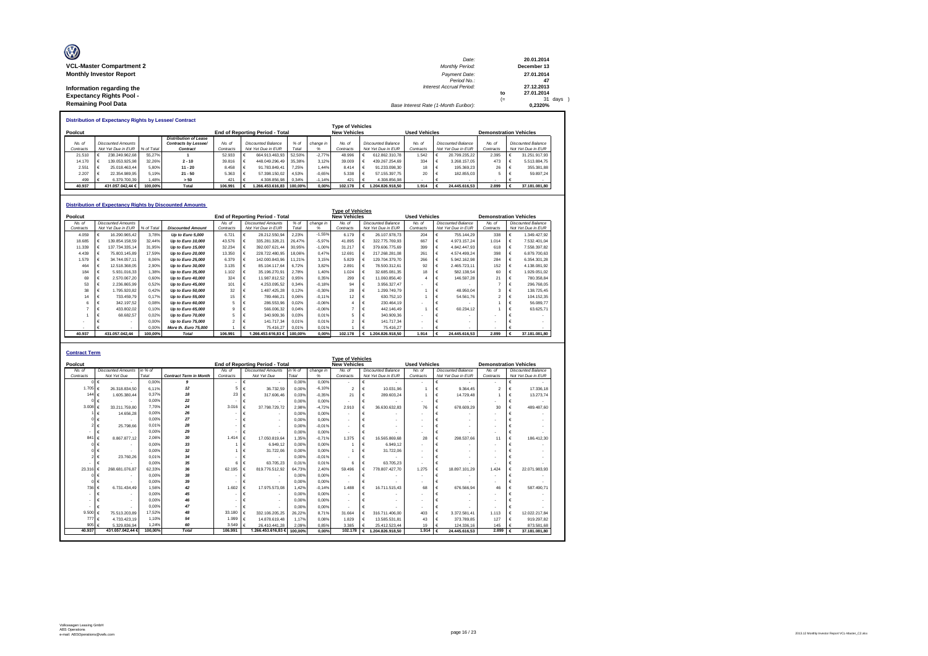| Ø                               | Date:                                 |      | 20.01.2014  |
|---------------------------------|---------------------------------------|------|-------------|
| <b>VCL-Master Compartment 2</b> | <b>Monthly Period:</b>                |      | December 13 |
| <b>Monthly Investor Report</b>  | Payment Date:                         |      | 27.01.2014  |
|                                 | Period No.:                           |      | 47          |
| Information regarding the       | Interest Accrual Period:              |      | 27.12.2013  |
| <b>Expectancy Rights Pool -</b> |                                       | to   | 27.01.2014  |
|                                 |                                       | $(=$ | 31 days     |
| <b>Remaining Pool Data</b>      | Base Interest Rate (1-Month Euribor): |      | 0.2320%     |

|                     |                                                 |            | <b>Distribution of Expectancy Rights by Lessee/ Contract</b>     |                     |                                          |               |           |                                                |                                          |                      |                                          |                               |                                                 |
|---------------------|-------------------------------------------------|------------|------------------------------------------------------------------|---------------------|------------------------------------------|---------------|-----------|------------------------------------------------|------------------------------------------|----------------------|------------------------------------------|-------------------------------|-------------------------------------------------|
| Poolcut             |                                                 |            |                                                                  |                     | <b>End of Reporting Period - Total</b>   |               |           | <b>Type of Vehicles</b><br><b>New Vehicles</b> |                                          | <b>Used Vehicles</b> |                                          | <b>Demonstration Vehicles</b> |                                                 |
| No. of<br>Contracts | <b>Discounted Amounts</b><br>Not Yet Due in EUR | % of Total | <b>Distribution of Lease</b><br>Contracts by Lessee/<br>Contract | No. of<br>Contracts | Discounted Balance<br>Not Yet Due in EUR | % of<br>Total | change in | No. of<br>Contracts                            | Discounted Balance<br>Not Yet Due in EUR | No. of<br>Contracts  | Discounted Balance<br>Not Yet Due in EUR | No. of<br>Contracts           | <b>Discounted Balance</b><br>Not Yet Due in EUR |
| 21.510              | 238.249.962.68                                  | 55.27%     |                                                                  | 52.933              | 664.913.463.93                           | 52.50%        | $-2.77%$  | 48.996                                         | 612.862.310.78                           | 1.542                | 20.799.235.22                            | 2.395                         | 31.251.917.93                                   |
| 14.170              | 139.053.925.98                                  | 32.26%     | $2 - 10$                                                         | 39,816              | 448.049.296.49                           | 35.38%        | 3.12%     | 39,009                                         | 439.267.254.69                           | 334                  | 3.268.157.05                             | 473                           | 5.513.884.75                                    |
| 2.551               | 25.018.463.44                                   | 5.80%      | $11 - 20$                                                        | 8.458               | 91.783.849.41                            | 7.25%         | 1.44%     | 8414                                           | 91.233.098.30                            | 18                   | 195, 369, 23                             | 26                            | 355, 381, 88                                    |
| 2.207               | 22.354.989.95                                   | 5.19%      | $21 - 50$                                                        | 5.363               | 57.398.150.02                            | 4.53%         | $-0.65%$  | 5338                                           | 57.155.397.75                            | 20                   | 182.855.03                               |                               | 59,897.24                                       |
| 499                 | 6.379.700.39                                    | 1.48%      | > 50                                                             | 421                 | 4.308.856.98                             | 0.34%         | $-1.14%$  | 421                                            | 4.308.856.98                             |                      |                                          |                               |                                                 |
| 40.937              | 431.057.042.44 €                                | 100.00%    | Total                                                            | 106.991             | 1.266.453.616.83                         | 100.00%       | 0.00%     | 102.178                                        | .204.826.918.50                          | 1.914                | 24.445.616.53                            | 2.899                         | 37.181.081.80                                   |

|         |           |                           |            | <b>Distribution of Expectancy Rights by Discounted Amounts</b> |           |                                        |         |           |                         |            |                           |                      |   |                           |                               |   |                           |
|---------|-----------|---------------------------|------------|----------------------------------------------------------------|-----------|----------------------------------------|---------|-----------|-------------------------|------------|---------------------------|----------------------|---|---------------------------|-------------------------------|---|---------------------------|
|         |           |                           |            |                                                                |           |                                        |         |           | <b>Type of Vehicles</b> |            |                           |                      |   |                           |                               |   |                           |
| Poolcut |           |                           |            |                                                                |           | <b>End of Reporting Period - Total</b> |         |           | <b>New Vehicles</b>     |            |                           | <b>Used Vehicles</b> |   |                           | <b>Demonstration Vehicles</b> |   |                           |
|         | No. of    | <b>Discounted Amounts</b> |            |                                                                | No. of    | <b>Discounted Amounts</b>              | $%$ of  | change in | No. of                  |            | <b>Discounted Balance</b> | No. of               |   | <b>Discounted Balance</b> | No. of                        |   | <b>Discounted Balance</b> |
|         | Contracts | Not Yet Due in EUR        | % of Total | <b>Discounted Amount</b>                                       | Contracts | Not Yet Due in EUR                     | Total   | %         | Contracts               |            | Not Yet Due in EUR        | Contracts            |   | Not Yet Due in EUR        | Contracts                     |   | Not Yet Due in EUR        |
|         | 4.059     | 16.290.965.42             | 3.78%      | Up to Euro 5,000                                               | 6.721     | 28.212.550.94                          | 2.23%   | $-1,55%$  | 6.179                   |            | 26.107.978.73             | 204                  |   | 755.144.29                | 338                           |   | 1.349.427.92              |
|         | 18,685    | 139.854.158.59            | 32.44%     | Up to Euro 10,000                                              | 43.576    | 335.281.328.21                         | 26.47%  | $-5.97%$  | 41.895                  |            | 322.775.769.93            | 667                  | € | 4.973.157.24              | 1.014                         | € | 7.532.401.04              |
|         | 11.339    | 137.734.335.14            | 31,95%     | Up to Euro 15,000                                              | 32.234    | 392.007.621,44                         | 30,95%  | $-1,00%$  | 31.217                  | €          | 379.606.775.69            | 399                  | € | 4.842.447.93              | 618                           | € | 7.558.397.82              |
|         | 4.439     | 75.803.145.89             | 17.59%     | Up to Euro 20,000                                              | 13,350    | 228.722.480.95                         | 18.06%  | 0.47%     | 12.691                  | €          | 217.268.281.08            | 261                  | € | 4.574.499.24              | 398                           | € | 6.879.700.63              |
|         | 1.579     | 34.744.057.11             | 8.06%      | Up to Euro 25,000                                              | 6.379     | 142.000.843.96                         | 11.21%  | 3,15%     | 5.829                   | €          | 129.704.379.70            | 266                  | € | 5.942.162.98              | 284                           | € | 6.354.301.28              |
|         | 464       | 12.518.368.05             | 2,90%      | Up to Euro 30,000                                              | 3.135     | 85.104.117.64                          | 6.72%   | 3,82%     | 2.891                   | $\epsilon$ | 78.500.312.61             | 92                   | € | 2.465.723,11              | 152                           | € | 4.138.081,92              |
|         | 184       | 5.931.016.33              | 1.38%      | Up to Euro 35,000                                              | 1.102     | 35.196.270.91                          | 2.78%   | 1,40%     | 1.024                   | €          | 32.685.081.35             | 18                   | € | 582.138.54                | 60                            | € | 1.929.051.02              |
|         | 69        | 2.570.067.20              | 0.60%      | Up to Euro 40,000                                              | 324       | 11.987.812.52                          | 0.95%   | 0,35%     | 299                     |            | 11.060.856.40             | 4                    | € | 146.597.28                | 21                            | € | 780.358.84                |
|         | 53        | 2.236.865.99              | 0,52%      | Up to Euro 45,000                                              | 101       | 4.253.095,52                           | 0.34%   | $-0.18%$  | 94                      | €          | 3.956.327,47              |                      | € |                           |                               | € | 296.768,05                |
|         | 38        | 1.795.920.82              | 0.42%      | Up to Euro 50,000                                              | 32        | 1.487.425.28                           | 0.12%   | $-0.30%$  | 28                      | €          | 1.299.749.79              |                      | € | 48.950.04                 | 3                             | € | 138,725.45                |
|         | 14        | 733.459.79                | 0.17%      | Up to Euro 55,000                                              | 15        | 789.466,21                             | 0.06%   | $-0.11%$  | 12                      |            | 630.752.10                |                      | € | 54.561.76                 |                               | € | 104.152.35                |
|         |           | 342.197,52                | 0.08%      | Up to Euro 60,000                                              |           | 286.553,96                             | 0.02%   | $-0.06%$  |                         |            | 230.464.19                |                      |   |                           |                               |   | 56.089,77                 |
|         |           | 433.802.02                | 0.10%      | Up to Euro 65,000                                              |           | 566.006,32                             | 0.04%   | $-0.06%$  |                         |            | 442.146.49                |                      | € | 60.234.12                 |                               | € | 63.625,71                 |
|         |           | 68.682.57                 | 0.02%      | Up to Euro 70,000                                              |           | 340.909.36                             | 0.03%   | 0.01%     | 5                       |            | 340.909.36                |                      |   |                           |                               |   |                           |
|         |           |                           | 0.00%      | Up to Euro 75,000                                              |           | 141.717.34                             | 0.01%   | 0.01%     | 2                       |            | 141.717.34                |                      |   |                           |                               |   |                           |
|         |           |                           | 0.00%      | More th. Euro 75,000                                           |           | 75.416.27                              | 0.01%   | 0,01%     |                         |            | 75.416.27                 |                      |   |                           |                               |   |                           |
|         | 40.937    | 431.057.042.44            | 100.00%    | <b>Total</b>                                                   | 106.991   | 1.266.453.616.83 €                     | 100.00% | 0.00%     | 102.178                 | €          | 1.204.826.918.50          | 1.914                | € | 24.445.616.53             | 2.899                         | € | 37.181.081.80             |

| <b>Contract Term</b> |                            |         |                               |                          |                                 |         |           |                          |            |                           |                          |   |                           |                               |   |                           |
|----------------------|----------------------------|---------|-------------------------------|--------------------------|---------------------------------|---------|-----------|--------------------------|------------|---------------------------|--------------------------|---|---------------------------|-------------------------------|---|---------------------------|
|                      |                            |         |                               |                          |                                 |         |           | <b>Type of Vehicles</b>  |            |                           |                          |   |                           |                               |   |                           |
| Poolcut              |                            |         |                               |                          | End of Reporting Period - Total |         |           | <b>New Vehicles</b>      |            |                           | <b>Used Vehicles</b>     |   |                           | <b>Demonstration Vehicles</b> |   |                           |
| No. of               | <b>Discounted Amounts</b>  | in % of |                               | No of                    | <b>Discounted Amounts</b>       | in % of | change in | No. of                   |            | <b>Discounted Balance</b> | No. of                   |   | <b>Discounted Balance</b> | No. of                        |   | <b>Discounted Balance</b> |
| Contracts            | Not Yet Due                | Total   | <b>Contract Term in Month</b> | Contracts                | Not Yet Due                     | Total   | %         | Contracts                |            | Not Yet Due in EUR        | Contracts                |   | Not Yet Due in EUR        | Contracts                     |   | Not Yet Due in EUR        |
|                      | €                          | 0.00%   | $\boldsymbol{g}$              | $\overline{\phantom{a}}$ | €                               | 0.00%   | 0.00%     | ٠                        | €          |                           | $\overline{\phantom{a}}$ | € |                           | ٠                             | € |                           |
| 1.705                | 26.318.834.50              | 6.11%   | 12                            | 5.                       | €<br>36,732.59                  | 0.00%   | $-6.10%$  | $\overline{2}$           | €          | 10.031.96                 |                          | € | 9.364.45                  | $\overline{2}$                | € | 17.336,18                 |
| 144                  | 1.605.380.44<br>€          | 0.37%   | 18                            | 23                       | €<br>317,606.46                 | 0.03%   | $-0.35%$  | 21                       | €          | 289,603.24                |                          | € | 14.729.48                 |                               |   | 13,273,74                 |
|                      |                            | 0.00%   | 22                            |                          | €                               | 0.00%   | 0.00%     |                          | €          |                           | $\overline{\phantom{a}}$ | € |                           | ۰                             |   |                           |
| 3.008                | 33.211.759.80              | 7.70%   | 24                            | 3.016                    | 37.798.729.72<br>$\epsilon$     | 2.98%   | $-4.72%$  | 2.910                    | €          | 36.630.632.83             | 76                       | € | 678,609.29                | 30                            |   | 489.487.60                |
|                      | 14.656.28                  | 0.00%   | 26                            | $\sim$                   | €                               | 0.00%   | 0.00%     | $\overline{\phantom{a}}$ | €          |                           | $\overline{\phantom{a}}$ | € |                           | ۰                             |   |                           |
|                      |                            | 0.00%   | 27                            | ٠                        | €<br>$\overline{\phantom{a}}$   | 0.00%   | 0.00%     | $\overline{\phantom{a}}$ |            | $\sim$                    | $\overline{\phantom{a}}$ | € |                           | ٠                             |   |                           |
|                      | 25.798.66                  | 0.01%   | 28                            | ٠                        | €<br>$\overline{\phantom{a}}$   | 0.00%   | $-0.01%$  | ٠                        | €          |                           | $\overline{\phantom{a}}$ | € |                           | $\overline{\phantom{a}}$      |   |                           |
|                      |                            | 0.00%   | 29                            |                          | €<br>$\overline{\phantom{a}}$   | 0.00%   | 0.00%     | $\overline{\phantom{a}}$ | €          | $\sim$                    | $\overline{\phantom{a}}$ | € |                           | ٠                             |   |                           |
| 84                   | 8.867.877.12               | 2.06%   | 30                            | 1.414                    | $\epsilon$<br>17.050.819.64     | 1.35%   | $-0.71%$  | 1.375                    | €          | 16,565,869.68             | 28                       | € | 298.537.66                | 11                            |   | 186,412.30                |
|                      |                            | 0.00%   | 33                            |                          | 6.949.12<br>$\epsilon$          | 0.00%   | 0.00%     |                          | €          | 6.949.12                  | $\overline{\phantom{a}}$ | € |                           |                               |   |                           |
|                      |                            | 0.00%   | 32                            |                          | €<br>31.722.06                  | 0.00%   | 0.00%     |                          |            | 31.722.06                 | $\tilde{\phantom{a}}$    |   |                           | ٠                             |   |                           |
|                      | 23,760.26                  | 0.01%   | 34                            |                          | €                               | 0.00%   | $-0.01%$  |                          | €          |                           | $\overline{\phantom{a}}$ | € |                           | ٠                             |   |                           |
|                      |                            | 0.00%   | 35                            | 6.                       | €<br>63.705.23                  | 0.01%   | 0.01%     | 6                        | €          | 63.705.23                 | $\overline{\phantom{a}}$ | € |                           | ٠                             |   |                           |
| 23.31                | 268.681.076.87             | 62.33%  | 36                            | 62.195                   | €<br>819.776.512.92             | 64.73%  | 2.40%     | 59,496                   | €          | 778.807.427.70            | 1.275                    | € | 18.897.101.29             | 1.424                         | € | 22.071.983.93             |
|                      |                            | 0.00%   | 38                            | ٠                        | €                               | 0.00%   | 0.00%     | ٠                        | €          |                           | $\overline{a}$           | € | $\overline{\phantom{a}}$  | ٠                             |   |                           |
|                      |                            | 0.00%   | 39                            |                          | €                               | 0.00%   | 0.00%     | ٠                        |            |                           | ۰                        | € |                           | ٠                             |   |                           |
| 736                  | 6.731.434.49               | 1.56%   | 42                            | 1.602                    | 17.975.573.08<br>$\epsilon$     | 1.42%   | $-0.14%$  | 1.488                    | $\epsilon$ | 16,711,515.43             | 68                       | € | 676,566.94                | 46                            |   | 587.490.71                |
|                      |                            | 0.00%   | 45                            |                          | €                               | 0.00%   | 0.00%     | $\overline{\phantom{a}}$ |            | $\sim$                    | ٠                        | € |                           | ٠                             |   |                           |
|                      | $\overline{\phantom{a}}$   | 0.00%   | 46                            | $\overline{\phantom{a}}$ | €<br>$\overline{\phantom{a}}$   | 0.00%   | 0.00%     | $\overline{\phantom{a}}$ | €          |                           | $\overline{\phantom{a}}$ | € |                           | ٠                             |   |                           |
|                      |                            | 0.00%   | 47                            | ٠                        | €                               | 0.00%   | 0,00%     | ٠                        | €          |                           | $\overline{a}$           | € |                           | ٠                             |   |                           |
| 9,500                | 75.513.203.89              | 17.52%  | 48                            | 33,180                   | €<br>332.106.205.25             | 26.22%  | 8.71%     | 31,664                   | €          | 316,711,406.00            | 403                      | € | 3.372.581.41              | 1.113                         | € | 12.022.217.84             |
| 777                  | 4.733.423.19<br>$\epsilon$ | 1.10%   | 54                            | 1.999                    | 14.878.619.48<br>€              | 1.17%   | 0.08%     | 1.829                    | €          | 13.585.531.81             | 43                       | € | 373,789.85                | 127                           |   | 919.297,82                |
| 905                  | 5.329.836.94               | 1.24%   | 60                            | 3.549                    | 26.410.441.28                   | 2.09%   | 0.85%     | 3.385                    |            | 25.412.523.44             | 19                       | € | 124,336.16                | 145                           |   | 873.581.68                |
| 40.937               | 431.057.042.44             | 100.00% | <b>Total</b>                  | 106,991                  | 1.266.453.616.83 €              | 100.00% | 0.00%     | 102,178                  | €          | 1.204.826.918.50          | 1.914                    | € | 24.445.616.53             | 2.899                         |   | 37.181.081,80             |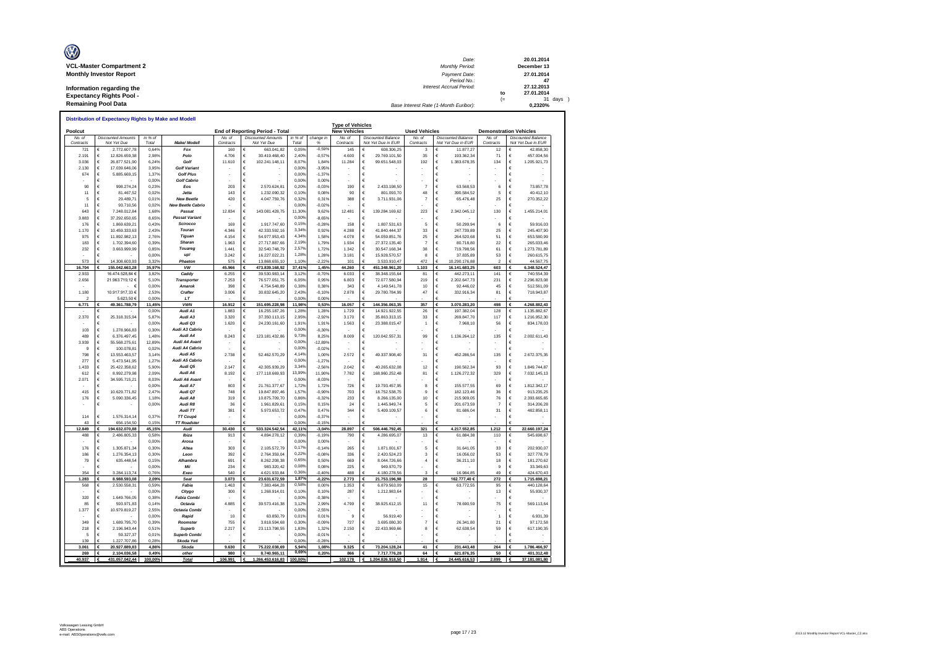| Ø                               | Date:                                 |      | 20.01.2014  |
|---------------------------------|---------------------------------------|------|-------------|
| <b>VCL-Master Compartment 2</b> | Monthly Period:                       |      | December 13 |
| <b>Monthly Investor Report</b>  | Payment Date:                         |      | 27.01.2014  |
|                                 | Period No.:                           |      | 47          |
| Information regarding the       | Interest Accrual Period:              |      | 27.12.2013  |
| <b>Expectancy Rights Pool -</b> |                                       | to   | 27.01.2014  |
| <b>Remaining Pool Data</b>      |                                       | $(=$ | 31 days )   |
|                                 | Base Interest Rate (1-Month Euribor): |      | 0.2320%     |

|                     |        | Distribution of Expectancy Rights by Make and Modell |                  |                                               |                     |        |                                          |                    |                      |                                                |                                                   |                      |                                                 |                               |                 |                                                 |
|---------------------|--------|------------------------------------------------------|------------------|-----------------------------------------------|---------------------|--------|------------------------------------------|--------------------|----------------------|------------------------------------------------|---------------------------------------------------|----------------------|-------------------------------------------------|-------------------------------|-----------------|-------------------------------------------------|
| Poolcut             |        |                                                      |                  |                                               |                     |        | End of Reporting Period - Total          |                    |                      | <b>Type of Vehicles</b><br><b>New Vehicles</b> |                                                   | <b>Used Vehicles</b> |                                                 | <b>Demonstration Vehicles</b> |                 |                                                 |
| No. of<br>Contracts |        | <b>Discounted Amounts</b><br>Not Yet Due             | in % of<br>Total | Make/ Modell                                  | No. of<br>Contracts |        | <b>Discounted Amounts</b><br>Not Yet Due | in $%$ of<br>Total | change in<br>%       | No. of<br>Contracts                            | <b>Discounted Balance</b><br>Not Yet Due in EUR   | No. of<br>Contracts  | <b>Discounted Balance</b><br>Not Yet Due in EUR | No. of<br>Contracts           |                 | <b>Discounted Balance</b><br>Not Yet Due in EUR |
| 721                 | €      | 2.772.607,78                                         | 0.64%            | Fox                                           | 160                 | €      | 663 041 82                               | 0,05%              | $-0.59%$             | 145                                            | 608 306 25<br>€                                   | 3                    | 11.877,27<br>€                                  | 12                            | €               | 42.858.30                                       |
| 2.191               | €      | 12.826.659.38                                        | 2.98%            | Polo<br>Golf                                  | 4.706               | €      | 30.419.468,40                            | 2,40%<br>8.07%     | $-0.57%$             | 4.600                                          | $\epsilon$<br>29.769.101.50                       | 35                   | 193,362.34<br>€                                 | 71                            | €               | 457.004,56                                      |
| 3.036<br>2.130      | €<br>€ | 26.877.521,90<br>17.039.646,06                       | 6.24%<br>3,95%   | <b>Golf Variant</b>                           | 11.610              | €<br>€ | 102.241.148,11                           | 0.00%              | 1,84%<br>$-3,95%$    | 11.284                                         | €<br>99.651.548,03<br>€                           | 192                  | 1.383.678,35<br>€<br>€                          | 134                           | €<br>€          | 1.205.921,73                                    |
| 674                 | €      | 5.885.669,15                                         | 1,37%            | <b>Golf Plus</b>                              |                     | €      |                                          | 0,00%              | $-1,37%$             |                                                | €                                                 |                      |                                                 |                               | €               |                                                 |
|                     | €      |                                                      | 0.00%            | <b>Golf Cabrio</b>                            |                     | €      |                                          | 0,00%              | 0.00%                |                                                | €                                                 |                      |                                                 |                               | €               |                                                 |
| 90                  | €      | 998.274,24                                           | 0,23%            | Eos                                           | 203                 | €      | 2 570 624 81                             | 0,20%              | $-0.03%$             | 190                                            | $\epsilon$<br>2.433.198,50                        | $\overline{7}$       | 63.568.53                                       | 6                             | €               | 73 857 78                                       |
| 11                  | €      | 81.467.52                                            | 0,02%            | .letta                                        | 143                 | €      | 1.232.090,32                             | 0,10%              | 0,08%                | 90                                             | €<br>801.093,70                                   | 48                   | 390.584,52<br>€                                 | 5                             | €               | 40.412,10                                       |
| 5<br>11             | €<br>€ | 29 489 71<br>93.710.56                               | 0.01%<br>0,02%   | <b>New Beetle</b><br><b>New Beetle Cabrio</b> | 420                 | €<br>€ | 4.047.759.76                             | 0.32%<br>0,00%     | 0.31%<br>$-0.02%$    | 388                                            | €<br>3.711.931,06<br>$\epsilon$                   | $\overline{7}$       | 65.476,48<br>€<br>£                             | 25                            | €<br>$\epsilon$ | 270.352.22                                      |
| 643                 | €      | 7.248.012.84                                         | 1,68%            | Passat                                        | 12834               | €      | 143.081.428,75                           | 11,30%             | 9,62%                | 12.481                                         | $\epsilon$<br>139.284.169,62                      | 223                  | 2.342.045,12<br>€                               | 130                           | €               | 1.455.214,01                                    |
| 3.883               | €      | 37.292.650,65                                        | 8,65%            | <b>Passat Variant</b>                         |                     | €      |                                          | 0.00%              | $-8.65%$             |                                                | €                                                 |                      | €                                               |                               | €               |                                                 |
| 176                 | €      | 1.869.639,21                                         | 0,43%            | Scirocco                                      | 169                 | €      | 1.917.747,60                             | 0,15%              | $-0.28%$             | 158                                            | $\epsilon$<br>1.807.531,63                        | 5                    | €<br>50.299,94                                  | 6                             | $\epsilon$      | 59.916,03                                       |
| 1.170               | €      | 10.459.333,63                                        | 2,43%            | Touran                                        | 4.346               | €      | 42.333.592,16                            | 3,34%              | 0,92%                | 4.288                                          | $\epsilon$<br>41.840.444,37                       | 33                   | €<br>247.739,89                                 | 25                            | €               | 245.407,90                                      |
| 975                 | €      | 11.892.982.13                                        | 276%             | Tiguan                                        | 4 1 5 4             | €      | 54.977.953.43                            | 4.34%              | 1.58%                | 4.078                                          | €<br>54.059.851.76                                | 25                   | €<br>264,520.68                                 | 51                            | $\epsilon$      | 653 580 99                                      |
| 183<br>232          | €<br>€ | 1.702.394.60<br>3.663.999,99                         | 0.39%<br>0.85%   | Sharan<br>Touarea                             | 1.963<br>1.441      | €<br>€ | 27.717.887,66<br>32.540.748,79           | 2,19%<br>2.57%     | 1.79%<br>1.72%       | 1934<br>1.342                                  | $\epsilon$<br>27.372.135.40<br>€<br>30.547.168,34 | $\overline{7}$<br>38 | €<br>80.718.80<br>€<br>719.798,56               | 22<br>61                      | €<br>€          | 265.033.46<br>1.273.781.89                      |
|                     | €      |                                                      | 0.00%            | up!                                           | 3.242               | €      | 16.227.022,21                            | 1,28%              | 1,28%                | 3.181                                          | €<br>15.928.570,57                                | 8                    | €<br>37.835.89                                  | 53                            | $\in$           | 260.615,75                                      |
| 573                 | €      | 14.308.603,93                                        | 3,32%            | Phaeton                                       | 575                 | €      | 13.868.655,10                            | 1,10%              | $-2.22%$             | 101                                            | $\epsilon$<br>3.533.910,47                        | 472                  | 10.290.176,88                                   | $\overline{2}$                | €               | 44.567,75                                       |
| 16.704              |        | 155.042.663,28                                       | 35,97%           | <b>VW</b>                                     | 45.966              | €      | 473.839.168,92                           | 37,41%             | 1,45%                | 44.260                                         | 451.348.961,20<br>€                               | 1.103                | 16.141.683,25                                   | 603                           | €               | 6.348.524,47                                    |
| 2.933               |        | 16.474.528.84 €                                      | 3.82%            | Caddy                                         | 6.255               | €      | 39.530.983.14                            | 3,12%              | $-0.70%$             | 6.033                                          | €<br>38.348.155.64                                | 81                   | €<br>442.273.11                                 | 141                           | €               | 740.554.39                                      |
| 2.656               |        | 21.963.719,12 €                                      | 5,10%            | <b>Transporte</b><br>Amarok                   | 7.253               | €      | 76.577.051,75                            | 6,05%<br>0.38%     | 0,95%                | 6.803                                          | €<br>72.077.580,94                                | 219                  | €<br>2.202.647,73<br>€                          | 231                           | €               | 2.296.823,08                                    |
| 1 180               |        | $ \epsilon$<br>10 917 917 33 €                       | 0,00%<br>2.53%   | Crafter                                       | 398<br>3.006        | €<br>€ | 4.754.548,89<br>30.832.645.20            | 2.43%              | 0,38%<br>$-0.10%$    | 343<br>2.878                                   | €<br>4.149.541.78<br>$\epsilon$<br>29 780 784 99  | 10<br>47             | 92.446.02<br>332 916 34<br>€                    | 45<br>81                      | €<br>$\epsilon$ | 512.561.09<br>718.943,87                        |
|                     |        | 5.623.50 €                                           | 0.00%            | LT                                            |                     |        |                                          | 0.00%              | 0.00%                |                                                |                                                   |                      |                                                 |                               |                 |                                                 |
| 6.771               |        | 49.361.788,79                                        | 11,45%           | <b>VWN</b>                                    | 16.912              | €      | 151.695.228,98                           | 11,98%             | 0,53%                | 16.057                                         | 144.356.063,35<br>€                               | 357                  | 3.070.283,20                                    | 498                           | €               | 4.268.882,43                                    |
|                     | €      |                                                      | 0.00%            | Audi A1                                       | 1.883               | €      | 16.255.187,26                            | 1,28%              | 1,28%                | 1.729                                          | €<br>14.921.922,55                                | 26                   | €<br>197.382,04                                 | 128                           | €               | 1.135.882,67                                    |
| 2.370               | €      | 25.318.315,94                                        | 5,87%            | Audi A3                                       | 3.320               | €      | 37.350.113,15                            | 2,95%              | $-2,92%$             | 3.170                                          | €<br>35.863.313,15                                | 33                   | 269.847,70<br>€                                 | 117                           | €               | 1.216.952,30                                    |
| 103                 | €<br>€ | 1.278.966,83                                         | 0.00%<br>0,30%   | Audi Q3<br>Audi A3 Cabrio                     | 1.620               | €<br>€ | 24.230.161,60                            | 1.91%<br>0,00%     | 1,91%<br>$-0.30%$    | 1.563                                          | €<br>23.388.015,47<br>€                           | $\overline{1}$       | €<br>7.968.10                                   | 56                            | €<br>€          | 834.178,03                                      |
| 489                 | €      | 6.376.497.45                                         | 1 48%            | Audi A4                                       | 8 2 4 3             | €      | 123.181.432,86                           | 9,73%              | 8.25%                | 8.009                                          | $\epsilon$<br>120.042.557.31                      | 99                   | 1.136.264,12<br>€                               | 135                           | €               | 2.002.611,43                                    |
| 3.939               | €      | 55.568.275.61                                        | 12 89%           | <b>Audi A4 Avant</b>                          |                     | €      |                                          | 0.00%              | $-12.89%$            |                                                | $\epsilon$                                        |                      | €                                               |                               | €               |                                                 |
| 9                   | €      | 100.078,81                                           | 0.02%            | Audi A4 Cabrio                                |                     | €      |                                          | 0.00%              | $-0,02%$             |                                                | €                                                 |                      | £                                               |                               | €               |                                                 |
| 798                 | €      | 13.553.463,57                                        | 3,14%            | Audi A5                                       | 2.738               | €      | 52.462.570,29                            | 4,14%              | 1,00%                | 2.572                                          | $\epsilon$<br>49.337.908,40                       | 31                   | 452.286,54<br>€                                 | 135                           | €               | 2.672.375,35                                    |
| 277                 | €      | 5.473.541.95                                         | 1,27%            | Audi A5 Cabrio                                |                     | €      |                                          | 0.00%              | $-1,27%$             |                                                | €                                                 |                      |                                                 |                               | €               |                                                 |
| 1.433<br>612        | €<br>€ | 25.422.358.62<br>8.992.279,98                        | 5.90%<br>2,09%   | Audi Q5<br>Audi A6                            | 2.147<br>8.192      | €<br>€ | 42.305.939.29<br>177.118.669,93          | 3,34%<br>13,99%    | $-2.56%$<br>11,90%   | 2.042<br>7.782                                 | €<br>40.265.632.08<br>$\in$<br>168.960.252,48     | 12<br>81             | €<br>190.562.34<br>€<br>1.126.272,32            | 93<br>329                     | €<br>$\epsilon$ | 1.849.744.87<br>7.032.145,13                    |
| 2.071               | €      | 34.595.715.21                                        | 8.03%            | Audi A6 Avant                                 |                     | €      |                                          | 0,00%              | $-8.03%$             |                                                | €                                                 |                      | €                                               |                               | €               |                                                 |
|                     | €      |                                                      | 0.00%            | Audi A7                                       | 803                 | €      | 21.761.377,67                            | 1,72%              | 1,72%                | 726                                            | $\epsilon$<br>19.793.457,95                       | 8                    | 155 577 55<br>€                                 | 69                            | €               | 1.812.342,17                                    |
| 415                 | €      | 10.629.771,82                                        | 2.47%            | Audi Q7                                       | 748                 | €      | 19.847.897,46                            | 1,57%              | $-0.90%$             | 703                                            | €<br>18.752.538.75                                | $\mathbf{Q}$         | 182.123.46<br>€                                 | 36                            | $\epsilon$      | 913.235.25                                      |
| 176                 | €      | 5.090.336,45                                         | 1,18%            | Audi A8                                       | 319                 | €      | 10.875.709,70                            | 0.86%              | $-0.32%$             | 233                                            | €<br>8.266.135,00                                 | 10                   | €<br>215.909,05                                 | 76                            | €               | 2.393.665,65                                    |
|                     | €      |                                                      | 0,00%            | Audi R8                                       | 36                  | $\in$  | 1.961.829,61                             | 0.15%              | 0,15%                | 24                                             | $\in$<br>1.445.949,74                             | 5                    | €<br>201.673,59                                 | $\overline{7}$                | €               | 314.206,28                                      |
| 114                 | €      | 1.576.314,14                                         | 0.379            | Audi TT<br>TT Coupé                           | 381                 | €<br>€ | 5.973.653,72                             | 0.47%<br>0.00%     | 0,47%<br>$-0,37%$    | 344                                            | $\epsilon$<br>5.409.109,57<br>€                   | 6                    | €<br>81.686,04<br>€                             | 31                            | €<br>€          | 482.858,11                                      |
| 43                  |        | 656.154,50                                           | 0.15%            | <b>TT Roadster</b>                            |                     |        |                                          | 0,00%              | $-0.15%$             |                                                |                                                   |                      |                                                 |                               |                 |                                                 |
| 12.849              | €      | 194.632.070,88                                       | 45,15%           | Audi                                          | 30.430              | €      | 533.324.542,54                           | 42,11%             | $-3,04%$             | 28.897                                         | €<br>506.446.792,45                               | 321                  | 4.217.552,85                                    | 1.212                         | €               | 22.660.197,24                                   |
| 488                 | €      | 2.486.805,33                                         | 0.58%            | Ibiza                                         | 913                 | €      | 4.894.278,12                             | 0.39%              | $-0.19%$             | 790                                            | $\epsilon$<br>4.286.695,07                        | 13                   | €<br>61.884,38                                  | 110                           | €               | 545.698,67                                      |
|                     | €      |                                                      | 0,00%            | Arosa                                         |                     | €      |                                          | 0.00%              | 0.00%                |                                                | €<br>$\epsilon$                                   |                      | €                                               |                               | €               |                                                 |
| 176<br>186          | €<br>€ | 1.305.871.34<br>1.276.354,13                         | 0.30%<br>0,30%   | Altea<br>Leon                                 | 303<br>392          | €<br>€ | 2.105.572.79<br>2.764.359,04             | 0.17%<br>0,22%     | $-0.14%$<br>$-0,08%$ | 265<br>336                                     | 1.871.001.67<br>€<br>2.420.524,23                 | 5<br>3               | €<br>31.641.05<br>€<br>16.056,02                | 33<br>53                      | €<br>€          | 202.930.07<br>327.778,79                        |
| 79                  | €      | 635.448,54                                           | 0.15%            | Alhambra                                      | 691                 | €      | 8.262.208,38                             | 0,65%              | 0,50%                | 669                                            | $\in$<br>8.044.726,66                             | $\overline{a}$       | €<br>36.211,10                                  | 18                            | €               | 181.270,62                                      |
|                     | €      |                                                      | 0,00%            | Mii                                           | 234                 | €      | 983.320,42                               | 0,08%              | 0,08%                | 225                                            | $\in$<br>949.970,79                               |                      | €                                               | $\overline{9}$                | €               | 33.349,63                                       |
| 354                 |        | 3.284.113.74                                         | 0.76%            | Exen                                          | 540                 | €      | 4.621.933.84                             | 0.36%              | $-0.40%$             | 488                                            | 4.180.278.56<br>€                                 | $\overline{3}$       | 16,984.85                                       | 49                            | €               | 424.670.43                                      |
| 1.283               | €      | 8.988.593.08                                         | 2.09%            | Seat                                          | 3.073               | €      | 23.631.672.59                            | 1,87%              | $-0,22%$             | 2.773                                          | €<br>21.753.196.98                                | 28                   | 162.777.40 €                                    | 272                           | €               | 1.715.698.21                                    |
| 568                 | €      | 2.530.558.31                                         | 0,59%            | Fabia                                         | 1.463               | €      | 7.383.464.28                             | 0,58%<br>0.10%     | 0.00%                | 1.353                                          | €<br>6.879.563.09                                 | 15                   | 63.772.55                                       | 95                            | €               | 440.128.64                                      |
| 320                 | €<br>€ | 1.649.766,05                                         | 0.00%<br>0,38%   | Citygo<br>Fabia Combi                         | 300                 | €<br>€ | 1.268.914,01                             | 0.00%              | 0,10%<br>$-0.38%$    | 287                                            | €<br>1.212.983.64<br>€                            |                      | €                                               | 13                            | €<br>€          | 55.930,37                                       |
| 85                  | €      | 593.971.83                                           | 0,14%            | Octavia                                       | 4.885               | €      | 39.573.416,38                            | 3.12%              | 2.99%                | 4.799                                          | $\epsilon$<br>38.925.612,15                       | 11                   | 78.690,59<br>€                                  | 75                            | €               | 569.113,64                                      |
| 1.377               | €      | 10.979.819,27                                        | 2.55%            | Octavia Combi                                 |                     | €      |                                          | 0,00%              | $-2.55%$             |                                                | €                                                 |                      | €                                               |                               | €               |                                                 |
|                     | €      |                                                      | 0,00%            | Rapid                                         | 10                  | €      | 63.850,79                                | 0,01%              | 0,01%                | $\mathbf{Q}$                                   | €<br>56.919,40                                    |                      | €                                               | 1                             | $\epsilon$      | 6.931,39                                        |
| 349                 | €      | 1.689.795,70                                         | 0,39%            | Roomster                                      | 755                 | €      | 3.818.594.68                             | 0.30%              | $-0.09%$             | 727                                            | $\epsilon$<br>3.695.080.30                        | $\overline{7}$       | 26.341,80<br>€                                  | 21                            | €               | 97.172.58                                       |
| 218                 | €      | 2 196 943 44                                         | 0.51%            | <b>Superb</b>                                 | 2217                | €      | 23.113.798,55                            | 1,83%              | 1,32%                | 2.150                                          | €<br>22.433.969,66<br>€                           | 8                    | €<br>62.638,54<br>€                             | 59                            | $\epsilon$<br>€ | 617.190,35                                      |
| 5<br>139            | €<br>€ | 59.327.37<br>1.227.707.86                            | 0.01%<br>0.28%   | <b>Superb Combi</b><br>Skoda Yeti             |                     | €      |                                          | 0,00%<br>0,00%     | $-0.01%$<br>$-0.289$ |                                                |                                                   |                      |                                                 |                               |                 |                                                 |
| 3.061               | €      | 20.927.889,83                                        | 4.86%            | Skoda                                         | 9.630               | €      | 75.222.038,69                            | 5,94%              | 1,08%                | 9.325                                          | 73.204.128,24<br>€                                | 41                   | 231.443,48                                      | 264                           |                 | 1.786.466,97                                    |
| 269                 | €      | 2.104.036.58                                         | 0.49%            | other                                         | 980                 | €      | 8.740.965,11                             | 0,69%              | 0.20%                | 866                                            | €<br>7.717.776.28                                 | 64                   | 621.876.35<br>€                                 | 50                            | €               | 401.312.48                                      |
| 40.937              |        | 431.057.042,44                                       | 100,00%          | <b>Total</b>                                  | 106.991             | €      | 1.266.453.616,83                         | 100,00%            |                      | 102.178                                        | € 1.204.826.918,50                                | 1.914                | 24.445.616,53<br>€                              | 2.899                         | €               | 37.181.081.80                                   |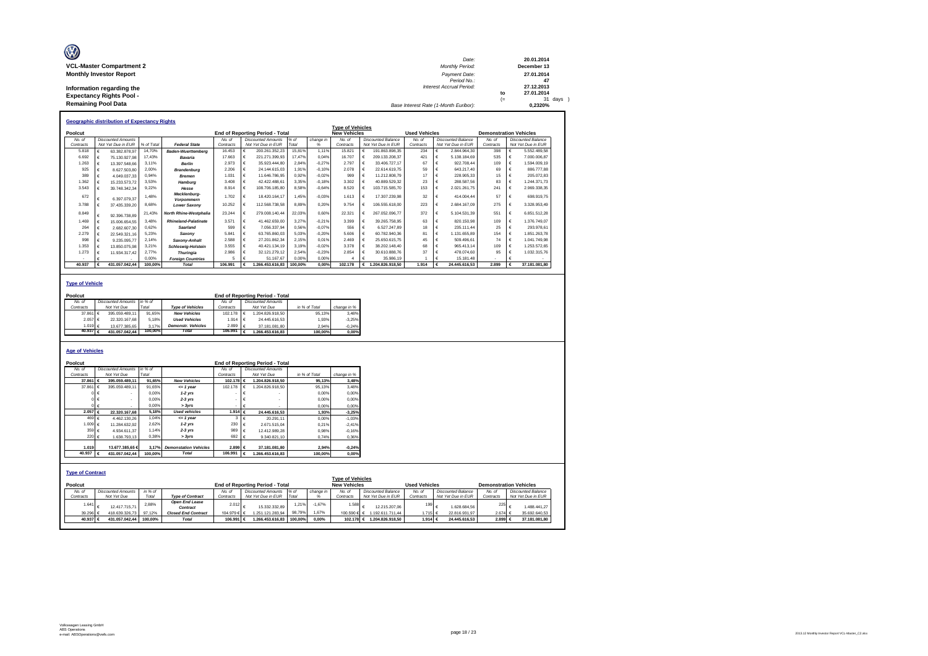| Ø                               | Date:                                 |      | 20.01.2014  |
|---------------------------------|---------------------------------------|------|-------------|
| <b>VCL-Master Compartment 2</b> | Monthly Period:                       |      | December 13 |
| <b>Monthly Investor Report</b>  | Payment Date:                         |      | 27.01.2014  |
|                                 | Period No.:                           |      | 47          |
| Information regarding the       | Interest Accrual Period:              |      | 27.12.2013  |
| <b>Expectancy Rights Pool -</b> |                                       | to   | 27.01.2014  |
| <b>Remaining Pool Data</b>      |                                       | $(=$ | 31 days )   |
|                                 | Base Interest Rate (1-Month Euribor): |      | 0.2320%     |

|           |   | <b>Geographic distribution of Expectancy Rights</b> |            |                             |           |            |                                        |         |           |                         |   |                    |                      |   |                    |                               |                    |
|-----------|---|-----------------------------------------------------|------------|-----------------------------|-----------|------------|----------------------------------------|---------|-----------|-------------------------|---|--------------------|----------------------|---|--------------------|-------------------------------|--------------------|
|           |   |                                                     |            |                             |           |            |                                        |         |           | <b>Type of Vehicles</b> |   |                    |                      |   |                    |                               |                    |
| Poolcut   |   |                                                     |            |                             |           |            | <b>End of Reporting Period - Total</b> |         |           | <b>New Vehicles</b>     |   |                    | <b>Used Vehicles</b> |   |                    | <b>Demonstration Vehicles</b> |                    |
| No. of    |   | <b>Discounted Amounts</b>                           |            |                             | No. of    |            | <b>Discounted Amounts</b>              | % $of$  | change in | No of                   |   | Discounted Balance | No of                |   | Discounted Balance | No. of                        | Discounted Balance |
| Contracts |   | Not Yet Due in EUR                                  | % of Total | <b>Federal State</b>        | Contracts |            | Not Yet Due in EUR                     | Total   |           | Contracts               |   | Not Yet Due in EUR | Contracts            |   | Not Yet Due in EUR | Contracts                     | Not Yet Due in EUR |
| 5.818     | € | 63.382.878.97                                       | 14.70%     | <b>Baden-Wuerttemberg</b>   | 16.453    | €          | 200.261.352.23                         | 15.81%  | 1.11%     | 15.821                  |   | 191.863.898.35     | 234                  | € | 2.844.964.30       | 398                           | 5.552.489.58       |
| 6.692     |   | 75.130.927.98                                       | 17.43%     | Bavaria                     | 17.663    | €          | 221.271.399.93                         | 17.47%  | 0.04%     | 16707                   |   | 209.133.208.37     | 421                  |   | 5.138.184.69       | 535                           | 7.000.006.87       |
| 1.263     |   | 13.397.548.66                                       | 3.11%      | <b>Berlin</b>               | 2.973     | €          | 35.923.444.80                          | 2.84%   | $-0.27%$  | 2797                    |   | 33.406.727.17      | 67                   | € | 922.708.44         | 109                           | 1.594.009.19       |
| 925       |   | 8.627.503.80                                        | 2.00%      | <b>Brandenburg</b>          | 2.206     | €          | 24.144.615.03                          | 1.91%   | $-0.10%$  | 2.078                   |   | 22.614.619.75      | 59                   | € | 643.217.40         | 69                            | 886,777,88         |
| 389       |   | 4.049.037.33                                        | 0.94%      | <b>Bremen</b>               | 1.031     | €          | 11.646.786.95                          | 0.92%   | $-0.02%$  | 999                     |   | 11.212.808.79      | 17                   | € | 228.905.33         | 15                            | 205.072.83         |
| 1.362     |   | 15.233.573.72                                       | 3.53%      | Hamburg                     | 3.408     | €          | 42.422.488.61                          | 3.35%   | $-0.18%$  | 3.302                   |   | 40.889.529.32      | 23                   |   | 288.587.56         | 83                            | 1.244.371.73       |
| 3.543     |   | 39.748.342.34                                       | 9.22%      | Hesse                       | 8.914     | €          | 108.706.185.80                         | 8.58%   | $-0.64%$  | 8.520                   | € | 103.715.585.70     | 153                  | € | 2.021.261.75       | 241                           | 2.969.338.35       |
| 672       |   | 6.397.079.37                                        | 1.48%      | Mecklenburg-<br>Vorpommern  | 1.702     | €          | 18.420.164.17                          | 1.45%   | $-0.03%$  | 1.613                   | € | 17.307.239.98      | 32                   | € | 414.004.44         | 57                            | 698.919.75         |
| 3.788     |   | 37.435.339.20                                       | 8.68%      | <b>Lower Saxonv</b>         | 10.252    | €          | 112.568.738.58                         | 8.89%   | 0.20%     | 9.754                   | € | 106.555.618.00     | 223                  |   | 2.684.167.09       | 275                           | 3.328.953.49       |
| 8.849     |   | 92.396.738.89                                       | 21.43%     | North Rhine-Westphalia      | 23.244    | €          | 279.008.140.44                         | 22.03%  | 0.60%     | 22.321                  |   | 267.052.096.77     | 372                  |   | 5.104.531.39       | 551                           | 6.851.512.28       |
| 1.469     |   | 15.006.654.55                                       | 3.48%      | <b>Rhineland-Palatinate</b> | 3.571     | $\epsilon$ | 41.462.659.00                          | 3.27%   | $-0.21%$  | 3.399                   |   | 39.265.758.95      | 63                   | € | 820.150.98         | 109                           | 1.376.749.07       |
| 264       |   | 2.682.607.30                                        | 0.62%      | Saarland                    | 599       | €          | 7.056.337.94                           | 0.56%   | $-0.07%$  | 556                     |   | 6.527.247.89       | 18                   | € | 235.111.44         | 25                            | 293.978.61         |
| 2.279     |   | 22.549.321.16                                       | 5.23%      | Saxony                      | 5.841     | €          | 63.765.860.03                          | 5.03%   | $-0.20%$  | 5.606                   |   | 60.782.940.36      | 81                   | € | 1.131.655.89       | 154                           | 1.851.263.78       |
| 998       |   | 9.235.095.77                                        | 2.14%      | Saxony-Anhalt               | 2.588     | €          | 27.201.862.34                          | 2.15%   | 0.01%     | 2.469                   |   | 25.650.615.75      | 45                   | € | 509.496.61         | 74                            | 1.041.749.98       |
| 1.353     |   | 13.850.075.98                                       | 3.21%      | <b>Schleswia-Holstein</b>   | 3.555     | €          | 40.421.134.19                          | 3.19%   | $-0.02%$  | 3.378                   |   | 38.202.148.40      | 68                   | € | 965.413.14         | 109                           | 1.253.572.65       |
| 1.273     |   | 11.934.317.42                                       | 2.77%      | <b>Thuringia</b>            | 2.986     | €          | 32.121.279.12                          | 2.54%   | $-0.23%$  | 2.854                   |   | 30.610.888.76      | 37                   | € | 478.074.60         | 95                            | 1.032.315.76       |
|           |   |                                                     | 0.00%      | <b>Foreian Countries</b>    |           |            | 51.167.67                              | 0.00%   | 0.00%     |                         |   | 35.986.19          |                      | € | 15.181.48          |                               |                    |
| 40.937    | € | 431.057.042.44                                      | 100.00%    | <b>Total</b>                | 106.991   | €          | 1.266.453.616.83                       | 100.00% | 0.00%     | 102.178                 | € | 1.204.826.918.50   | 1.914                |   | 24.445.616.53      | 2.899                         | 37.181.081.80      |

### **Type of Vehicle**

| Poolcut              |   |                           |         |                           |           |   | <b>End of Reporting Period - Total</b> |               |             |
|----------------------|---|---------------------------|---------|---------------------------|-----------|---|----------------------------------------|---------------|-------------|
| No. of               |   | <b>Discounted Amounts</b> | in %    |                           | No. of    |   | <b>Discounted Amounts</b>              |               |             |
| Contracts            |   | Not Yet Due               | Total   | <b>Type of Vehicles</b>   | Contracts |   | Not Yet Due                            | in % of Total | change in % |
| 37,861               | € | 395.059.489.11            | 91.65%  | <b>New Vehicles</b>       | 102.178   | € | 1.204.826.918.50                       | 95.13%        | 3.48%       |
| 2.057                | € | 22.320.167.68             | 5.18%   | <b>Used Vehicles</b>      | 1914      |   | 24.445.616.53                          | 1.93%         | $-3.25%$    |
| 1.019 €              |   | 13 677 385 65             | 3.17%   | <b>Demonstr.</b> Vehicles | 2.899     |   | 37.181.081.80                          | 2.94%         | $-0.24%$    |
| 40.937 $\varepsilon$ |   | 431.057.042.44            | 100.00% | Total                     | 106,991   | € | 1.266.453.616.83                       | 100.00%       | 0.00%       |
|                      |   |                           |         |                           |           |   |                                        |               |             |

### **Age of Vehicles**

| Poolcut                 |                |                           |         |                              |                  |            | End of Reporting Period - Total        |         |               |                         |                           |                      |   |                    |                               |                           |
|-------------------------|----------------|---------------------------|---------|------------------------------|------------------|------------|----------------------------------------|---------|---------------|-------------------------|---------------------------|----------------------|---|--------------------|-------------------------------|---------------------------|
| No. of                  |                | <b>Discounted Amounts</b> | in % of |                              | No. of           |            | <b>Discounted Amounts</b>              |         |               |                         |                           |                      |   |                    |                               |                           |
| Contracts               |                | Not Yet Due               | Total   |                              | Contracts        |            | Not Yet Due                            |         | in % of Total | change in %             |                           |                      |   |                    |                               |                           |
| 37,861 €                |                | 395.059.489.11            | 91.65%  | <b>New Vehicles</b>          | 102.178 €        |            | 1.204.826.918.50                       |         | 95.13%        | 3.48%                   |                           |                      |   |                    |                               |                           |
| 37,861                  | $\epsilon$     | 395.059.489.11            | 91.65%  | $= 1$ year                   | 102.178          |            | 1.204.826.918.50                       |         | 95.13%        | 3.48%                   |                           |                      |   |                    |                               |                           |
|                         | €              |                           | 0.00%   | $1-2$ yrs                    |                  |            |                                        |         | 0.00%         | 0.00%                   |                           |                      |   |                    |                               |                           |
|                         | $0 \in$        |                           | 0.00%   | $2-3$ yrs                    |                  |            |                                        |         | 0.00%         | 0.00%                   |                           |                      |   |                    |                               |                           |
|                         | €              |                           | 0.00%   | > 3yrs                       |                  |            |                                        |         | 0.00%         | 0.00%                   |                           |                      |   |                    |                               |                           |
| 2.057 €                 |                | 22.320.167,68             | 5.18%   | <b>Used vehicles</b>         | 1.914 $\epsilon$ |            | 24.445.616.53                          |         | 1.93%         | $-3.25%$                |                           |                      |   |                    |                               |                           |
|                         | 469 $\epsilon$ | 4.462.130.26              | 1.04%   | $= 1$ year                   | 3 <sup>1</sup>   | $\epsilon$ | 20.291,11                              |         | 0.00%         | $-1.03%$                |                           |                      |   |                    |                               |                           |
| 1.009 €                 |                | 11.284.632.92             | 2,62%   | $1-2$ yrs                    | 230              |            | 2.671.515.04                           |         | 0.21%         | $-2.41%$                |                           |                      |   |                    |                               |                           |
|                         | 359 $\epsilon$ | 4.934.611.37              | 1.14%   | $2-3$ yrs                    | 989              |            | 12.412.989.28                          |         | 0.98%         | $-0.16%$                |                           |                      |   |                    |                               |                           |
|                         | 220 €          | 1.638.793.13              | 0.38%   | > 3yrs                       | 692              |            | 9.340.821.10                           |         | 0.74%         | 0.36%                   |                           |                      |   |                    |                               |                           |
|                         |                |                           |         |                              |                  |            |                                        |         |               |                         |                           |                      |   |                    |                               |                           |
| 1.019                   |                | 13,677,385,65€            | 3.17%   | <b>Demonstation Vehicles</b> | 2.899 $\epsilon$ |            | 37.181.081.80                          |         | 2.94%         | $-0.24%$                |                           |                      |   |                    |                               |                           |
| 40.937 $\epsilon$       |                | 431.057.042.44            | 100.00% | <b>Total</b>                 | 106.991          |            | 1.266.453.616,83                       |         | 100.00%       | 0,00%                   |                           |                      |   |                    |                               |                           |
|                         |                |                           |         |                              |                  |            |                                        |         |               |                         |                           |                      |   |                    |                               |                           |
|                         |                |                           |         |                              |                  |            |                                        |         |               |                         |                           |                      |   |                    |                               |                           |
| <b>Type of Contract</b> |                |                           |         |                              |                  |            |                                        |         |               |                         |                           |                      |   |                    |                               |                           |
|                         |                |                           |         |                              |                  |            |                                        |         |               | <b>Type of Vehicles</b> |                           |                      |   |                    |                               |                           |
| Poolcut                 |                |                           |         |                              |                  |            | <b>End of Reporting Period - Total</b> |         |               | <b>New Vehicles</b>     |                           | <b>Used Vehicles</b> |   |                    | <b>Demonstration Vehicles</b> |                           |
| No. of                  |                | <b>Discounted Amounts</b> | in % of |                              | No. of           |            | <b>Discounted Amounts</b>              | $%$ of  | change in     | No. of                  | <b>Discounted Balance</b> | No. of               |   | Discounted Balance | No. of                        | <b>Discounted Balance</b> |
| Contracts               |                | Not Yet Due               | Total   | <b>Type of Contract</b>      | Contracts        |            | Not Yet Due in EUR                     | Total   | %             | Contracts               | Not Yet Due in EUR        | Contracts            |   | Not Yet Due in EUR | Contracts                     | Not Yet Due in EUR        |
| 1.641                   |                |                           | 2.88%   | <b>Open End Lease</b>        | 2.012            |            |                                        | 1.21%   | $-1.67%$      | 1.588                   |                           | 199                  |   |                    | 225                           |                           |
|                         |                | 12.417.715.71             |         | Contract                     |                  |            | 15.332.332.89                          |         |               |                         | 12.215.207.06             |                      | € | 1.628.684.56       |                               | 1.488.441.27              |
| 39.296 €                |                | 418.639.326.73            | 97.12%  | <b>Closed End Contract</b>   | 104.979 € €      |            | 1.251.121.283,94                       | 98,79%  | 1.67%         | 100.590 € €             | 1.192.611.711.44          | 1.715 €              |   | 22.816.931.97      | 2.674 ∈                       | 35.692.640,53             |
| 40.937 €                |                | 431.057.042,44            | 100.00% | <b>Total</b>                 | 106.991 €        |            | 1.266.453.616.83                       | 100.00% | 0.00%         | 102.178 €               | 1.204.826.918.50          | 1.914 €              |   | 24.445.616.53      | 2.899 €                       | 37.181.081,80             |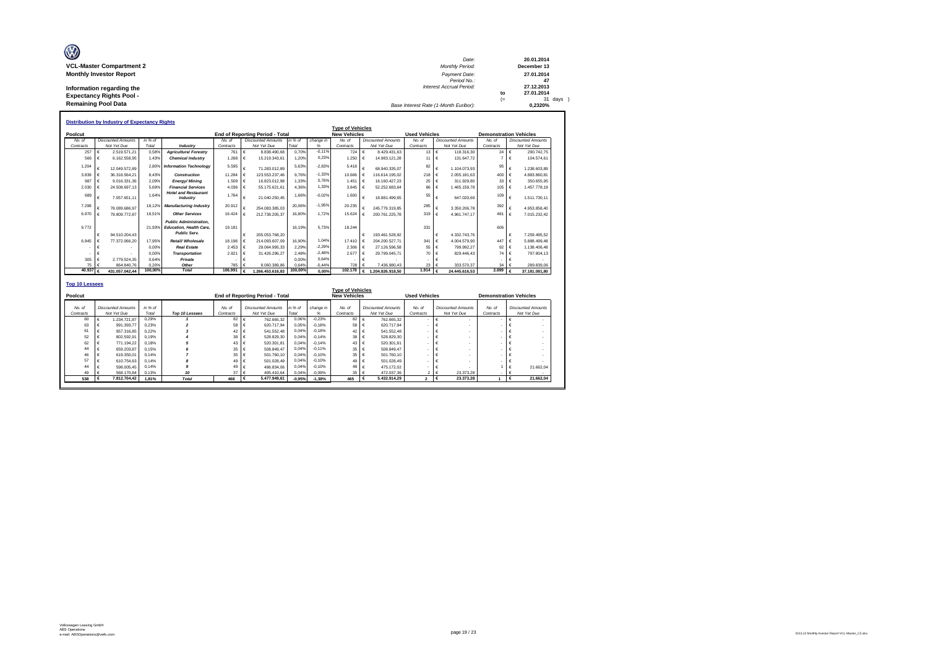| O                               | Date:                                 |      | 20.01.2014  |
|---------------------------------|---------------------------------------|------|-------------|
| <b>VCL-Master Compartment 2</b> | Monthly Period:                       |      | December 13 |
| <b>Monthly Investor Report</b>  | Payment Date:                         |      | 27.01.2014  |
|                                 | Period No.:                           |      | 47          |
| Information regarding the       | Interest Accrual Period:              |      | 27.12.2013  |
| <b>Expectancy Rights Pool -</b> |                                       | to   | 27.01.2014  |
|                                 |                                       | $(=$ | 31 days     |
| <b>Remaining Pool Data</b>      | Base Interest Rate (1-Month Euribor): |      | 0.2320%     |

|                   |            |                           |         |                                                                                        |           |            |                                        |         |           | <b>Type of Vehicles</b> |   |                           |                                  |               |                           |                               |   |                           |
|-------------------|------------|---------------------------|---------|----------------------------------------------------------------------------------------|-----------|------------|----------------------------------------|---------|-----------|-------------------------|---|---------------------------|----------------------------------|---------------|---------------------------|-------------------------------|---|---------------------------|
| Poolcut           |            |                           |         |                                                                                        |           |            | <b>End of Reporting Period - Total</b> |         |           | <b>New Vehicles</b>     |   |                           | <b>Used Vehicles</b>             |               |                           | <b>Demonstration Vehicles</b> |   |                           |
| No. of            |            | <b>Discounted Amounts</b> | in % of |                                                                                        | No. of    |            | <b>Discounted Amounts</b>              | in % of | change in | No of                   |   | <b>Discounted Amounts</b> | No of                            |               | <b>Discounted Amounts</b> | No. of                        |   | <b>Discounted Amounts</b> |
| Contracts         |            | Not Yet Due               | Total   | Industry                                                                               | Contracts |            | Not Yet Due                            | Total   | %         | Contracts               |   | Not Yet Due               | Contracts                        |               | Not Yet Due               | Contracts                     |   | Not Yet Due               |
| 257               | $\epsilon$ | 2.519.571.21              | 0.58%   | <b>Agriculture/ Forestry</b>                                                           | 761       | $\epsilon$ | 8.838.490.68                           | 0.70%   | $-0.11%$  | 724                     | € | 8.429.431.63              | $13 \in$                         |               | 118,316,30                | 24                            | € | 290.742.75                |
| 566               | €          | 6.162.558.95              | 1.43%   | <b>Chemical Industry</b>                                                               | 1.268     | €          | 15.219.343.61                          | 1.20%   | 0.23%     | 1.250                   | € | 14.983.121.28             | 11                               | $\bullet \in$ | 131.647.72                |                               | € | 104.574.61                |
| 1.204             |            | 12.049.572.89             | 2.80%   | <b>Information Technology</b>                                                          | 5.595     |            | 71.283.012.89                          | 5.63%   | $-2.83%$  | 5.418                   |   | 68.940.335.07             | 82                               |               | 1.104.073.93              | 95                            |   | 1.238.603.89              |
| 3.839             |            | 36.316.564.21             | 8.43%   | <b>Construction</b>                                                                    | 11.284    |            | 123.553.237.46                         | 9.76%   | $-1,33%$  | 10.666                  |   | 116.614.195.02            | 218                              | €             | 2.055.181.63              | 400                           |   | 4.883.860.81              |
| 987               | $\epsilon$ | 9.016.331.36              | 2.09%   | <b>Energy/Mining</b>                                                                   | 1.509     | $\epsilon$ | 16.823.012.98                          | 1.33%   | 0.76%     | 1.451                   | € | 16.160.427.23             | 25<br>€<br>311.929.80<br>86<br>€ |               |                           | 33                            | € | 350.655.95                |
| 2.030             | $\epsilon$ | 24.508.697.13             | 5.69%   | <b>Financial Services</b>                                                              | 4.036     | €          | 55.175.621.61                          | 4.36%   | 1.33%     | 3.845                   |   | 52.252.683.64             |                                  |               |                           | 105                           | € | 1.457.778.19              |
| 689               |            | 7.057.651.11              | 1.64%   | <b>Hotel and Restaurant</b><br>Industry                                                | 1.764     |            | 21.040.250.45                          | 1.66%   | $-0.02%$  | 1.600                   |   | 18.881.499.65             | 1.465.159.78<br>55<br>647.020.69 |               |                           | 109                           |   | 1.511.730.11              |
| 7.298             |            | 78.089.686.97             | 18.129  | <b>Manufacturing Industry</b>                                                          | 20.912    |            | 254.083.385.03                         | 20.06%  | $-1.95%$  | 20.235                  |   | 245.779.319.85            | 285                              |               | 3.350.206.78              | 392                           |   | 4.953.858.40              |
| 6.970             |            | 79.809.772.87             | 18.51%  | <b>Other Services</b>                                                                  | 16.424    |            | 212.738.205.37                         | 16.80%  | 1.72%     | 15.624                  | € | 200.761.225.78            | 319                              | €             | 4.961.747.17              | 481                           | € | 7.015.232.42              |
| 9.772             | €          | 94.510.204.43             | 21.93%  | <b>Public Administration.</b><br><b>Education, Health Care,</b><br><b>Public Serv.</b> | 19.181    |            | 205.053.768.20                         | 16.19%  | 5.73%     | 18.244                  |   | 193.461.528.92            | 331                              |               | 4.332.743.76              | 606                           |   | 7.259.495.52              |
| 6.945             | ∎ ∉        | 77.372.066.20             | 17.95%  | Retail/ Wholesale                                                                      | 18.198    | $\epsilon$ | 214.093.607.09                         | 16.90%  | 1.04%     | 17,410                  |   | 204.200.527.71            | 341                              | €             | 4.004.579.90              | 447                           |   | 5.888.499.48              |
|                   |            |                           | 0.00%   | <b>Real Estate</b>                                                                     | 2.453     |            | 29.064.995.33                          | 2.29%   | $-2.29%$  | 2.306                   |   | 27 126 596 58             | 55                               | €             | 799.992.27                | 92                            |   | 1.138.406.48              |
|                   |            |                           | 0.00%   | <b>Transportation</b>                                                                  | 2.821     |            | 31.426.296.27                          | 2.48%   | $-2.48%$  | 2.677                   |   | 29.799.045.71             | 70                               | €             | 829.446.43                | 74                            | € | 797.804.13                |
| 305               | $\epsilon$ | 2.779.524.35              | 0.64%   | Private                                                                                |           |            |                                        | 0.00%   | 0.64%     |                         |   |                           |                                  | €             |                           |                               |   |                           |
| 75 €              |            | 864.840.76                | 0.20%   | Other                                                                                  | 785       |            | 8.060.389.86                           | 0.64%   | $-0.44%$  | 728                     |   | 7.436.980.43              | 23                               |               | 333,570.37                | 34                            |   | 289.839.06                |
| 40.937 $\epsilon$ |            | 431.057.042.44            | 100,00% | <b>Total</b>                                                                           | 106,991   |            | 1.266.453.616,83                       | 100,00% | 0,00%     | 102.178                 |   | 1.204.826.918.50          | 1.914                            |               | 24.445.616.53             | $2.899$ $6$                   |   | 37.181.081,80             |

| Poolcut             |    |                                          |                  |                |                     | <b>End of Reporting Period - Total</b>   |                  |                | <b>Type of Vehicles</b><br><b>New Vehicles</b> |                                          | <b>Used Vehicles</b> |                                          |                     | <b>Demonstration Vehicles</b>            |
|---------------------|----|------------------------------------------|------------------|----------------|---------------------|------------------------------------------|------------------|----------------|------------------------------------------------|------------------------------------------|----------------------|------------------------------------------|---------------------|------------------------------------------|
| No. of<br>Contracts |    | <b>Discounted Amounts</b><br>Not Yet Due | in % of<br>Total | Top 10 Lessees | No. of<br>Contracts | <b>Discounted Amounts</b><br>Not Yet Due | in % of<br>Total | change in<br>% | No. of<br>Contracts                            | <b>Discounted Amounts</b><br>Not Yet Due | No. of<br>Contracts  | <b>Discounted Amounts</b><br>Not Yet Due | No. of<br>Contracts | <b>Discounted Amounts</b><br>Not Yet Due |
| 60                  |    | 1.234.721.87                             | 0.29%            |                | 82                  | 762.665.32                               | 0.06%            | $-0.23%$       | 82                                             | 762.665.32                               |                      |                                          |                     |                                          |
| 63                  |    | 991.393.77                               | 0.23%            |                | 58                  | 620.717.94                               | 0.05%            | $-0.18%$       | 58                                             | 620,717.94                               |                      |                                          |                     |                                          |
| 61                  |    | 957,316.85                               | 0.22%            |                | 42 €                | 541.552.48                               | 0.04%            | $-0.18%$       | 42 €                                           | 541.552.48                               |                      |                                          |                     |                                          |
| 52                  |    | 802.592.91                               | 0.19%            |                | $38 \t\t6$          | 528,829.30                               | 0,04%            | $-0.14%$       | 38 €                                           | 528,829.30                               |                      |                                          |                     |                                          |
| 62                  |    | 771.194.22                               | 0.18%            |                | 43.6                | 520.301.81                               | 0.04%            | $-0.14%$       | $43 \leq$                                      | 520.301.81                               |                      |                                          |                     |                                          |
| 44                  |    | 659.203.87                               | 0.15%            |                | 35 <sup>6</sup>     | 508.849.47                               | 0.04%            | $-0.11%$       | $35 \in$                                       | 508.849.47                               |                      |                                          |                     |                                          |
| 46                  |    | 619.350.01                               | 0.14%            |                | 35                  | 501.760.10                               | 0.04%            | $-0.10%$       | 35                                             | 501.760.10                               |                      |                                          |                     |                                          |
| 57                  |    | 610.754.63                               | 0.14%            |                | 49 €                | 501.028.49                               | 0.04%            | $-0.10%$       | 49 €                                           | 501.028.49                               |                      |                                          |                     |                                          |
| 44                  |    | 598,005.45                               | 0.14%            |                | 49 €                | 496.834.06                               | 0.04%            | $-0.10%$       | 48 €                                           | 475.172.02                               |                      |                                          |                     | 21.662.04                                |
| 49                  |    | 568,170.84                               | 0.13%            | 10             | $37 \in$            | 495.410.64                               | 0,04%            | $-0.09%$       | $35 \in$                                       | 472.037.36                               | $2 \mid \in$         | 23,373.28                                |                     |                                          |
| 538                 | Π€ | 7.812.704.42                             | 1.81%            | <b>Total</b>   | 468                 | 5.477.949.61<br>۱€                       | $-0.95%$         | $-1.38%$       | 465                                            | 5.432.914.29                             | 2 Ⅰ€                 | 23,373,28                                |                     | 21.662,04                                |

Т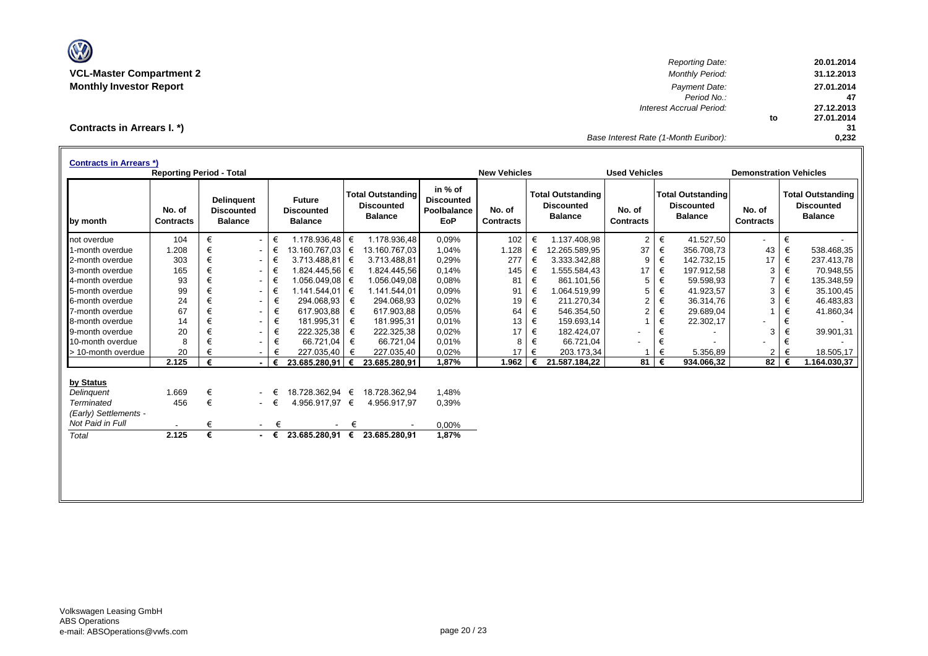

*Reporting Date:* **20.01.2014 VCL-Master Compartment 2** *Monthly Period:* **31.12.2013 Monthly Investor Report** *Payment Date:* **27.01.2014** *Period No.:* **47** *Interest Accrual Period:* **27.12.2013 to 27.01.2014 31** *Base Interest Rate (1-Month Euribor):* **0,232**

**Contracts in Arrears I. \*)**

| <b>Contracts in Arrears *)</b> | <b>Reporting Period - Total</b> |   |                                                          |   |                                                      |   |                                                                 |                                                           | <b>New Vehicles</b>        |   |                                                                 | <b>Used Vehicles</b>       |   |                                                                 | <b>Demonstration Vehicles</b> |   |                                                                 |
|--------------------------------|---------------------------------|---|----------------------------------------------------------|---|------------------------------------------------------|---|-----------------------------------------------------------------|-----------------------------------------------------------|----------------------------|---|-----------------------------------------------------------------|----------------------------|---|-----------------------------------------------------------------|-------------------------------|---|-----------------------------------------------------------------|
| by month                       | No. of<br><b>Contracts</b>      |   | <b>Delinguent</b><br><b>Discounted</b><br><b>Balance</b> |   | <b>Future</b><br><b>Discounted</b><br><b>Balance</b> |   | <b>Total Outstanding</b><br><b>Discounted</b><br><b>Balance</b> | in % of<br><b>Discounted</b><br>Poolbalance<br><b>EoP</b> | No. of<br><b>Contracts</b> |   | <b>Total Outstanding</b><br><b>Discounted</b><br><b>Balance</b> | No. of<br><b>Contracts</b> |   | <b>Total Outstanding</b><br><b>Discounted</b><br><b>Balance</b> | No. of<br><b>Contracts</b>    |   | <b>Total Outstanding</b><br><b>Discounted</b><br><b>Balance</b> |
| not overdue                    | 104                             | € |                                                          | € | 1.178.936,48 €                                       |   | 1.178.936.48                                                    | 0,09%                                                     | 102                        | € | 1.137.408.98                                                    | $\overline{c}$             | € | 41.527.50                                                       | $\overline{\phantom{a}}$      | € |                                                                 |
| 1-month overdue                | 1.208                           | € |                                                          | € | 13.160.767,03 €                                      |   | 13.160.767,03                                                   | 1,04%                                                     | 1.128                      | € | 12.265.589,95                                                   | 37                         | € | 356.708,73                                                      | 43                            | € | 538.468,35                                                      |
| 2-month overdue                | 303                             | € |                                                          | € | $3.713.488,81$ €                                     |   | 3.713.488,81                                                    | 0,29%                                                     | 277                        | € | 3.333.342,88                                                    | 9                          | € | 142.732,15                                                      | 17                            | € | 237.413,78                                                      |
| 3-month overdue                | 165                             | € |                                                          | € | 1.824.445,56 €                                       |   | 1.824.445,56                                                    | 0,14%                                                     | 145                        | € | 1.555.584,43                                                    | 17                         | € | 197.912,58                                                      | 3                             | € | 70.948,55                                                       |
| 4-month overdue                | 93                              | € |                                                          | € | 1.056.049,08 €                                       |   | 1.056.049,08                                                    | 0,08%                                                     | 81                         | € | 861.101,56                                                      | 5                          | € | 59.598,93                                                       | $\overline{7}$                | € | 135.348,59                                                      |
| 5-month overdue                | 99                              | € |                                                          | € | 1.141.544,01 €                                       |   | 1.141.544,01                                                    | 0,09%                                                     | 91                         | € | 1.064.519.99                                                    | 5                          | € | 41.923,57                                                       | 3                             | € | 35.100,45                                                       |
| 6-month overdue                | 24                              | € |                                                          | € | 294.068,93 €                                         |   | 294.068,93                                                      | 0,02%                                                     | 19                         | € | 211.270,34                                                      | $\overline{c}$             | € | 36.314,76                                                       | 3                             | € | 46.483,83                                                       |
| 7-month overdue                | 67                              | € |                                                          | € | 617.903,88                                           | € | 617.903,88                                                      | 0,05%                                                     | 64                         | € | 546.354,50                                                      | $\overline{2}$             | € | 29.689,04                                                       |                               | € | 41.860,34                                                       |
| 8-month overdue                | 14                              | € |                                                          | € | 181.995,31                                           | € | 181.995,31                                                      | 0,01%                                                     | 13                         | € | 159.693,14                                                      |                            | € | 22.302,17                                                       |                               | € |                                                                 |
| 9-month overdue                | 20                              | € |                                                          | € | 222.325,38                                           | € | 222.325,38                                                      | 0,02%                                                     | 17                         | € | 182.424,07                                                      | $\overline{\phantom{0}}$   | € |                                                                 | 3                             | € | 39.901,31                                                       |
| 10-month overdue               | 8                               | € |                                                          | € | 66.721,04                                            | € | 66.721,04                                                       | 0,01%                                                     | 8                          | € | 66.721,04                                                       |                            | € |                                                                 |                               | € |                                                                 |
| > 10-month overdue             | 20                              |   |                                                          | € | 227.035,40                                           | € | 227.035,40                                                      | 0,02%                                                     | 17                         | € | 203.173,34                                                      |                            | € | 5.356,89                                                        | 2                             | € | 18.505,17                                                       |
|                                | 2.125                           | € |                                                          | € | 23.685.280.91                                        | € | 23.685.280,91                                                   | 1,87%                                                     | 1.962                      |   | 21.587.184,22                                                   | 81                         | € | 934.066,32                                                      | 82                            | € | 1.164.030,37                                                    |
| by Status                      |                                 |   |                                                          |   |                                                      |   |                                                                 |                                                           |                            |   |                                                                 |                            |   |                                                                 |                               |   |                                                                 |
| Delinquent                     | 1.669                           | € |                                                          | € | 18.728.362.94 €                                      |   | 18.728.362.94                                                   | 1,48%                                                     |                            |   |                                                                 |                            |   |                                                                 |                               |   |                                                                 |
| <b>Terminated</b>              | 456                             | € | $\sim$                                                   | € | 4.956.917,97 €                                       |   | 4.956.917,97                                                    | 0,39%                                                     |                            |   |                                                                 |                            |   |                                                                 |                               |   |                                                                 |
| (Early) Settlements -          |                                 |   |                                                          |   |                                                      |   |                                                                 |                                                           |                            |   |                                                                 |                            |   |                                                                 |                               |   |                                                                 |
| Not Paid in Full               | $\overline{\phantom{a}}$        | € | $\sim 100$                                               | € |                                                      | € |                                                                 | 0,00%                                                     |                            |   |                                                                 |                            |   |                                                                 |                               |   |                                                                 |
| Total                          | 2.125                           | € | $\sim$                                                   | € | 23.685.280,91                                        | € | 23.685.280,91                                                   | 1,87%                                                     |                            |   |                                                                 |                            |   |                                                                 |                               |   |                                                                 |
|                                |                                 |   |                                                          |   |                                                      |   |                                                                 |                                                           |                            |   |                                                                 |                            |   |                                                                 |                               |   |                                                                 |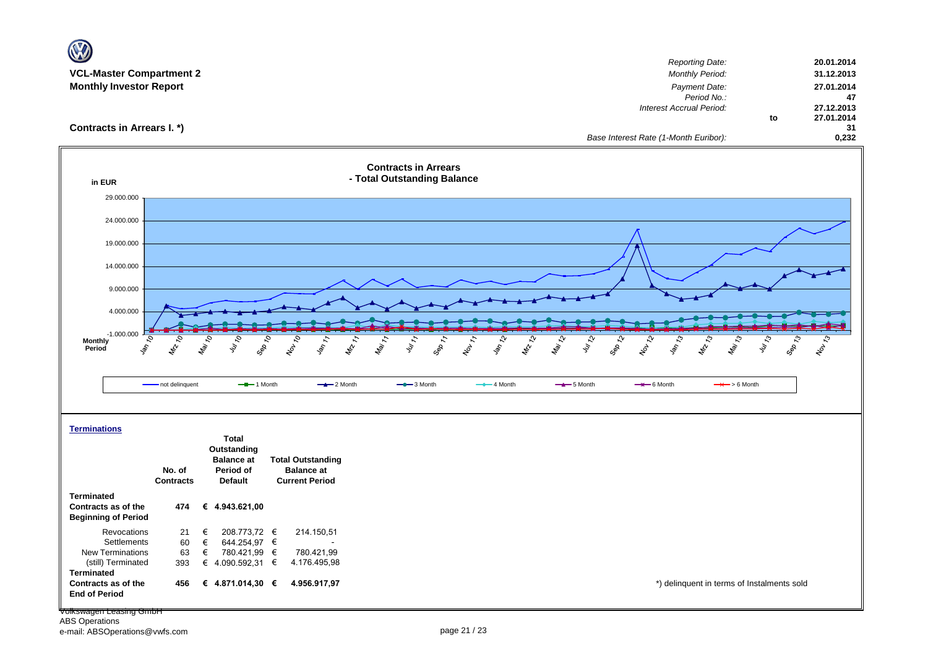| <b>VCL-Master Compartment 2</b><br><b>Monthly Investor Report</b>                                                                                                   |                                                  |                                    |                                                         |                                             |                                                                     |                              |                                                                 |                                          |                               |                                       | Interest Accrual Period: | <b>Reporting Date:</b><br><b>Monthly Period:</b><br>Payment Date:<br>Period No.: |                         | 20.01.2014<br>31.12.2013<br>27.01.2014<br>47<br>27.12.2013 |
|---------------------------------------------------------------------------------------------------------------------------------------------------------------------|--------------------------------------------------|------------------------------------|---------------------------------------------------------|---------------------------------------------|---------------------------------------------------------------------|------------------------------|-----------------------------------------------------------------|------------------------------------------|-------------------------------|---------------------------------------|--------------------------|----------------------------------------------------------------------------------|-------------------------|------------------------------------------------------------|
| Contracts in Arrears I. *)                                                                                                                                          |                                                  |                                    |                                                         |                                             |                                                                     |                              |                                                                 |                                          |                               | Base Interest Rate (1-Month Euribor): |                          |                                                                                  | to                      | 27.01.2014<br>31<br>0,232                                  |
| in EUR                                                                                                                                                              |                                                  |                                    |                                                         |                                             | <b>Contracts in Arrears</b><br>- Total Outstanding Balance          |                              |                                                                 |                                          |                               |                                       |                          |                                                                                  |                         |                                                            |
| 29.000.000                                                                                                                                                          |                                                  |                                    |                                                         |                                             |                                                                     |                              |                                                                 |                                          |                               |                                       |                          |                                                                                  |                         |                                                            |
| 24.000.000                                                                                                                                                          |                                                  |                                    |                                                         |                                             |                                                                     |                              |                                                                 |                                          |                               |                                       |                          |                                                                                  |                         |                                                            |
| 19.000.000                                                                                                                                                          |                                                  |                                    |                                                         |                                             |                                                                     |                              |                                                                 |                                          |                               |                                       |                          |                                                                                  |                         |                                                            |
| 14.000.000                                                                                                                                                          |                                                  |                                    |                                                         |                                             |                                                                     |                              |                                                                 |                                          |                               |                                       |                          |                                                                                  |                         |                                                            |
| 9.000.000                                                                                                                                                           |                                                  |                                    |                                                         |                                             |                                                                     |                              |                                                                 |                                          |                               |                                       |                          |                                                                                  |                         |                                                            |
| 4.000.000                                                                                                                                                           |                                                  |                                    |                                                         |                                             |                                                                     |                              |                                                                 |                                          |                               |                                       |                          |                                                                                  |                         |                                                            |
|                                                                                                                                                                     |                                                  |                                    |                                                         |                                             |                                                                     |                              |                                                                 |                                          |                               |                                       |                          |                                                                                  |                         |                                                            |
|                                                                                                                                                                     |                                                  |                                    |                                                         |                                             |                                                                     |                              |                                                                 |                                          |                               |                                       |                          |                                                                                  |                         |                                                            |
| $-1.000.000$<br>ą<br>Monthly<br>\$,<br>Period                                                                                                                       | $\overline{\mathcal{C}}$<br>Mar TO<br><b>RAY</b> | July 10                            | $\overline{\mathcal{C}}$<br>$\frac{1}{\sqrt{2}}$<br>GRO | 1400<br>$\frac{d\phi}{d\phi}$ $\frac{1}{2}$ | $\frac{\hbar_{\Theta_{i}}}{\hbar_{i}}$<br>$v_{\nu_{\ell_{\gamma}}}$ | $\delta_{\phi}$ $\gamma_{7}$ | <b>Jan 721</b><br>$\frac{1}{\sqrt{2}}\sqrt{\frac{1}{\sqrt{2}}}$ | $\mathcal{L}$<br>Marzol<br>$\mathscr{L}$ | $\overline{\mathcal{E}}$<br>ş | Sep 12<br>$x^{\delta}$                | $\sim$<br><b>Law</b>     | <b>MR-73</b><br>Mar 13                                                           | $46^{2}$                | <b>Sep 13</b><br>1001-31                                   |
|                                                                                                                                                                     | - not delinquent                                 |                                    | $-$ -1 Month                                            | $-2$ Month                                  | $-$ 3 Month                                                         |                              | $-$ 4 Month                                                     |                                          | $-$ 5 Month                   |                                       | $\rightarrow$ 6 Month    |                                                                                  | $\rightarrow$ > 6 Month |                                                            |
|                                                                                                                                                                     |                                                  |                                    |                                                         |                                             |                                                                     |                              |                                                                 |                                          |                               |                                       |                          |                                                                                  |                         |                                                            |
|                                                                                                                                                                     |                                                  | <b>Total</b>                       |                                                         |                                             |                                                                     |                              |                                                                 |                                          |                               |                                       |                          |                                                                                  |                         |                                                            |
|                                                                                                                                                                     |                                                  | Outstanding<br><b>Balance</b> at   |                                                         | <b>Total Outstanding</b>                    |                                                                     |                              |                                                                 |                                          |                               |                                       |                          |                                                                                  |                         |                                                            |
|                                                                                                                                                                     | No. of                                           | Period of                          |                                                         | <b>Balance at</b>                           |                                                                     |                              |                                                                 |                                          |                               |                                       |                          |                                                                                  |                         |                                                            |
|                                                                                                                                                                     | <b>Contracts</b><br>474                          | <b>Default</b><br>€ 4.943.621,00   |                                                         | <b>Current Period</b>                       |                                                                     |                              |                                                                 |                                          |                               |                                       |                          |                                                                                  |                         |                                                            |
| Revocations                                                                                                                                                         | 21<br>€                                          | 208.773,72 €                       |                                                         | 214.150,51                                  |                                                                     |                              |                                                                 |                                          |                               |                                       |                          |                                                                                  |                         |                                                            |
| Settlements                                                                                                                                                         | 60<br>€                                          | 644.254,97 €                       |                                                         |                                             |                                                                     |                              |                                                                 |                                          |                               |                                       |                          |                                                                                  |                         |                                                            |
| <b>Terminations</b><br><b>Terminated</b><br>Contracts as of the<br><b>Beginning of Period</b><br><b>New Terminations</b><br>(still) Terminated<br><b>Terminated</b> | 63<br>€<br>393                                   | 780.421,99 €<br>€ 4.090.592,31 $∈$ |                                                         | 780.421,99<br>4.176.495,98                  |                                                                     |                              |                                                                 |                                          |                               |                                       |                          |                                                                                  |                         |                                                            |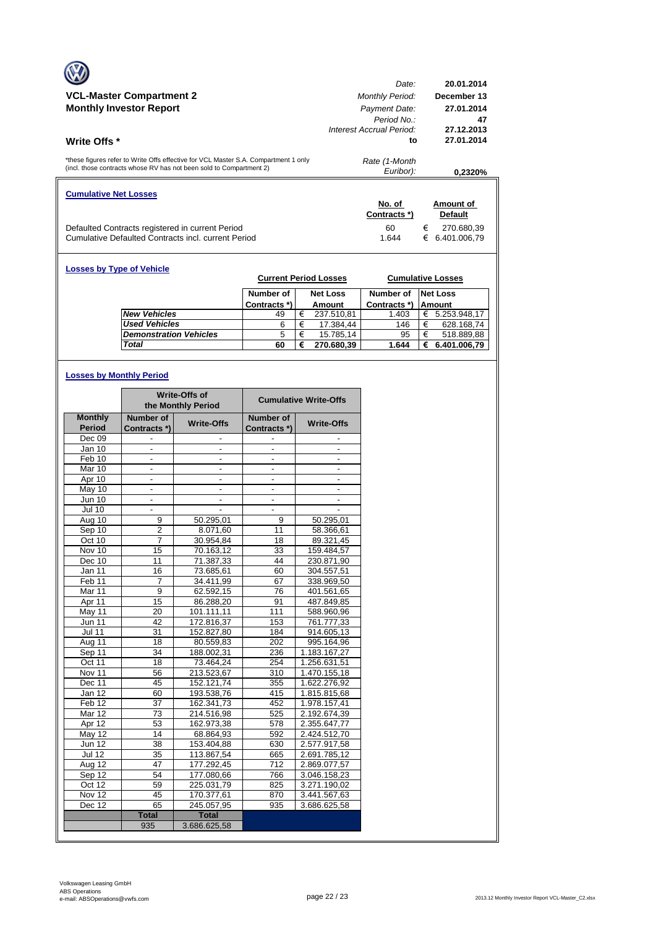|                                                                                     | Date:                    | 20.01.2014        |
|-------------------------------------------------------------------------------------|--------------------------|-------------------|
| <b>VCL-Master Compartment 2</b>                                                     | <b>Monthly Period:</b>   | December 13       |
| <b>Monthly Investor Report</b>                                                      | Payment Date:            | 27.01.2014        |
|                                                                                     | Period No.:              | 47                |
|                                                                                     | Interest Accrual Period: | 27.12.2013        |
| Write Offs *                                                                        | to                       | 27.01.2014        |
|                                                                                     |                          |                   |
| *these figures refer to Write Offs effective for VCL Master S.A. Compartment 1 only | Rate (1-Month            |                   |
| (incl. those contracts whose RV has not been sold to Compartment 2)                 | Euribor):                | 0.2320%           |
|                                                                                     |                          |                   |
| <b>Cumulative Net Losses</b>                                                        |                          |                   |
|                                                                                     | No. of                   | Amount of         |
|                                                                                     | Contracts *)             | <b>Default</b>    |
| Defaulted Contracts registered in current Period                                    | 60                       | €<br>270.680,39   |
| Cumulative Defaulted Contracts incl. current Period                                 | 1.644                    | 6.401.006.79<br>€ |

| <b>Losses by Type of Vehicle</b> |                               | <b>Current Period Losses</b> |   |                 |              |   | <b>Cumulative Losses</b> |
|----------------------------------|-------------------------------|------------------------------|---|-----------------|--------------|---|--------------------------|
|                                  |                               | Number of                    |   | <b>Net Loss</b> | Number of    |   | <b>Net Loss</b>          |
|                                  |                               | Contracts *)                 |   | Amount          | Contracts *) |   | <b>Amount</b>            |
|                                  | <b>New Vehicles</b>           | 49                           | € | 237.510.81      | 1.403        | € | 5.253.948,17             |
|                                  | <b>Used Vehicles</b>          | 6                            | € | 17.384,44       | 146          | € | 628.168,74               |
|                                  | <b>Demonstration Vehicles</b> | 5                            | € | 15.785,14       | 95           | € | 518.889,88               |
|                                  | Total                         | 60                           | € | 270.680,39      | 1.644        | € | 6.401.006,79             |

## **Losses by Monthly Period**

|                   |                | Write-Offs of<br>the Monthly Period |                          | <b>Cumulative Write-Offs</b> |
|-------------------|----------------|-------------------------------------|--------------------------|------------------------------|
| <b>Monthly</b>    | Number of      | <b>Write-Offs</b>                   | Number of                | <b>Write-Offs</b>            |
| Period            | Contracts *)   |                                     | Contracts *)             |                              |
| Dec 09            |                |                                     |                          |                              |
| Jan 10            |                |                                     |                          |                              |
| Feb 10            | $\frac{1}{2}$  |                                     | ٠                        |                              |
| Mar 10            | $\blacksquare$ | ٠                                   | $\overline{\phantom{0}}$ | $\overline{\phantom{a}}$     |
| Apr 10            |                |                                     |                          |                              |
| May 10            | ٠              | $\overline{\phantom{a}}$            | $\overline{\phantom{a}}$ | ٠                            |
| <b>Jun 10</b>     | ä,             | ٠                                   | $\overline{\phantom{0}}$ | $\overline{\phantom{a}}$     |
| <b>Jul 10</b>     |                |                                     |                          |                              |
| Aug 10            | 9              | 50.295,01                           | 9                        | 50.295,01                    |
| Sep 10            | $\overline{2}$ | 8.071,60                            | 11                       | 58.366,61                    |
| Oct 10            | $\overline{7}$ | 30.954,84                           | 18                       | 89.321,45                    |
| Nov 10            | 15             | 70.163,12                           | 33                       | 159.484,57                   |
| Dec 10            | 11             | 71.387,33                           | 44                       | 230.871,90                   |
| Jan 11            | 16             | 73.685,61                           | 60                       | 304.557,51                   |
| Feb <sub>11</sub> | 7              | 34.411,99                           | 67                       | 338.969,50                   |
| Mar <sub>11</sub> | 9              | 62.592,15                           | 76                       | 401.561,65                   |
| Apr 11            | 15             | 86.288,20                           | 91                       | 487.849,85                   |
| May 11            | 20             | 101.111,11                          | 111                      | 588.960,96                   |
| <b>Jun 11</b>     | 42             | 172.816,37                          | 153                      | 761.777,33                   |
| <b>Jul 11</b>     | 31             | 152.827,80                          | 184                      | 914.605,13                   |
| Aug 11            | 18             | 80.559,83                           | 202                      | 995.164,96                   |
| Sep 11            | 34             | 188.002,31                          | 236                      | 1.183.167,27                 |
| Oct 11            | 18             | 73.464,24                           | 254                      | 1.256.631,51                 |
| Nov 11            | 56             | 213.523,67                          | 310                      | 1.470.155,18                 |
| Dec 11            | 45             | 152.121,74                          | 355                      | 1.622.276,92                 |
| Jan 12            | 60             | 193.538,76                          | 415                      | 1.815.815,68                 |
| Feb <sub>12</sub> | 37             | 162.341,73                          | 452                      | 1.978.157,41                 |
| Mar $12$          | 73             | 214.516,98                          | 525                      | 2.192.674,39                 |
| Apr 12            | 53             | 162.973,38                          | 578                      | 2.355.647,77                 |
| May 12            | 14             | 68.864,93                           | 592                      | 2.424.512,70                 |
| <b>Jun 12</b>     | 38             | 153.404,88                          | 630                      | 2.577.917,58                 |
| <b>Jul 12</b>     | 35             | 113.867,54                          | 665                      | 2.691.785,12                 |
| Aug 12            | 47             | 177.292,45                          | 712                      | 2.869.077,57                 |
| Sep 12            | 54             | 177.080,66                          | 766                      | 3.046.158,23                 |
| Oct 12            | 59             | 225.031,79                          | 825                      | 3.271.190,02                 |
| Nov 12            | 45             | 170.377,61                          | 870                      | 3.441.567,63                 |
| Dec $12$          | 65             | 245.057,95                          | 935                      | 3.686.625,58                 |
|                   | <b>Total</b>   | <b>Total</b>                        |                          |                              |
|                   | 935            | 3.686.625,58                        |                          |                              |